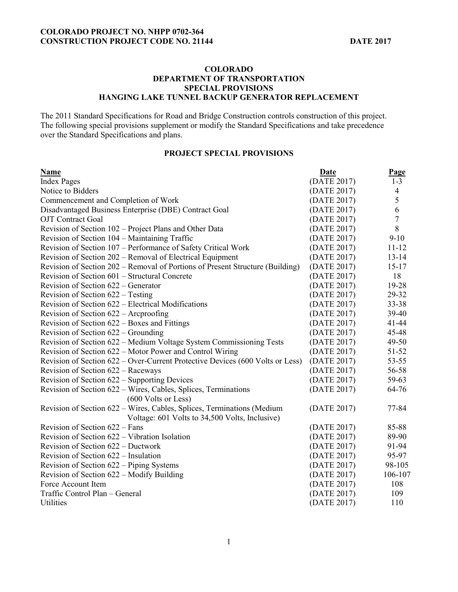# **COLORADO DEPARTMENT OF TRANSPORTATION SPECIAL PROVISIONS HANGING LAKE TUNNEL BACKUP GENERATOR REPLACEMENT**

The 2011 Standard Specifications for Road and Bridge Construction controls construction of this project. The following special provisions supplement or modify the Standard Specifications and take precedence over the Standard Specifications and plans.

# **PROJECT SPECIAL PROVISIONS**

| Name                                                                                                                     | Date        | Page           |
|--------------------------------------------------------------------------------------------------------------------------|-------------|----------------|
| <b>Index Pages</b>                                                                                                       | (DATE 2017) | $1 - 3$        |
| Notice to Bidders                                                                                                        | (DATE 2017) | $\overline{4}$ |
| Commencement and Completion of Work                                                                                      | (DATE 2017) | 5              |
| Disadvantaged Business Enterprise (DBE) Contract Goal                                                                    | (DATE 2017) | $\overline{6}$ |
| <b>OJT</b> Contract Goal                                                                                                 | (DATE 2017) | $\overline{7}$ |
| Revision of Section 102 - Project Plans and Other Data                                                                   | (DATE 2017) | $8\,$          |
| Revision of Section 104 – Maintaining Traffic                                                                            | (DATE 2017) | $9-10$         |
| Revision of Section 107 - Performance of Safety Critical Work                                                            | (DATE 2017) | $11 - 12$      |
| Revision of Section 202 – Removal of Electrical Equipment                                                                | (DATE 2017) | $13 - 14$      |
| Revision of Section 202 – Removal of Portions of Present Structure (Building)                                            | (DATE 2017) | $15 - 17$      |
| Revision of Section 601 – Structural Concrete                                                                            | (DATE 2017) | 18             |
| Revision of Section 622 – Generator                                                                                      | (DATE 2017) | 19-28          |
| Revision of Section 622 – Testing                                                                                        | (DATE 2017) | 29-32          |
| Revision of Section 622 – Electrical Modifications                                                                       | (DATE 2017) | 33-38          |
| Revision of Section 622 – Arcproofing                                                                                    | (DATE 2017) | 39-40          |
| Revision of Section 622 – Boxes and Fittings                                                                             | (DATE 2017) | $41 - 44$      |
| Revision of Section 622 – Grounding                                                                                      | (DATE 2017) | 45-48          |
| Revision of Section 622 – Medium Voltage System Commissioning Tests                                                      | (DATE 2017) | 49-50          |
| Revision of Section 622 – Motor Power and Control Wiring                                                                 | (DATE 2017) | $51 - 52$      |
| Revision of Section 622 – Over-Current Protective Devices (600 Volts or Less)                                            | (DATE 2017) | $53 - 55$      |
| Revision of Section 622 – Raceways                                                                                       | (DATE 2017) | 56-58          |
| Revision of Section 622 – Supporting Devices                                                                             | (DATE 2017) | 59-63          |
| Revision of Section 622 – Wires, Cables, Splices, Terminations<br>(600 Volts or Less)                                    | (DATE 2017) | 64-76          |
| Revision of Section 622 – Wires, Cables, Splices, Terminations (Medium<br>Voltage: 601 Volts to 34,500 Volts, Inclusive) | (DATE 2017) | 77-84          |
| Revision of Section 622 - Fans                                                                                           | (DATE 2017) | 85-88          |
| Revision of Section 622 – Vibration Isolation                                                                            | (DATE 2017) | 89-90          |
| Revision of Section 622 – Ductwork                                                                                       | (DATE 2017) | 91-94          |
| Revision of Section 622 – Insulation                                                                                     | (DATE 2017) | 95-97          |
| Revision of Section 622 – Piping Systems                                                                                 | (DATE 2017) | 98-105         |
| Revision of Section 622 – Modify Building                                                                                | (DATE 2017) | 106-107        |
| Force Account Item                                                                                                       | (DATE 2017) | 108            |
| Traffic Control Plan - General                                                                                           | (DATE 2017) | 109            |
| <b>Utilities</b>                                                                                                         | (DATE 2017) | 110            |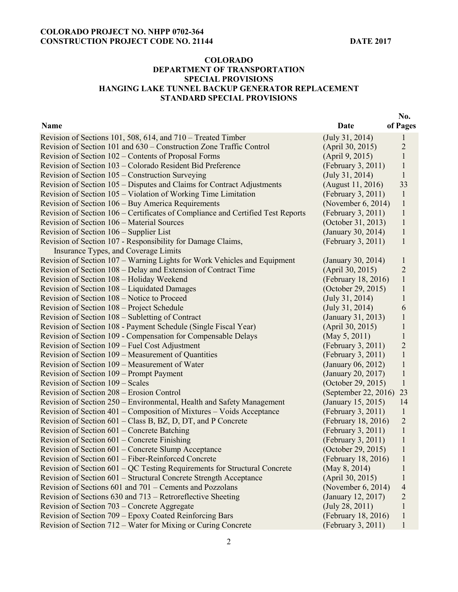**No.** 

# **COLORADO DEPARTMENT OF TRANSPORTATION SPECIAL PROVISIONS HANGING LAKE TUNNEL BACKUP GENERATOR REPLACEMENT STANDARD SPECIAL PROVISIONS**

| Name                                                                            | Date                 | of Pages       |
|---------------------------------------------------------------------------------|----------------------|----------------|
| Revision of Sections 101, 508, 614, and 710 – Treated Timber                    | (July 31, 2014)      | 1              |
| Revision of Section 101 and 630 – Construction Zone Traffic Control             | (April 30, 2015)     | $\overline{c}$ |
| Revision of Section 102 – Contents of Proposal Forms                            | (April 9, 2015)      | $\mathbf{1}$   |
| Revision of Section 103 – Colorado Resident Bid Preference                      | (February 3, 2011)   | $\mathbf{1}$   |
| Revision of Section 105 – Construction Surveying                                | (July 31, 2014)      | $\mathbf{1}$   |
| Revision of Section 105 – Disputes and Claims for Contract Adjustments          | (August 11, 2016)    | 33             |
| Revision of Section 105 – Violation of Working Time Limitation                  | (February 3, 2011)   | $\mathbf{1}$   |
| Revision of Section 106 – Buy America Requirements                              | (November 6, 2014)   | $\mathbf{1}$   |
| Revision of Section 106 – Certificates of Compliance and Certified Test Reports | (February 3, 2011)   | $\mathbf{1}$   |
| Revision of Section 106 - Material Sources                                      | (October 31, 2013)   | $\mathbf{1}$   |
| Revision of Section 106 – Supplier List                                         | (January 30, 2014)   | $\mathbf{1}$   |
| Revision of Section 107 - Responsibility for Damage Claims,                     | (February 3, 2011)   | $\mathbf{1}$   |
| Insurance Types, and Coverage Limits                                            |                      |                |
| Revision of Section 107 – Warning Lights for Work Vehicles and Equipment        | (January 30, 2014)   | $\mathbf{1}$   |
| Revision of Section 108 – Delay and Extension of Contract Time                  | (April 30, 2015)     | $\overline{2}$ |
| Revision of Section 108 - Holiday Weekend                                       | (February 18, 2016)  | $\mathbf{1}$   |
| Revision of Section 108 - Liquidated Damages                                    | (October 29, 2015)   | $\mathbf{1}$   |
| Revision of Section 108 – Notice to Proceed                                     | (July 31, 2014)      | $\mathbf{1}$   |
| Revision of Section 108 – Project Schedule                                      | (July 31, 2014)      | 6              |
| Revision of Section 108 – Subletting of Contract                                | (January 31, 2013)   | $\mathbf{1}$   |
| Revision of Section 108 - Payment Schedule (Single Fiscal Year)                 | (April 30, 2015)     | 1              |
| Revision of Section 109 - Compensation for Compensable Delays                   | (May 5, 2011)        | $\mathbf{1}$   |
| Revision of Section 109 – Fuel Cost Adjustment                                  | (February 3, 2011)   | $\overline{c}$ |
| Revision of Section 109 – Measurement of Quantities                             | (February 3, 2011)   | $\,1$          |
| Revision of Section 109 – Measurement of Water                                  | (January 06, 2012)   | $\mathbf{1}$   |
| Revision of Section 109 – Prompt Payment                                        | (January 20, 2017)   | $\mathbf{1}$   |
| Revision of Section 109 – Scales                                                | (October 29, 2015)   | $\mathbf{1}$   |
| Revision of Section 208 – Erosion Control                                       | (September 22, 2016) | 23             |
| Revision of Section 250 – Environmental, Health and Safety Management           | (January 15, 2015)   | 14             |
| Revision of Section 401 – Composition of Mixtures – Voids Acceptance            | (February 3, 2011)   | $\mathbf{1}$   |
| Revision of Section 601 – Class B, BZ, D, DT, and P Concrete                    | (February 18, 2016)  | $\sqrt{2}$     |
| Revision of Section 601 – Concrete Batching                                     | (February 3, 2011)   | $\mathbf{1}$   |
| Revision of Section 601 – Concrete Finishing                                    | (February 3, 2011)   | $\mathbf{1}$   |
| Revision of Section 601 – Concrete Slump Acceptance                             | (October 29, 2015)   | $\mathbf{1}$   |
| Revision of Section 601 – Fiber-Reinforced Concrete                             | (February 18, 2016)  | $\mathbf{I}$   |
| Revision of Section $601 - QC$ Testing Requirements for Structural Concrete     | (May 8, 2014)        |                |
| Revision of Section 601 – Structural Concrete Strength Acceptance               | (April 30, 2015)     | 1              |
| Revision of Sections 601 and 701 – Cements and Pozzolans                        | (November 6, 2014)   | 4              |
| Revision of Sections 630 and 713 – Retroreflective Sheeting                     | (January 12, 2017)   | $\overline{c}$ |
| Revision of Section 703 – Concrete Aggregate                                    | (July 28, 2011)      | $\mathbf{1}$   |
| Revision of Section 709 – Epoxy Coated Reinforcing Bars                         | (February 18, 2016)  | $\mathbf{1}$   |
| Revision of Section 712 – Water for Mixing or Curing Concrete                   | (February 3, 2011)   | $\mathbf{l}$   |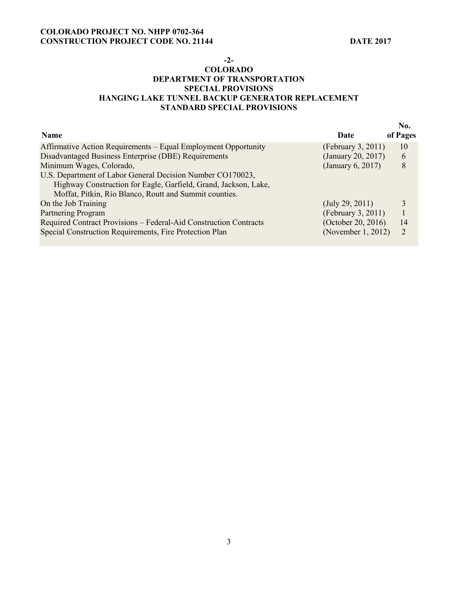### **-2-**

# **COLORADO DEPARTMENT OF TRANSPORTATION SPECIAL PROVISIONS HANGING LAKE TUNNEL BACKUP GENERATOR REPLACEMENT STANDARD SPECIAL PROVISIONS**

| Name                                                              | Date               | No.<br>of Pages |
|-------------------------------------------------------------------|--------------------|-----------------|
| Affirmative Action Requirements – Equal Employment Opportunity    | (February 3, 2011) | 10              |
| Disadvantaged Business Enterprise (DBE) Requirements              | (January 20, 2017) | 6               |
| Minimum Wages, Colorado,                                          | (January 6, 2017)  | 8               |
| U.S. Department of Labor General Decision Number CO170023,        |                    |                 |
| Highway Construction for Eagle, Garfield, Grand, Jackson, Lake,   |                    |                 |
| Moffat, Pitkin, Rio Blanco, Routt and Summit counties.            |                    |                 |
| On the Job Training                                               | (July 29, 2011)    | 3               |
| Partnering Program                                                | (February 3, 2011) | 1               |
| Required Contract Provisions - Federal-Aid Construction Contracts | (October 20, 2016) | 14              |
| Special Construction Requirements, Fire Protection Plan           | (November 1, 2012) | $\overline{2}$  |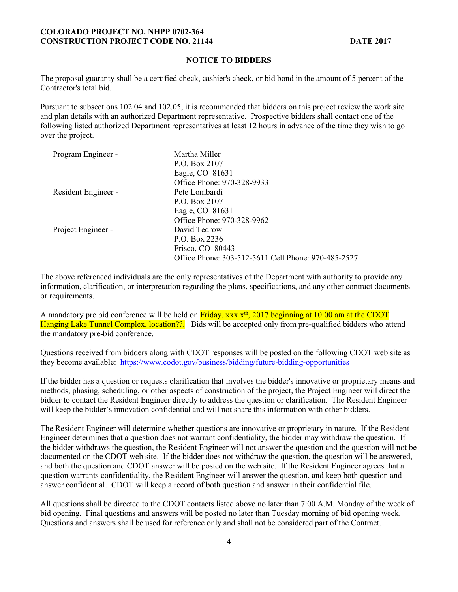# **NOTICE TO BIDDERS**

The proposal guaranty shall be a certified check, cashier's check, or bid bond in the amount of 5 percent of the Contractor's total bid.

Pursuant to subsections 102.04 and 102.05, it is recommended that bidders on this project review the work site and plan details with an authorized Department representative. Prospective bidders shall contact one of the following listed authorized Department representatives at least 12 hours in advance of the time they wish to go over the project.

| Program Engineer -  | Martha Miller                                       |
|---------------------|-----------------------------------------------------|
|                     | P.O. Box 2107                                       |
|                     | Eagle, CO 81631                                     |
|                     | Office Phone: 970-328-9933                          |
| Resident Engineer - | Pete Lombardi                                       |
|                     | P.O. Box 2107                                       |
|                     | Eagle, CO 81631                                     |
|                     | Office Phone: 970-328-9962                          |
| Project Engineer -  | David Tedrow                                        |
|                     | P.O. Box 2236                                       |
|                     | Frisco, CO 80443                                    |
|                     | Office Phone: 303-512-5611 Cell Phone: 970-485-2527 |

The above referenced individuals are the only representatives of the Department with authority to provide any information, clarification, or interpretation regarding the plans, specifications, and any other contract documents or requirements.

A mandatory pre bid conference will be held on  $\frac{Friday}{xxx} \frac{x^{\text{th}}}{2017}$  beginning at 10:00 am at the CDOT Hanging Lake Tunnel Complex, location??. Bids will be accepted only from pre-qualified bidders who attend the mandatory pre-bid conference.

Questions received from bidders along with CDOT responses will be posted on the following CDOT web site as they become available: https://www.codot.gov/business/bidding/future-bidding-opportunities

If the bidder has a question or requests clarification that involves the bidder's innovative or proprietary means and methods, phasing, scheduling, or other aspects of construction of the project, the Project Engineer will direct the bidder to contact the Resident Engineer directly to address the question or clarification. The Resident Engineer will keep the bidder's innovation confidential and will not share this information with other bidders.

The Resident Engineer will determine whether questions are innovative or proprietary in nature. If the Resident Engineer determines that a question does not warrant confidentiality, the bidder may withdraw the question. If the bidder withdraws the question, the Resident Engineer will not answer the question and the question will not be documented on the CDOT web site. If the bidder does not withdraw the question, the question will be answered, and both the question and CDOT answer will be posted on the web site. If the Resident Engineer agrees that a question warrants confidentiality, the Resident Engineer will answer the question, and keep both question and answer confidential. CDOT will keep a record of both question and answer in their confidential file.

All questions shall be directed to the CDOT contacts listed above no later than 7:00 A.M. Monday of the week of bid opening. Final questions and answers will be posted no later than Tuesday morning of bid opening week. Questions and answers shall be used for reference only and shall not be considered part of the Contract.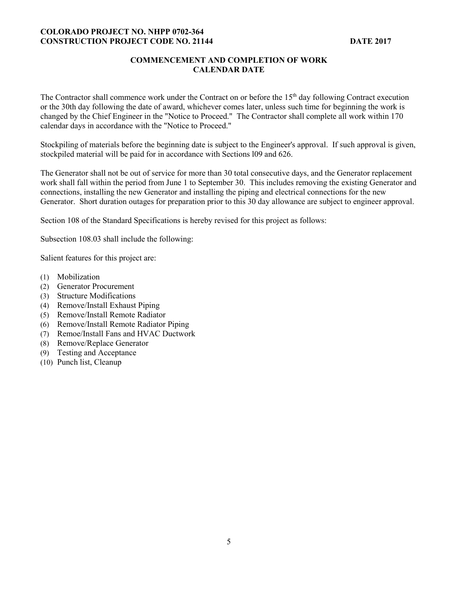# **COMMENCEMENT AND COMPLETION OF WORK CALENDAR DATE**

The Contractor shall commence work under the Contract on or before the 15<sup>th</sup> day following Contract execution or the 30th day following the date of award, whichever comes later, unless such time for beginning the work is changed by the Chief Engineer in the "Notice to Proceed." The Contractor shall complete all work within 170 calendar days in accordance with the "Notice to Proceed."

Stockpiling of materials before the beginning date is subject to the Engineer's approval. If such approval is given, stockpiled material will be paid for in accordance with Sections l09 and 626.

The Generator shall not be out of service for more than 30 total consecutive days, and the Generator replacement work shall fall within the period from June 1 to September 30. This includes removing the existing Generator and connections, installing the new Generator and installing the piping and electrical connections for the new Generator. Short duration outages for preparation prior to this 30 day allowance are subject to engineer approval.

Section 108 of the Standard Specifications is hereby revised for this project as follows:

Subsection 108.03 shall include the following:

Salient features for this project are:

- (1) Mobilization
- (2) Generator Procurement
- (3) Structure Modifications
- (4) Remove/Install Exhaust Piping
- (5) Remove/Install Remote Radiator
- (6) Remove/Install Remote Radiator Piping
- (7) Remoe/Install Fans and HVAC Ductwork
- (8) Remove/Replace Generator
- (9) Testing and Acceptance
- (10) Punch list, Cleanup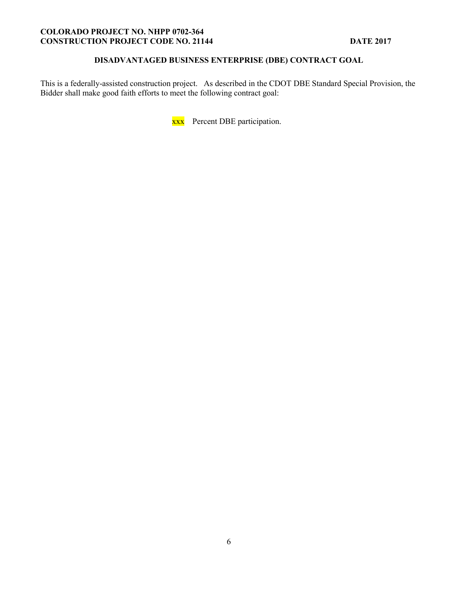# **DISADVANTAGED BUSINESS ENTERPRISE (DBE) CONTRACT GOAL**

This is a federally-assisted construction project. As described in the CDOT DBE Standard Special Provision, the Bidder shall make good faith efforts to meet the following contract goal:

xxx Percent DBE participation.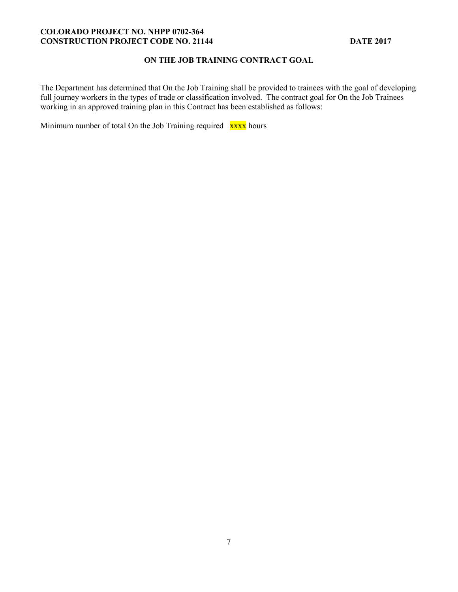# **ON THE JOB TRAINING CONTRACT GOAL**

The Department has determined that On the Job Training shall be provided to trainees with the goal of developing full journey workers in the types of trade or classification involved. The contract goal for On the Job Trainees working in an approved training plan in this Contract has been established as follows:

Minimum number of total On the Job Training required xxxx hours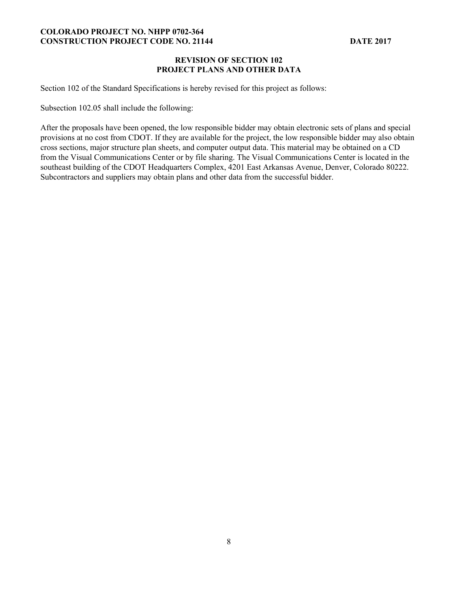# **REVISION OF SECTION 102 PROJECT PLANS AND OTHER DATA**

Section 102 of the Standard Specifications is hereby revised for this project as follows:

Subsection 102.05 shall include the following:

After the proposals have been opened, the low responsible bidder may obtain electronic sets of plans and special provisions at no cost from CDOT. If they are available for the project, the low responsible bidder may also obtain cross sections, major structure plan sheets, and computer output data. This material may be obtained on a CD from the Visual Communications Center or by file sharing. The Visual Communications Center is located in the southeast building of the CDOT Headquarters Complex, 4201 East Arkansas Avenue, Denver, Colorado 80222. Subcontractors and suppliers may obtain plans and other data from the successful bidder.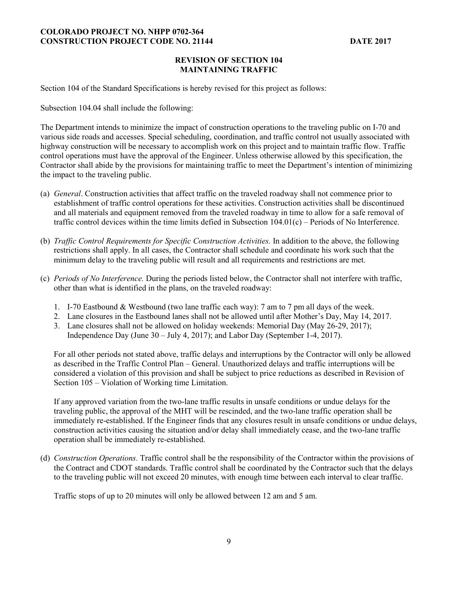## **REVISION OF SECTION 104 MAINTAINING TRAFFIC**

Section 104 of the Standard Specifications is hereby revised for this project as follows:

Subsection 104.04 shall include the following:

The Department intends to minimize the impact of construction operations to the traveling public on I-70 and various side roads and accesses. Special scheduling, coordination, and traffic control not usually associated with highway construction will be necessary to accomplish work on this project and to maintain traffic flow. Traffic control operations must have the approval of the Engineer. Unless otherwise allowed by this specification, the Contractor shall abide by the provisions for maintaining traffic to meet the Department's intention of minimizing the impact to the traveling public.

- (a) *General*. Construction activities that affect traffic on the traveled roadway shall not commence prior to establishment of traffic control operations for these activities. Construction activities shall be discontinued and all materials and equipment removed from the traveled roadway in time to allow for a safe removal of traffic control devices within the time limits defied in Subsection 104.01(c) – Periods of No Interference.
- (b) *Traffic Control Requirements for Specific Construction Activities.* In addition to the above, the following restrictions shall apply. In all cases, the Contractor shall schedule and coordinate his work such that the minimum delay to the traveling public will result and all requirements and restrictions are met.
- (c) *Periods of No Interference.* During the periods listed below, the Contractor shall not interfere with traffic, other than what is identified in the plans, on the traveled roadway:
	- 1. I-70 Eastbound & Westbound (two lane traffic each way): 7 am to 7 pm all days of the week.
	- 2. Lane closures in the Eastbound lanes shall not be allowed until after Mother's Day, May 14, 2017.
	- 3. Lane closures shall not be allowed on holiday weekends: Memorial Day (May 26-29, 2017); Independence Day (June 30 – July 4, 2017); and Labor Day (September 1-4, 2017).

For all other periods not stated above, traffic delays and interruptions by the Contractor will only be allowed as described in the Traffic Control Plan – General. Unauthorized delays and traffic interruptions will be considered a violation of this provision and shall be subject to price reductions as described in Revision of Section 105 – Violation of Working time Limitation.

If any approved variation from the two-lane traffic results in unsafe conditions or undue delays for the traveling public, the approval of the MHT will be rescinded, and the two-lane traffic operation shall be immediately re-established. If the Engineer finds that any closures result in unsafe conditions or undue delays, construction activities causing the situation and/or delay shall immediately cease, and the two-lane traffic operation shall be immediately re-established.

(d) *Construction Operations.* Traffic control shall be the responsibility of the Contractor within the provisions of the Contract and CDOT standards. Traffic control shall be coordinated by the Contractor such that the delays to the traveling public will not exceed 20 minutes, with enough time between each interval to clear traffic.

Traffic stops of up to 20 minutes will only be allowed between 12 am and 5 am.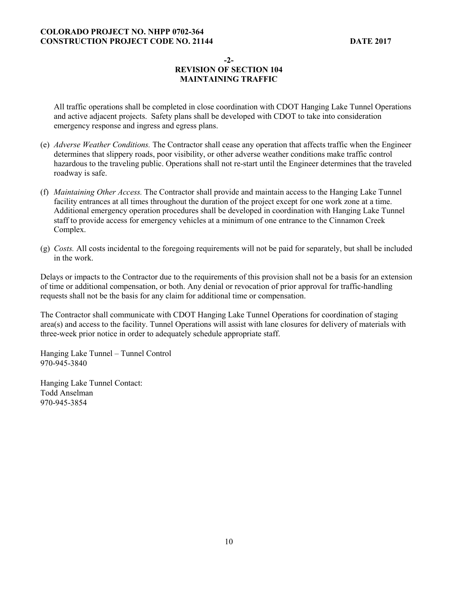**-2-** 

# **REVISION OF SECTION 104 MAINTAINING TRAFFIC**

All traffic operations shall be completed in close coordination with CDOT Hanging Lake Tunnel Operations and active adjacent projects. Safety plans shall be developed with CDOT to take into consideration emergency response and ingress and egress plans.

- (e) *Adverse Weather Conditions.* The Contractor shall cease any operation that affects traffic when the Engineer determines that slippery roads, poor visibility, or other adverse weather conditions make traffic control hazardous to the traveling public. Operations shall not re-start until the Engineer determines that the traveled roadway is safe.
- (f) *Maintaining Other Access.* The Contractor shall provide and maintain access to the Hanging Lake Tunnel facility entrances at all times throughout the duration of the project except for one work zone at a time. Additional emergency operation procedures shall be developed in coordination with Hanging Lake Tunnel staff to provide access for emergency vehicles at a minimum of one entrance to the Cinnamon Creek Complex.
- (g) *Costs.* All costs incidental to the foregoing requirements will not be paid for separately, but shall be included in the work.

Delays or impacts to the Contractor due to the requirements of this provision shall not be a basis for an extension of time or additional compensation, or both. Any denial or revocation of prior approval for traffic-handling requests shall not be the basis for any claim for additional time or compensation.

The Contractor shall communicate with CDOT Hanging Lake Tunnel Operations for coordination of staging area(s) and access to the facility. Tunnel Operations will assist with lane closures for delivery of materials with three-week prior notice in order to adequately schedule appropriate staff.

Hanging Lake Tunnel – Tunnel Control 970-945-3840

Hanging Lake Tunnel Contact: Todd Anselman 970-945-3854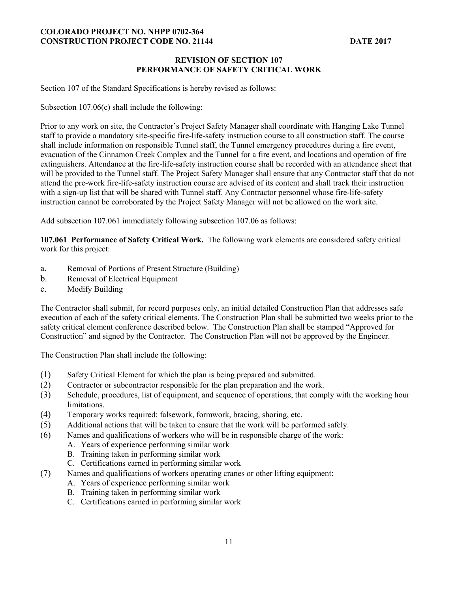# **REVISION OF SECTION 107 PERFORMANCE OF SAFETY CRITICAL WORK**

Section 107 of the Standard Specifications is hereby revised as follows:

Subsection 107.06(c) shall include the following:

Prior to any work on site, the Contractor's Project Safety Manager shall coordinate with Hanging Lake Tunnel staff to provide a mandatory site-specific fire-life-safety instruction course to all construction staff. The course shall include information on responsible Tunnel staff, the Tunnel emergency procedures during a fire event, evacuation of the Cinnamon Creek Complex and the Tunnel for a fire event, and locations and operation of fire extinguishers. Attendance at the fire-life-safety instruction course shall be recorded with an attendance sheet that will be provided to the Tunnel staff. The Project Safety Manager shall ensure that any Contractor staff that do not attend the pre-work fire-life-safety instruction course are advised of its content and shall track their instruction with a sign-up list that will be shared with Tunnel staff. Any Contractor personnel whose fire-life-safety instruction cannot be corroborated by the Project Safety Manager will not be allowed on the work site.

Add subsection 107.061 immediately following subsection 107.06 as follows:

**107.061 Performance of Safety Critical Work.** The following work elements are considered safety critical work for this project:

- a. Removal of Portions of Present Structure (Building)
- b. Removal of Electrical Equipment
- c. Modify Building

The Contractor shall submit, for record purposes only, an initial detailed Construction Plan that addresses safe execution of each of the safety critical elements. The Construction Plan shall be submitted two weeks prior to the safety critical element conference described below. The Construction Plan shall be stamped "Approved for Construction" and signed by the Contractor. The Construction Plan will not be approved by the Engineer.

The Construction Plan shall include the following:

- (1) Safety Critical Element for which the plan is being prepared and submitted.
- (2) Contractor or subcontractor responsible for the plan preparation and the work.
- (3) Schedule, procedures, list of equipment, and sequence of operations, that comply with the working hour limitations.
- (4) Temporary works required: falsework, formwork, bracing, shoring, etc.
- (5) Additional actions that will be taken to ensure that the work will be performed safely.
- (6) Names and qualifications of workers who will be in responsible charge of the work:
	- A. Years of experience performing similar work
	- B. Training taken in performing similar work
	- C. Certifications earned in performing similar work
- (7) Names and qualifications of workers operating cranes or other lifting equipment:
	- A. Years of experience performing similar work
	- B. Training taken in performing similar work
	- C. Certifications earned in performing similar work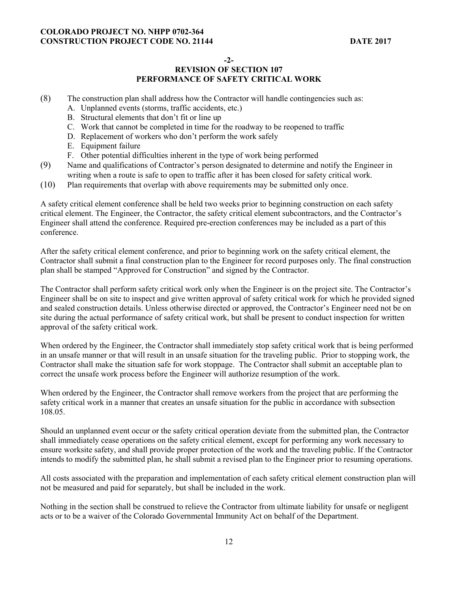**-2-** 

# **REVISION OF SECTION 107 PERFORMANCE OF SAFETY CRITICAL WORK**

- (8) The construction plan shall address how the Contractor will handle contingencies such as:
	- A. Unplanned events (storms, traffic accidents, etc.)
	- B. Structural elements that don't fit or line up
	- C. Work that cannot be completed in time for the roadway to be reopened to traffic
	- D. Replacement of workers who don't perform the work safely
	- E. Equipment failure
	- F. Other potential difficulties inherent in the type of work being performed
- (9) Name and qualifications of Contractor's person designated to determine and notify the Engineer in writing when a route is safe to open to traffic after it has been closed for safety critical work.
- (10) Plan requirements that overlap with above requirements may be submitted only once.

A safety critical element conference shall be held two weeks prior to beginning construction on each safety critical element. The Engineer, the Contractor, the safety critical element subcontractors, and the Contractor's Engineer shall attend the conference. Required pre-erection conferences may be included as a part of this conference.

After the safety critical element conference, and prior to beginning work on the safety critical element, the Contractor shall submit a final construction plan to the Engineer for record purposes only. The final construction plan shall be stamped "Approved for Construction" and signed by the Contractor.

The Contractor shall perform safety critical work only when the Engineer is on the project site. The Contractor's Engineer shall be on site to inspect and give written approval of safety critical work for which he provided signed and sealed construction details. Unless otherwise directed or approved, the Contractor's Engineer need not be on site during the actual performance of safety critical work, but shall be present to conduct inspection for written approval of the safety critical work.

When ordered by the Engineer, the Contractor shall immediately stop safety critical work that is being performed in an unsafe manner or that will result in an unsafe situation for the traveling public. Prior to stopping work, the Contractor shall make the situation safe for work stoppage. The Contractor shall submit an acceptable plan to correct the unsafe work process before the Engineer will authorize resumption of the work.

When ordered by the Engineer, the Contractor shall remove workers from the project that are performing the safety critical work in a manner that creates an unsafe situation for the public in accordance with subsection 108.05.

Should an unplanned event occur or the safety critical operation deviate from the submitted plan, the Contractor shall immediately cease operations on the safety critical element, except for performing any work necessary to ensure worksite safety, and shall provide proper protection of the work and the traveling public. If the Contractor intends to modify the submitted plan, he shall submit a revised plan to the Engineer prior to resuming operations.

All costs associated with the preparation and implementation of each safety critical element construction plan will not be measured and paid for separately, but shall be included in the work.

Nothing in the section shall be construed to relieve the Contractor from ultimate liability for unsafe or negligent acts or to be a waiver of the Colorado Governmental Immunity Act on behalf of the Department.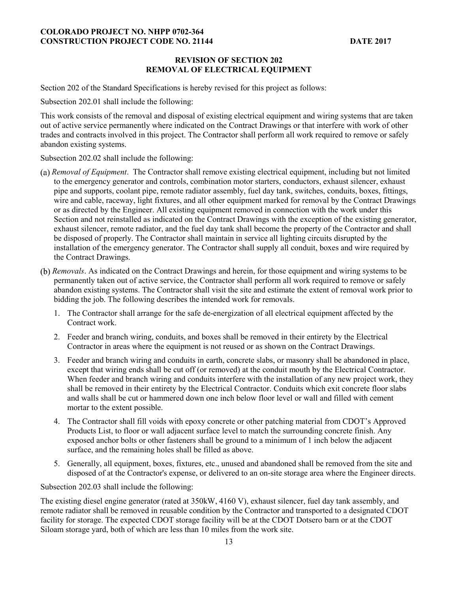### **REVISION OF SECTION 202 REMOVAL OF ELECTRICAL EQUIPMENT**

Section 202 of the Standard Specifications is hereby revised for this project as follows:

Subsection 202.01 shall include the following:

This work consists of the removal and disposal of existing electrical equipment and wiring systems that are taken out of active service permanently where indicated on the Contract Drawings or that interfere with work of other trades and contracts involved in this project. The Contractor shall perform all work required to remove or safely abandon existing systems.

Subsection 202.02 shall include the following:

- *Removal of Equipment*. The Contractor shall remove existing electrical equipment, including but not limited to the emergency generator and controls, combination motor starters, conductors, exhaust silencer, exhaust pipe and supports, coolant pipe, remote radiator assembly, fuel day tank, switches, conduits, boxes, fittings, wire and cable, raceway, light fixtures, and all other equipment marked for removal by the Contract Drawings or as directed by the Engineer. All existing equipment removed in connection with the work under this Section and not reinstalled as indicated on the Contract Drawings with the exception of the existing generator, exhaust silencer, remote radiator, and the fuel day tank shall become the property of the Contractor and shall be disposed of properly. The Contractor shall maintain in service all lighting circuits disrupted by the installation of the emergency generator. The Contractor shall supply all conduit, boxes and wire required by the Contract Drawings.
- *Removals*. As indicated on the Contract Drawings and herein, for those equipment and wiring systems to be permanently taken out of active service, the Contractor shall perform all work required to remove or safely abandon existing systems. The Contractor shall visit the site and estimate the extent of removal work prior to bidding the job. The following describes the intended work for removals.
	- 1. The Contractor shall arrange for the safe de-energization of all electrical equipment affected by the Contract work.
	- 2. Feeder and branch wiring, conduits, and boxes shall be removed in their entirety by the Electrical Contractor in areas where the equipment is not reused or as shown on the Contract Drawings.
	- 3. Feeder and branch wiring and conduits in earth, concrete slabs, or masonry shall be abandoned in place, except that wiring ends shall be cut off (or removed) at the conduit mouth by the Electrical Contractor. When feeder and branch wiring and conduits interfere with the installation of any new project work, they shall be removed in their entirety by the Electrical Contractor. Conduits which exit concrete floor slabs and walls shall be cut or hammered down one inch below floor level or wall and filled with cement mortar to the extent possible.
	- 4. The Contractor shall fill voids with epoxy concrete or other patching material from CDOT's Approved Products List, to floor or wall adjacent surface level to match the surrounding concrete finish. Any exposed anchor bolts or other fasteners shall be ground to a minimum of 1 inch below the adjacent surface, and the remaining holes shall be filled as above.
	- 5. Generally, all equipment, boxes, fixtures, etc., unused and abandoned shall be removed from the site and disposed of at the Contractor's expense, or delivered to an on-site storage area where the Engineer directs.

Subsection 202.03 shall include the following:

The existing diesel engine generator (rated at 350kW, 4160 V), exhaust silencer, fuel day tank assembly, and remote radiator shall be removed in reusable condition by the Contractor and transported to a designated CDOT facility for storage. The expected CDOT storage facility will be at the CDOT Dotsero barn or at the CDOT Siloam storage yard, both of which are less than 10 miles from the work site.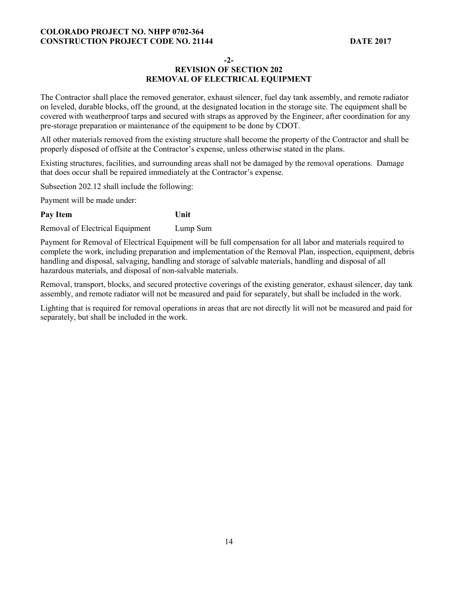**-2-** 

# **REVISION OF SECTION 202 REMOVAL OF ELECTRICAL EQUIPMENT**

The Contractor shall place the removed generator, exhaust silencer, fuel day tank assembly, and remote radiator on leveled, durable blocks, off the ground, at the designated location in the storage site. The equipment shall be covered with weatherproof tarps and secured with straps as approved by the Engineer, after coordination for any pre-storage preparation or maintenance of the equipment to be done by CDOT.

All other materials removed from the existing structure shall become the property of the Contractor and shall be properly disposed of offsite at the Contractor's expense, unless otherwise stated in the plans.

Existing structures, facilities, and surrounding areas shall not be damaged by the removal operations. Damage that does occur shall be repaired immediately at the Contractor's expense.

Subsection 202.12 shall include the following:

Payment will be made under:

# Pay Item Unit

Removal of Electrical Equipment Lump Sum

Payment for Removal of Electrical Equipment will be full compensation for all labor and materials required to complete the work, including preparation and implementation of the Removal Plan, inspection, equipment, debris handling and disposal, salvaging, handling and storage of salvable materials, handling and disposal of all hazardous materials, and disposal of non-salvable materials.

Removal, transport, blocks, and secured protective coverings of the existing generator, exhaust silencer, day tank assembly, and remote radiator will not be measured and paid for separately, but shall be included in the work.

Lighting that is required for removal operations in areas that are not directly lit will not be measured and paid for separately, but shall be included in the work.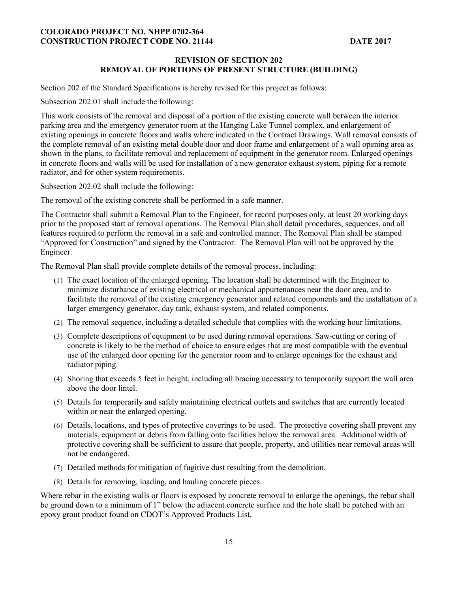## **REVISION OF SECTION 202 REMOVAL OF PORTIONS OF PRESENT STRUCTURE (BUILDING)**

Section 202 of the Standard Specifications is hereby revised for this project as follows:

Subsection 202.01 shall include the following:

This work consists of the removal and disposal of a portion of the existing concrete wall between the interior parking area and the emergency generator room at the Hanging Lake Tunnel complex, and enlargement of existing openings in concrete floors and walls where indicated in the Contract Drawings. Wall removal consists of the complete removal of an existing metal double door and door frame and enlargement of a wall opening area as shown in the plans, to facilitate removal and replacement of equipment in the generator room. Enlarged openings in concrete floors and walls will be used for installation of a new generator exhaust system, piping for a remote radiator, and for other system requirements.

Subsection 202.02 shall include the following:

The removal of the existing concrete shall be performed in a safe manner.

The Contractor shall submit a Removal Plan to the Engineer, for record purposes only, at least 20 working days prior to the proposed start of removal operations. The Removal Plan shall detail procedures, sequences, and all features required to perform the removal in a safe and controlled manner. The Removal Plan shall be stamped "Approved for Construction" and signed by the Contractor. The Removal Plan will not be approved by the Engineer.

The Removal Plan shall provide complete details of the removal process, including:

- (1) The exact location of the enlarged opening. The location shall be determined with the Engineer to minimize disturbance of existing electrical or mechanical appurtenances near the door area, and to facilitate the removal of the existing emergency generator and related components and the installation of a larger emergency generator, day tank, exhaust system, and related components.
- (2) The removal sequence, including a detailed schedule that complies with the working hour limitations.
- (3) Complete descriptions of equipment to be used during removal operations. Saw-cutting or coring of concrete is likely to be the method of choice to ensure edges that are most compatible with the eventual use of the enlarged door opening for the generator room and to enlarge openings for the exhaust and radiator piping.
- (4) Shoring that exceeds 5 feet in height, including all bracing necessary to temporarily support the wall area above the door lintel.
- (5) Details for temporarily and safely maintaining electrical outlets and switches that are currently located within or near the enlarged opening.
- (6) Details, locations, and types of protective coverings to be used. The protective covering shall prevent any materials, equipment or debris from falling onto facilities below the removal area. Additional width of protective covering shall be sufficient to assure that people, property, and utilities near removal areas will not be endangered.
- (7) Detailed methods for mitigation of fugitive dust resulting from the demolition.
- (8) Details for removing, loading, and hauling concrete pieces.

Where rebar in the existing walls or floors is exposed by concrete removal to enlarge the openings, the rebar shall be ground down to a minimum of 1" below the adjacent concrete surface and the hole shall be patched with an epoxy grout product found on CDOT's Approved Products List.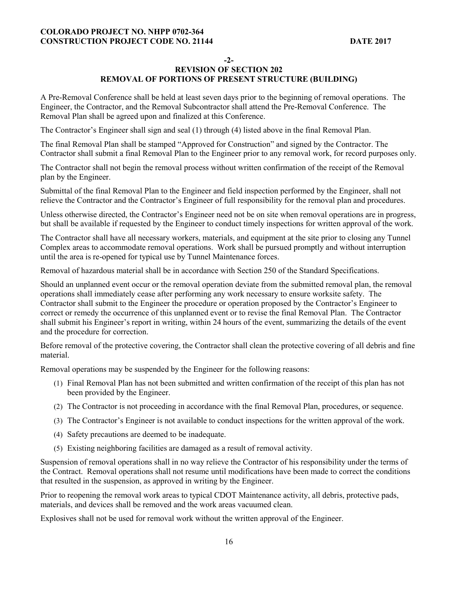**-2-** 

# **REVISION OF SECTION 202 REMOVAL OF PORTIONS OF PRESENT STRUCTURE (BUILDING)**

A Pre-Removal Conference shall be held at least seven days prior to the beginning of removal operations. The Engineer, the Contractor, and the Removal Subcontractor shall attend the Pre-Removal Conference. The Removal Plan shall be agreed upon and finalized at this Conference.

The Contractor's Engineer shall sign and seal (1) through (4) listed above in the final Removal Plan.

The final Removal Plan shall be stamped "Approved for Construction" and signed by the Contractor. The Contractor shall submit a final Removal Plan to the Engineer prior to any removal work, for record purposes only.

The Contractor shall not begin the removal process without written confirmation of the receipt of the Removal plan by the Engineer.

Submittal of the final Removal Plan to the Engineer and field inspection performed by the Engineer, shall not relieve the Contractor and the Contractor's Engineer of full responsibility for the removal plan and procedures.

Unless otherwise directed, the Contractor's Engineer need not be on site when removal operations are in progress, but shall be available if requested by the Engineer to conduct timely inspections for written approval of the work.

The Contractor shall have all necessary workers, materials, and equipment at the site prior to closing any Tunnel Complex areas to accommodate removal operations. Work shall be pursued promptly and without interruption until the area is re-opened for typical use by Tunnel Maintenance forces.

Removal of hazardous material shall be in accordance with Section 250 of the Standard Specifications.

Should an unplanned event occur or the removal operation deviate from the submitted removal plan, the removal operations shall immediately cease after performing any work necessary to ensure worksite safety. The Contractor shall submit to the Engineer the procedure or operation proposed by the Contractor's Engineer to correct or remedy the occurrence of this unplanned event or to revise the final Removal Plan. The Contractor shall submit his Engineer's report in writing, within 24 hours of the event, summarizing the details of the event and the procedure for correction.

Before removal of the protective covering, the Contractor shall clean the protective covering of all debris and fine material.

Removal operations may be suspended by the Engineer for the following reasons:

- (1) Final Removal Plan has not been submitted and written confirmation of the receipt of this plan has not been provided by the Engineer.
- (2) The Contractor is not proceeding in accordance with the final Removal Plan, procedures, or sequence.
- (3) The Contractor's Engineer is not available to conduct inspections for the written approval of the work.
- (4) Safety precautions are deemed to be inadequate.
- (5) Existing neighboring facilities are damaged as a result of removal activity.

Suspension of removal operations shall in no way relieve the Contractor of his responsibility under the terms of the Contract. Removal operations shall not resume until modifications have been made to correct the conditions that resulted in the suspension, as approved in writing by the Engineer.

Prior to reopening the removal work areas to typical CDOT Maintenance activity, all debris, protective pads, materials, and devices shall be removed and the work areas vacuumed clean.

Explosives shall not be used for removal work without the written approval of the Engineer.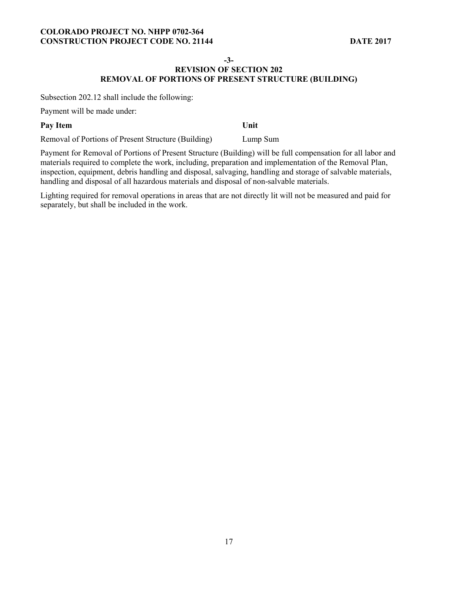**-3-** 

# **REVISION OF SECTION 202 REMOVAL OF PORTIONS OF PRESENT STRUCTURE (BUILDING)**

Subsection 202.12 shall include the following:

Payment will be made under:

# **Pay Item Unit** Removal of Portions of Present Structure (Building) Lump Sum

Payment for Removal of Portions of Present Structure (Building) will be full compensation for all labor and materials required to complete the work, including, preparation and implementation of the Removal Plan, inspection, equipment, debris handling and disposal, salvaging, handling and storage of salvable materials, handling and disposal of all hazardous materials and disposal of non-salvable materials.

Lighting required for removal operations in areas that are not directly lit will not be measured and paid for separately, but shall be included in the work.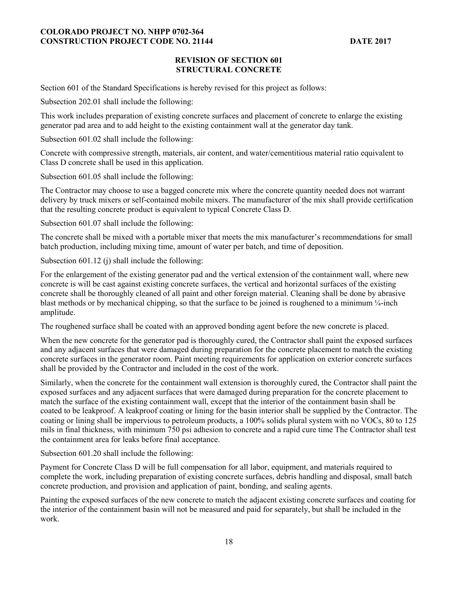# **REVISION OF SECTION 601 STRUCTURAL CONCRETE**

Section 601 of the Standard Specifications is hereby revised for this project as follows:

Subsection 202.01 shall include the following:

This work includes preparation of existing concrete surfaces and placement of concrete to enlarge the existing generator pad area and to add height to the existing containment wall at the generator day tank.

Subsection 601.02 shall include the following:

Concrete with compressive strength, materials, air content, and water/cementitious material ratio equivalent to Class D concrete shall be used in this application.

Subsection 601.05 shall include the following:

The Contractor may choose to use a bagged concrete mix where the concrete quantity needed does not warrant delivery by truck mixers or self-contained mobile mixers. The manufacturer of the mix shall provide certification that the resulting concrete product is equivalent to typical Concrete Class D.

Subsection 601.07 shall include the following:

The concrete shall be mixed with a portable mixer that meets the mix manufacturer's recommendations for small batch production, including mixing time, amount of water per batch, and time of deposition.

Subsection 601.12 (j) shall include the following:

For the enlargement of the existing generator pad and the vertical extension of the containment wall, where new concrete is will be cast against existing concrete surfaces, the vertical and horizontal surfaces of the existing concrete shall be thoroughly cleaned of all paint and other foreign material. Cleaning shall be done by abrasive blast methods or by mechanical chipping, so that the surface to be joined is roughened to a minimum  $\frac{1}{4}$ -inch amplitude.

The roughened surface shall be coated with an approved bonding agent before the new concrete is placed.

When the new concrete for the generator pad is thoroughly cured, the Contractor shall paint the exposed surfaces and any adjacent surfaces that were damaged during preparation for the concrete placement to match the existing concrete surfaces in the generator room. Paint meeting requirements for application on exterior concrete surfaces shall be provided by the Contractor and included in the cost of the work.

Similarly, when the concrete for the containment wall extension is thoroughly cured, the Contractor shall paint the exposed surfaces and any adjacent surfaces that were damaged during preparation for the concrete placement to match the surface of the existing containment wall, except that the interior of the containment basin shall be coated to be leakproof. A leakproof coating or lining for the basin interior shall be supplied by the Contractor. The coating or lining shall be impervious to petroleum products, a 100% solids plural system with no VOCs, 80 to 125 mils in final thickness, with minimum 750 psi adhesion to concrete and a rapid cure time The Contractor shall test the containment area for leaks before final acceptance.

Subsection 601.20 shall include the following:

Payment for Concrete Class D will be full compensation for all labor, equipment, and materials required to complete the work, including preparation of existing concrete surfaces, debris handling and disposal, small batch concrete production, and provision and application of paint, bonding, and sealing agents.

Painting the exposed surfaces of the new concrete to match the adjacent existing concrete surfaces and coating for the interior of the containment basin will not be measured and paid for separately, but shall be included in the work.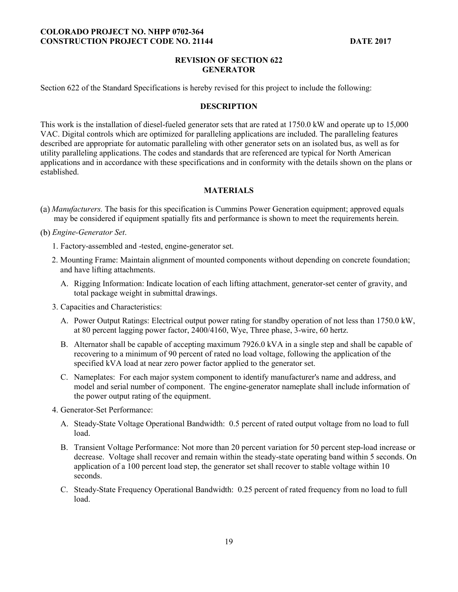# **REVISION OF SECTION 622 GENERATOR**

Section 622 of the Standard Specifications is hereby revised for this project to include the following:

### **DESCRIPTION**

This work is the installation of diesel-fueled generator sets that are rated at 1750.0 kW and operate up to 15,000 VAC. Digital controls which are optimized for paralleling applications are included. The paralleling features described are appropriate for automatic paralleling with other generator sets on an isolated bus, as well as for utility paralleling applications. The codes and standards that are referenced are typical for North American applications and in accordance with these specifications and in conformity with the details shown on the plans or established.

# **MATERIALS**

*Manufacturers.* The basis for this specification is Cummins Power Generation equipment; approved equals may be considered if equipment spatially fits and performance is shown to meet the requirements herein.

*Engine-Generator Set*.

- 1. Factory-assembled and -tested, engine-generator set.
- 2. Mounting Frame: Maintain alignment of mounted components without depending on concrete foundation; and have lifting attachments.
	- A. Rigging Information: Indicate location of each lifting attachment, generator-set center of gravity, and total package weight in submittal drawings.
- 3. Capacities and Characteristics:
	- A. Power Output Ratings: Electrical output power rating for standby operation of not less than 1750.0 kW, at 80 percent lagging power factor, 2400/4160, Wye, Three phase, 3-wire, 60 hertz.
	- B. Alternator shall be capable of accepting maximum 7926.0 kVA in a single step and shall be capable of recovering to a minimum of 90 percent of rated no load voltage, following the application of the specified kVA load at near zero power factor applied to the generator set.
	- C. Nameplates: For each major system component to identify manufacturer's name and address, and model and serial number of component. The engine-generator nameplate shall include information of the power output rating of the equipment.
- 4. Generator-Set Performance:
	- A. Steady-State Voltage Operational Bandwidth: 0.5 percent of rated output voltage from no load to full load.
	- B. Transient Voltage Performance: Not more than 20 percent variation for 50 percent step-load increase or decrease. Voltage shall recover and remain within the steady-state operating band within 5 seconds. On application of a 100 percent load step, the generator set shall recover to stable voltage within 10 seconds.
	- C. Steady-State Frequency Operational Bandwidth: 0.25 percent of rated frequency from no load to full load.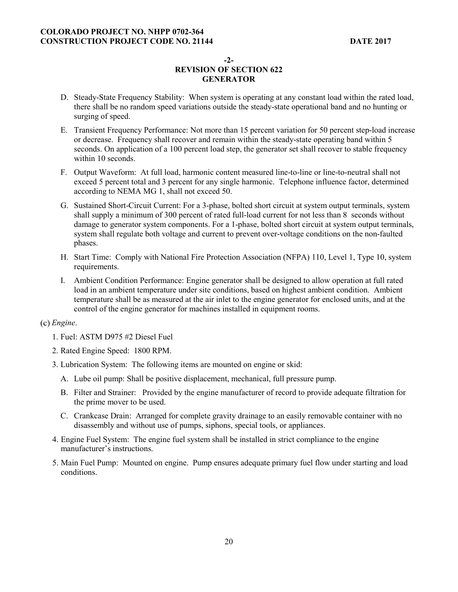**-2-** 

# **REVISION OF SECTION 622 GENERATOR**

- D. Steady-State Frequency Stability: When system is operating at any constant load within the rated load, there shall be no random speed variations outside the steady-state operational band and no hunting or surging of speed.
- E. Transient Frequency Performance: Not more than 15 percent variation for 50 percent step-load increase or decrease. Frequency shall recover and remain within the steady-state operating band within 5 seconds. On application of a 100 percent load step, the generator set shall recover to stable frequency within 10 seconds.
- F. Output Waveform: At full load, harmonic content measured line-to-line or line-to-neutral shall not exceed 5 percent total and 3 percent for any single harmonic. Telephone influence factor, determined according to NEMA MG 1, shall not exceed 50.
- G. Sustained Short-Circuit Current: For a 3-phase, bolted short circuit at system output terminals, system shall supply a minimum of 300 percent of rated full-load current for not less than 8 seconds without damage to generator system components. For a 1-phase, bolted short circuit at system output terminals, system shall regulate both voltage and current to prevent over-voltage conditions on the non-faulted phases.
- H. Start Time: Comply with National Fire Protection Association (NFPA) 110, Level 1, Type 10, system requirements.
- I. Ambient Condition Performance: Engine generator shall be designed to allow operation at full rated load in an ambient temperature under site conditions, based on highest ambient condition. Ambient temperature shall be as measured at the air inlet to the engine generator for enclosed units, and at the control of the engine generator for machines installed in equipment rooms.

# *Engine*.

- 1. Fuel: ASTM D975 #2 Diesel Fuel
- 2. Rated Engine Speed: 1800 RPM.
- 3. Lubrication System: The following items are mounted on engine or skid:
	- A. Lube oil pump: Shall be positive displacement, mechanical, full pressure pump.
	- B. Filter and Strainer: Provided by the engine manufacturer of record to provide adequate filtration for the prime mover to be used.
	- C. Crankcase Drain: Arranged for complete gravity drainage to an easily removable container with no disassembly and without use of pumps, siphons, special tools, or appliances.
- 4. Engine Fuel System: The engine fuel system shall be installed in strict compliance to the engine manufacturer's instructions.
- 5. Main Fuel Pump: Mounted on engine. Pump ensures adequate primary fuel flow under starting and load conditions.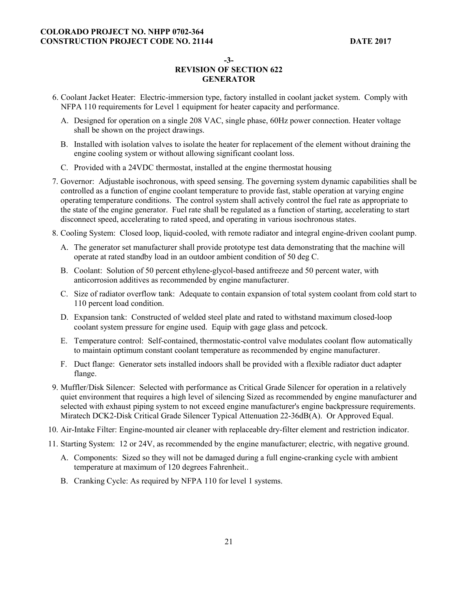**-3-** 

- 6. Coolant Jacket Heater: Electric-immersion type, factory installed in coolant jacket system. Comply with NFPA 110 requirements for Level 1 equipment for heater capacity and performance.
	- A. Designed for operation on a single 208 VAC, single phase, 60Hz power connection. Heater voltage shall be shown on the project drawings.
	- B. Installed with isolation valves to isolate the heater for replacement of the element without draining the engine cooling system or without allowing significant coolant loss.
	- C. Provided with a 24VDC thermostat, installed at the engine thermostat housing
- 7. Governor: Adjustable isochronous, with speed sensing. The governing system dynamic capabilities shall be controlled as a function of engine coolant temperature to provide fast, stable operation at varying engine operating temperature conditions. The control system shall actively control the fuel rate as appropriate to the state of the engine generator. Fuel rate shall be regulated as a function of starting, accelerating to start disconnect speed, accelerating to rated speed, and operating in various isochronous states.
- 8. Cooling System: Closed loop, liquid-cooled, with remote radiator and integral engine-driven coolant pump.
	- A. The generator set manufacturer shall provide prototype test data demonstrating that the machine will operate at rated standby load in an outdoor ambient condition of 50 deg C.
	- B. Coolant: Solution of 50 percent ethylene-glycol-based antifreeze and 50 percent water, with anticorrosion additives as recommended by engine manufacturer.
	- C. Size of radiator overflow tank: Adequate to contain expansion of total system coolant from cold start to 110 percent load condition.
	- D. Expansion tank: Constructed of welded steel plate and rated to withstand maximum closed-loop coolant system pressure for engine used. Equip with gage glass and petcock.
	- E. Temperature control: Self-contained, thermostatic-control valve modulates coolant flow automatically to maintain optimum constant coolant temperature as recommended by engine manufacturer.
	- F. Duct flange: Generator sets installed indoors shall be provided with a flexible radiator duct adapter flange.
- 9. Muffler/Disk Silencer: Selected with performance as Critical Grade Silencer for operation in a relatively quiet environment that requires a high level of silencing Sized as recommended by engine manufacturer and selected with exhaust piping system to not exceed engine manufacturer's engine backpressure requirements. Miratech DCK2-Disk Critical Grade Silencer Typical Attenuation 22-36dB(A). Or Approved Equal.
- 10. Air-Intake Filter: Engine-mounted air cleaner with replaceable dry-filter element and restriction indicator.
- 11. Starting System: 12 or 24V, as recommended by the engine manufacturer; electric, with negative ground.
	- A. Components: Sized so they will not be damaged during a full engine-cranking cycle with ambient temperature at maximum of 120 degrees Fahrenheit..
	- B. Cranking Cycle: As required by NFPA 110 for level 1 systems.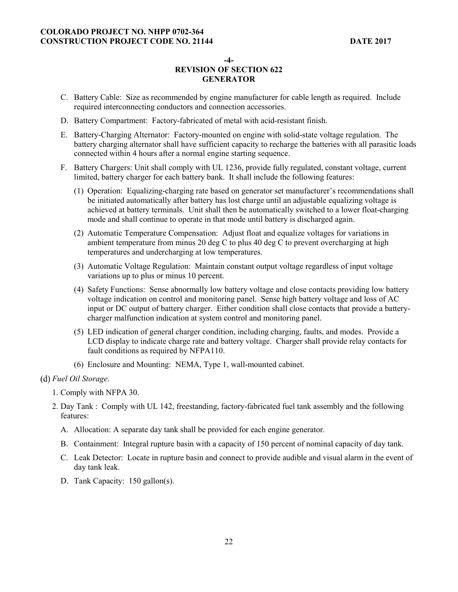**-4-** 

# **REVISION OF SECTION 622 GENERATOR**

- C. Battery Cable: Size as recommended by engine manufacturer for cable length as required. Include required interconnecting conductors and connection accessories.
- D. Battery Compartment: Factory-fabricated of metal with acid-resistant finish.
- E. Battery-Charging Alternator: Factory-mounted on engine with solid-state voltage regulation. The battery charging alternator shall have sufficient capacity to recharge the batteries with all parasitic loads connected within 4 hours after a normal engine starting sequence.
- F. Battery Chargers: Unit shall comply with UL 1236, provide fully regulated, constant voltage, current limited, battery charger for each battery bank. It shall include the following features:
	- (1) Operation: Equalizing-charging rate based on generator set manufacturer's recommendations shall be initiated automatically after battery has lost charge until an adjustable equalizing voltage is achieved at battery terminals. Unit shall then be automatically switched to a lower float-charging mode and shall continue to operate in that mode until battery is discharged again.
	- (2) Automatic Temperature Compensation: Adjust float and equalize voltages for variations in ambient temperature from minus 20 deg C to plus 40 deg C to prevent overcharging at high temperatures and undercharging at low temperatures.
	- (3) Automatic Voltage Regulation: Maintain constant output voltage regardless of input voltage variations up to plus or minus 10 percent.
	- (4) Safety Functions: Sense abnormally low battery voltage and close contacts providing low battery voltage indication on control and monitoring panel. Sense high battery voltage and loss of AC input or DC output of battery charger. Either condition shall close contacts that provide a batterycharger malfunction indication at system control and monitoring panel.
	- (5) LED indication of general charger condition, including charging, faults, and modes. Provide a LCD display to indicate charge rate and battery voltage. Charger shall provide relay contacts for fault conditions as required by NFPA110.
	- (6) Enclosure and Mounting: NEMA, Type 1, wall-mounted cabinet.

#### *Fuel Oil Storage*.

- 1. Comply with NFPA 30.
- 2. Day Tank : Comply with UL 142, freestanding, factory-fabricated fuel tank assembly and the following features:
	- A. Allocation: A separate day tank shall be provided for each engine generator.
	- B. Containment: Integral rupture basin with a capacity of 150 percent of nominal capacity of day tank.
	- C. Leak Detector: Locate in rupture basin and connect to provide audible and visual alarm in the event of day tank leak.
	- D. Tank Capacity: 150 gallon(s).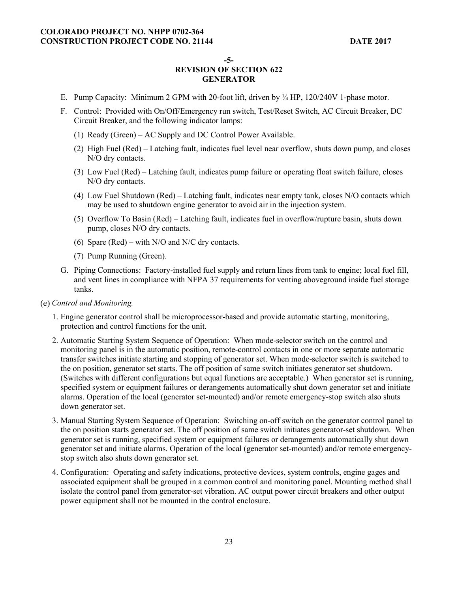**-5-** 

- E. Pump Capacity: Minimum 2 GPM with 20-foot lift, driven by ¼ HP, 120/240V 1-phase motor.
- F. Control: Provided with On/Off/Emergency run switch, Test/Reset Switch, AC Circuit Breaker, DC Circuit Breaker, and the following indicator lamps:
	- (1) Ready (Green) AC Supply and DC Control Power Available.
	- (2) High Fuel (Red) Latching fault, indicates fuel level near overflow, shuts down pump, and closes N/O dry contacts.
	- (3) Low Fuel (Red) Latching fault, indicates pump failure or operating float switch failure, closes N/O dry contacts.
	- (4) Low Fuel Shutdown (Red) Latching fault, indicates near empty tank, closes N/O contacts which may be used to shutdown engine generator to avoid air in the injection system.
	- (5) Overflow To Basin (Red) Latching fault, indicates fuel in overflow/rupture basin, shuts down pump, closes N/O dry contacts.
	- (6) Spare (Red) with N/O and N/C dry contacts.
	- (7) Pump Running (Green).
- G. Piping Connections: Factory-installed fuel supply and return lines from tank to engine; local fuel fill, and vent lines in compliance with NFPA 37 requirements for venting aboveground inside fuel storage tanks.
- *Control and Monitoring.* 
	- 1. Engine generator control shall be microprocessor-based and provide automatic starting, monitoring, protection and control functions for the unit.
	- 2. Automatic Starting System Sequence of Operation: When mode-selector switch on the control and monitoring panel is in the automatic position, remote-control contacts in one or more separate automatic transfer switches initiate starting and stopping of generator set. When mode-selector switch is switched to the on position, generator set starts. The off position of same switch initiates generator set shutdown. (Switches with different configurations but equal functions are acceptable.) When generator set is running, specified system or equipment failures or derangements automatically shut down generator set and initiate alarms. Operation of the local (generator set-mounted) and/or remote emergency-stop switch also shuts down generator set.
	- 3. Manual Starting System Sequence of Operation: Switching on-off switch on the generator control panel to the on position starts generator set. The off position of same switch initiates generator-set shutdown. When generator set is running, specified system or equipment failures or derangements automatically shut down generator set and initiate alarms. Operation of the local (generator set-mounted) and/or remote emergencystop switch also shuts down generator set.
	- 4. Configuration: Operating and safety indications, protective devices, system controls, engine gages and associated equipment shall be grouped in a common control and monitoring panel. Mounting method shall isolate the control panel from generator-set vibration. AC output power circuit breakers and other output power equipment shall not be mounted in the control enclosure.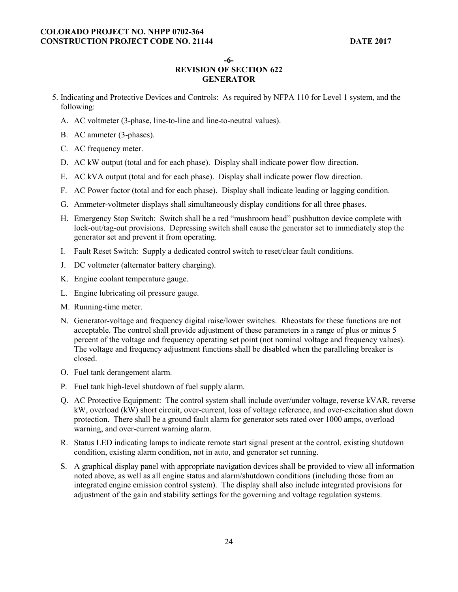**-6-** 

- 5. Indicating and Protective Devices and Controls: As required by NFPA 110 for Level 1 system, and the following:
	- A. AC voltmeter (3-phase, line-to-line and line-to-neutral values).
	- B. AC ammeter (3-phases).
	- C. AC frequency meter.
	- D. AC kW output (total and for each phase). Display shall indicate power flow direction.
	- E. AC kVA output (total and for each phase). Display shall indicate power flow direction.
	- F. AC Power factor (total and for each phase). Display shall indicate leading or lagging condition.
	- G. Ammeter-voltmeter displays shall simultaneously display conditions for all three phases.
	- H. Emergency Stop Switch: Switch shall be a red "mushroom head" pushbutton device complete with lock-out/tag-out provisions. Depressing switch shall cause the generator set to immediately stop the generator set and prevent it from operating.
	- I. Fault Reset Switch: Supply a dedicated control switch to reset/clear fault conditions.
	- J. DC voltmeter (alternator battery charging).
	- K. Engine coolant temperature gauge.
	- L. Engine lubricating oil pressure gauge.
	- M. Running-time meter.
	- N. Generator-voltage and frequency digital raise/lower switches. Rheostats for these functions are not acceptable. The control shall provide adjustment of these parameters in a range of plus or minus 5 percent of the voltage and frequency operating set point (not nominal voltage and frequency values). The voltage and frequency adjustment functions shall be disabled when the paralleling breaker is closed.
	- O. Fuel tank derangement alarm.
	- P. Fuel tank high-level shutdown of fuel supply alarm.
	- Q. AC Protective Equipment: The control system shall include over/under voltage, reverse kVAR, reverse kW, overload (kW) short circuit, over-current, loss of voltage reference, and over-excitation shut down protection. There shall be a ground fault alarm for generator sets rated over 1000 amps, overload warning, and over-current warning alarm.
	- R. Status LED indicating lamps to indicate remote start signal present at the control, existing shutdown condition, existing alarm condition, not in auto, and generator set running.
	- S. A graphical display panel with appropriate navigation devices shall be provided to view all information noted above, as well as all engine status and alarm/shutdown conditions (including those from an integrated engine emission control system). The display shall also include integrated provisions for adjustment of the gain and stability settings for the governing and voltage regulation systems.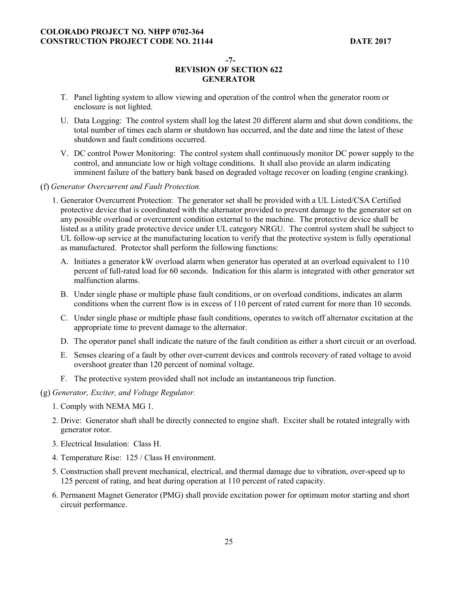**-7-** 

- T. Panel lighting system to allow viewing and operation of the control when the generator room or enclosure is not lighted.
- U. Data Logging: The control system shall log the latest 20 different alarm and shut down conditions, the total number of times each alarm or shutdown has occurred, and the date and time the latest of these shutdown and fault conditions occurred.
- V. DC control Power Monitoring: The control system shall continuously monitor DC power supply to the control, and annunciate low or high voltage conditions. It shall also provide an alarm indicating imminent failure of the battery bank based on degraded voltage recover on loading (engine cranking).
- *Generator Overcurrent and Fault Protection.* 
	- 1. Generator Overcurrent Protection: The generator set shall be provided with a UL Listed/CSA Certified protective device that is coordinated with the alternator provided to prevent damage to the generator set on any possible overload or overcurrent condition external to the machine. The protective device shall be listed as a utility grade protective device under UL category NRGU. The control system shall be subject to UL follow-up service at the manufacturing location to verify that the protective system is fully operational as manufactured. Protector shall perform the following functions:
		- A. Initiates a generator kW overload alarm when generator has operated at an overload equivalent to 110 percent of full-rated load for 60 seconds. Indication for this alarm is integrated with other generator set malfunction alarms.
		- B. Under single phase or multiple phase fault conditions, or on overload conditions, indicates an alarm conditions when the current flow is in excess of 110 percent of rated current for more than 10 seconds.
		- C. Under single phase or multiple phase fault conditions, operates to switch off alternator excitation at the appropriate time to prevent damage to the alternator.
		- D. The operator panel shall indicate the nature of the fault condition as either a short circuit or an overload.
		- E. Senses clearing of a fault by other over-current devices and controls recovery of rated voltage to avoid overshoot greater than 120 percent of nominal voltage.
		- F. The protective system provided shall not include an instantaneous trip function.
- *Generator, Exciter, and Voltage Regulator.* 
	- 1. Comply with NEMA MG 1.
	- 2. Drive: Generator shaft shall be directly connected to engine shaft. Exciter shall be rotated integrally with generator rotor.
	- 3. Electrical Insulation: Class H.
	- 4. Temperature Rise: 125 / Class H environment.
	- 5. Construction shall prevent mechanical, electrical, and thermal damage due to vibration, over-speed up to 125 percent of rating, and heat during operation at 110 percent of rated capacity.
	- 6. Permanent Magnet Generator (PMG) shall provide excitation power for optimum motor starting and short circuit performance.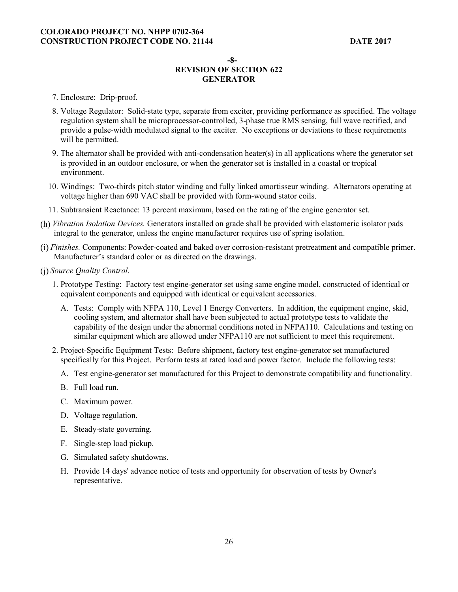#### **-8-**

- 7. Enclosure: Drip-proof.
- 8. Voltage Regulator: Solid-state type, separate from exciter, providing performance as specified. The voltage regulation system shall be microprocessor-controlled, 3-phase true RMS sensing, full wave rectified, and provide a pulse-width modulated signal to the exciter. No exceptions or deviations to these requirements will be permitted.
- 9. The alternator shall be provided with anti-condensation heater(s) in all applications where the generator set is provided in an outdoor enclosure, or when the generator set is installed in a coastal or tropical environment.
- 10. Windings: Two-thirds pitch stator winding and fully linked amortisseur winding. Alternators operating at voltage higher than 690 VAC shall be provided with form-wound stator coils.
- 11. Subtransient Reactance: 13 percent maximum, based on the rating of the engine generator set.
- *Vibration Isolation Devices.* Generators installed on grade shall be provided with elastomeric isolator pads integral to the generator, unless the engine manufacturer requires use of spring isolation.
- *Finishes.* Components: Powder-coated and baked over corrosion-resistant pretreatment and compatible primer. Manufacturer's standard color or as directed on the drawings.
- *Source Quality Control.* 
	- 1. Prototype Testing: Factory test engine-generator set using same engine model, constructed of identical or equivalent components and equipped with identical or equivalent accessories.
		- A. Tests: Comply with NFPA 110, Level 1 Energy Converters. In addition, the equipment engine, skid, cooling system, and alternator shall have been subjected to actual prototype tests to validate the capability of the design under the abnormal conditions noted in NFPA110. Calculations and testing on similar equipment which are allowed under NFPA110 are not sufficient to meet this requirement.
	- 2. Project-Specific Equipment Tests: Before shipment, factory test engine-generator set manufactured specifically for this Project. Perform tests at rated load and power factor. Include the following tests:
		- A. Test engine-generator set manufactured for this Project to demonstrate compatibility and functionality.
		- B. Full load run.
		- C. Maximum power.
		- D. Voltage regulation.
		- E. Steady-state governing.
		- F. Single-step load pickup.
		- G. Simulated safety shutdowns.
		- H. Provide 14 days' advance notice of tests and opportunity for observation of tests by Owner's representative.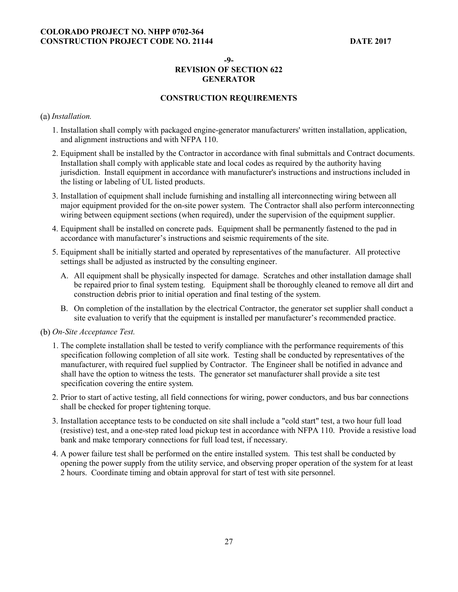**-9-** 

# **REVISION OF SECTION 622 GENERATOR**

# **CONSTRUCTION REQUIREMENTS**

#### *Installation.*

- 1. Installation shall comply with packaged engine-generator manufacturers' written installation, application, and alignment instructions and with NFPA 110.
- 2. Equipment shall be installed by the Contractor in accordance with final submittals and Contract documents. Installation shall comply with applicable state and local codes as required by the authority having jurisdiction. Install equipment in accordance with manufacturer's instructions and instructions included in the listing or labeling of UL listed products.
- 3. Installation of equipment shall include furnishing and installing all interconnecting wiring between all major equipment provided for the on-site power system. The Contractor shall also perform interconnecting wiring between equipment sections (when required), under the supervision of the equipment supplier.
- 4. Equipment shall be installed on concrete pads. Equipment shall be permanently fastened to the pad in accordance with manufacturer's instructions and seismic requirements of the site.
- 5. Equipment shall be initially started and operated by representatives of the manufacturer. All protective settings shall be adjusted as instructed by the consulting engineer.
	- A. All equipment shall be physically inspected for damage. Scratches and other installation damage shall be repaired prior to final system testing. Equipment shall be thoroughly cleaned to remove all dirt and construction debris prior to initial operation and final testing of the system.
	- B. On completion of the installation by the electrical Contractor, the generator set supplier shall conduct a site evaluation to verify that the equipment is installed per manufacturer's recommended practice.
- *On-Site Acceptance Test.* 
	- 1. The complete installation shall be tested to verify compliance with the performance requirements of this specification following completion of all site work. Testing shall be conducted by representatives of the manufacturer, with required fuel supplied by Contractor. The Engineer shall be notified in advance and shall have the option to witness the tests. The generator set manufacturer shall provide a site test specification covering the entire system.
	- 2. Prior to start of active testing, all field connections for wiring, power conductors, and bus bar connections shall be checked for proper tightening torque.
	- 3. Installation acceptance tests to be conducted on site shall include a "cold start" test, a two hour full load (resistive) test, and a one-step rated load pickup test in accordance with NFPA 110. Provide a resistive load bank and make temporary connections for full load test, if necessary.
	- 4. A power failure test shall be performed on the entire installed system. This test shall be conducted by opening the power supply from the utility service, and observing proper operation of the system for at least 2 hours. Coordinate timing and obtain approval for start of test with site personnel.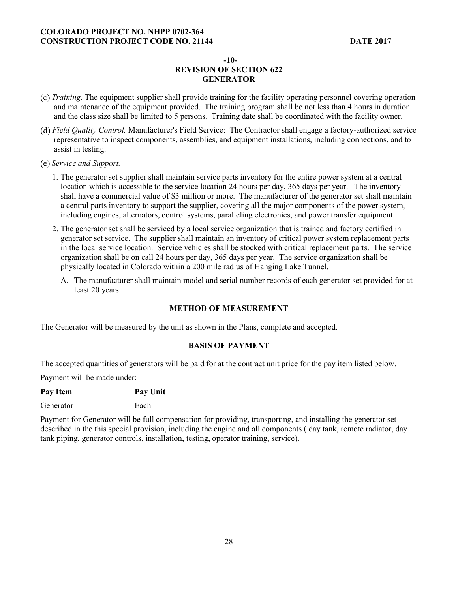#### **-10-**

# **REVISION OF SECTION 622 GENERATOR**

- *Training.* The equipment supplier shall provide training for the facility operating personnel covering operation and maintenance of the equipment provided. The training program shall be not less than 4 hours in duration and the class size shall be limited to 5 persons. Training date shall be coordinated with the facility owner.
- *Field Quality Control.* Manufacturer's Field Service: The Contractor shall engage a factory-authorized service representative to inspect components, assemblies, and equipment installations, including connections, and to assist in testing.
- *Service and Support.* 
	- 1. The generator set supplier shall maintain service parts inventory for the entire power system at a central location which is accessible to the service location 24 hours per day, 365 days per year. The inventory shall have a commercial value of \$3 million or more. The manufacturer of the generator set shall maintain a central parts inventory to support the supplier, covering all the major components of the power system, including engines, alternators, control systems, paralleling electronics, and power transfer equipment.
	- 2. The generator set shall be serviced by a local service organization that is trained and factory certified in generator set service. The supplier shall maintain an inventory of critical power system replacement parts in the local service location. Service vehicles shall be stocked with critical replacement parts. The service organization shall be on call 24 hours per day, 365 days per year. The service organization shall be physically located in Colorado within a 200 mile radius of Hanging Lake Tunnel.
		- A. The manufacturer shall maintain model and serial number records of each generator set provided for at least 20 years.

# **METHOD OF MEASUREMENT**

The Generator will be measured by the unit as shown in the Plans, complete and accepted.

# **BASIS OF PAYMENT**

The accepted quantities of generators will be paid for at the contract unit price for the pay item listed below.

Payment will be made under:

| Pay Item<br>Pay Unit |  |
|----------------------|--|
|----------------------|--|

Generator Each

Payment for Generator will be full compensation for providing, transporting, and installing the generator set described in the this special provision, including the engine and all components ( day tank, remote radiator, day tank piping, generator controls, installation, testing, operator training, service).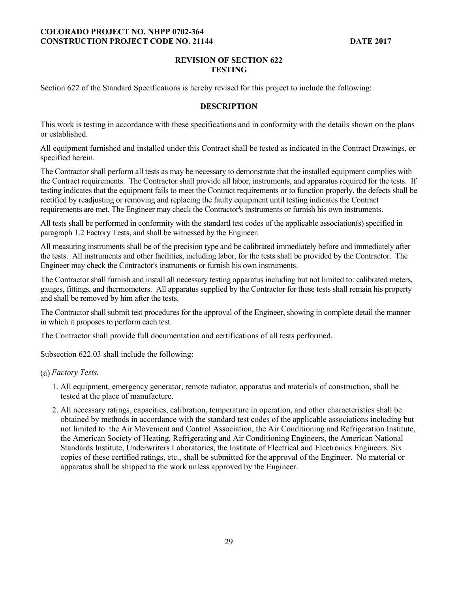# **REVISION OF SECTION 622 TESTING**

Section 622 of the Standard Specifications is hereby revised for this project to include the following:

# **DESCRIPTION**

This work is testing in accordance with these specifications and in conformity with the details shown on the plans or established.

All equipment furnished and installed under this Contract shall be tested as indicated in the Contract Drawings, or specified herein.

The Contractor shall perform all tests as may be necessary to demonstrate that the installed equipment complies with the Contract requirements. The Contractor shall provide all labor, instruments, and apparatus required for the tests. If testing indicates that the equipment fails to meet the Contract requirements or to function properly, the defects shall be rectified by readjusting or removing and replacing the faulty equipment until testing indicates the Contract requirements are met. The Engineer may check the Contractor's instruments or furnish his own instruments.

All tests shall be performed in conformity with the standard test codes of the applicable association(s) specified in paragraph 1.2 Factory Tests, and shall be witnessed by the Engineer.

All measuring instruments shall be of the precision type and be calibrated immediately before and immediately after the tests. All instruments and other facilities, including labor, for the tests shall be provided by the Contractor. The Engineer may check the Contractor's instruments or furnish his own instruments.

The Contractor shall furnish and install all necessary testing apparatus including but not limited to: calibrated meters, gauges, fittings, and thermometers. All apparatus supplied by the Contractor for these tests shall remain his property and shall be removed by him after the tests.

The Contractor shall submit test procedures for the approval of the Engineer, showing in complete detail the manner in which it proposes to perform each test.

The Contractor shall provide full documentation and certifications of all tests performed.

Subsection 622.03 shall include the following:

#### *Factory Tests.*

- 1. All equipment, emergency generator, remote radiator, apparatus and materials of construction, shall be tested at the place of manufacture.
- 2. All necessary ratings, capacities, calibration, temperature in operation, and other characteristics shall be obtained by methods in accordance with the standard test codes of the applicable associations including but not limited to the Air Movement and Control Association, the Air Conditioning and Refrigeration Institute, the American Society of Heating, Refrigerating and Air Conditioning Engineers, the American National Standards Institute, Underwriters Laboratories, the Institute of Electrical and Electronics Engineers. Six copies of these certified ratings, etc., shall be submitted for the approval of the Engineer. No material or apparatus shall be shipped to the work unless approved by the Engineer.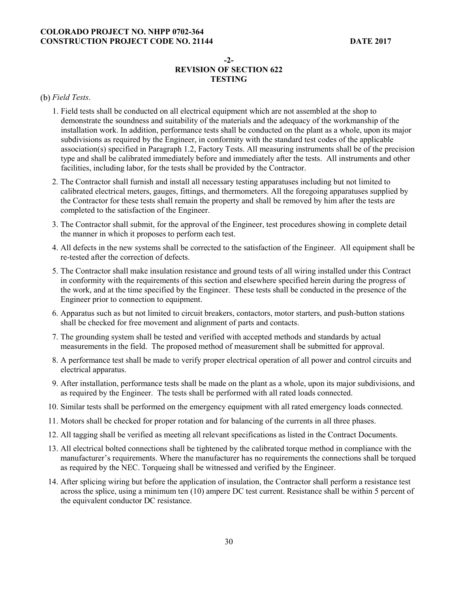# **-2- REVISION OF SECTION 622 TESTING**

### *Field Tests*.

- 1. Field tests shall be conducted on all electrical equipment which are not assembled at the shop to demonstrate the soundness and suitability of the materials and the adequacy of the workmanship of the installation work. In addition, performance tests shall be conducted on the plant as a whole, upon its major subdivisions as required by the Engineer, in conformity with the standard test codes of the applicable association(s) specified in Paragraph 1.2, Factory Tests. All measuring instruments shall be of the precision type and shall be calibrated immediately before and immediately after the tests. All instruments and other facilities, including labor, for the tests shall be provided by the Contractor.
- 2. The Contractor shall furnish and install all necessary testing apparatuses including but not limited to calibrated electrical meters, gauges, fittings, and thermometers. All the foregoing apparatuses supplied by the Contractor for these tests shall remain the property and shall be removed by him after the tests are completed to the satisfaction of the Engineer.
- 3. The Contractor shall submit, for the approval of the Engineer, test procedures showing in complete detail the manner in which it proposes to perform each test.
- 4. All defects in the new systems shall be corrected to the satisfaction of the Engineer. All equipment shall be re-tested after the correction of defects.
- 5. The Contractor shall make insulation resistance and ground tests of all wiring installed under this Contract in conformity with the requirements of this section and elsewhere specified herein during the progress of the work, and at the time specified by the Engineer. These tests shall be conducted in the presence of the Engineer prior to connection to equipment.
- 6. Apparatus such as but not limited to circuit breakers, contactors, motor starters, and push-button stations shall be checked for free movement and alignment of parts and contacts.
- 7. The grounding system shall be tested and verified with accepted methods and standards by actual measurements in the field. The proposed method of measurement shall be submitted for approval.
- 8. A performance test shall be made to verify proper electrical operation of all power and control circuits and electrical apparatus.
- 9. After installation, performance tests shall be made on the plant as a whole, upon its major subdivisions, and as required by the Engineer. The tests shall be performed with all rated loads connected.
- 10. Similar tests shall be performed on the emergency equipment with all rated emergency loads connected.
- 11. Motors shall be checked for proper rotation and for balancing of the currents in all three phases.
- 12. All tagging shall be verified as meeting all relevant specifications as listed in the Contract Documents.
- 13. All electrical bolted connections shall be tightened by the calibrated torque method in compliance with the manufacturer's requirements. Where the manufacturer has no requirements the connections shall be torqued as required by the NEC. Torqueing shall be witnessed and verified by the Engineer.
- 14. After splicing wiring but before the application of insulation, the Contractor shall perform a resistance test across the splice, using a minimum ten (10) ampere DC test current. Resistance shall be within 5 percent of the equivalent conductor DC resistance.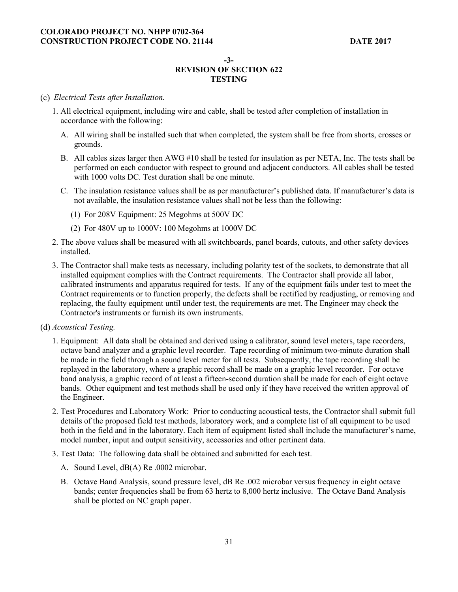**-3-** 

# **REVISION OF SECTION 622 TESTING**

### *Electrical Tests after Installation.*

- 1. All electrical equipment, including wire and cable, shall be tested after completion of installation in accordance with the following:
	- A. All wiring shall be installed such that when completed, the system shall be free from shorts, crosses or grounds.
	- B. All cables sizes larger then AWG #10 shall be tested for insulation as per NETA, Inc. The tests shall be performed on each conductor with respect to ground and adjacent conductors. All cables shall be tested with 1000 volts DC. Test duration shall be one minute.
	- C. The insulation resistance values shall be as per manufacturer's published data. If manufacturer's data is not available, the insulation resistance values shall not be less than the following:
		- (1) For 208V Equipment: 25 Megohms at 500V DC
		- (2) For 480V up to 1000V: 100 Megohms at 1000V DC
- 2. The above values shall be measured with all switchboards, panel boards, cutouts, and other safety devices installed.
- 3. The Contractor shall make tests as necessary, including polarity test of the sockets, to demonstrate that all installed equipment complies with the Contract requirements. The Contractor shall provide all labor, calibrated instruments and apparatus required for tests. If any of the equipment fails under test to meet the Contract requirements or to function properly, the defects shall be rectified by readjusting, or removing and replacing, the faulty equipment until under test, the requirements are met. The Engineer may check the Contractor's instruments or furnish its own instruments.
- *Acoustical Testing.* 
	- 1. Equipment: All data shall be obtained and derived using a calibrator, sound level meters, tape recorders, octave band analyzer and a graphic level recorder. Tape recording of minimum two-minute duration shall be made in the field through a sound level meter for all tests. Subsequently, the tape recording shall be replayed in the laboratory, where a graphic record shall be made on a graphic level recorder. For octave band analysis, a graphic record of at least a fifteen-second duration shall be made for each of eight octave bands. Other equipment and test methods shall be used only if they have received the written approval of the Engineer.
	- 2. Test Procedures and Laboratory Work: Prior to conducting acoustical tests, the Contractor shall submit full details of the proposed field test methods, laboratory work, and a complete list of all equipment to be used both in the field and in the laboratory. Each item of equipment listed shall include the manufacturer's name, model number, input and output sensitivity, accessories and other pertinent data.
	- 3. Test Data: The following data shall be obtained and submitted for each test.
		- A. Sound Level, dB(A) Re .0002 microbar.
		- B. Octave Band Analysis, sound pressure level, dB Re .002 microbar versus frequency in eight octave bands; center frequencies shall be from 63 hertz to 8,000 hertz inclusive. The Octave Band Analysis shall be plotted on NC graph paper.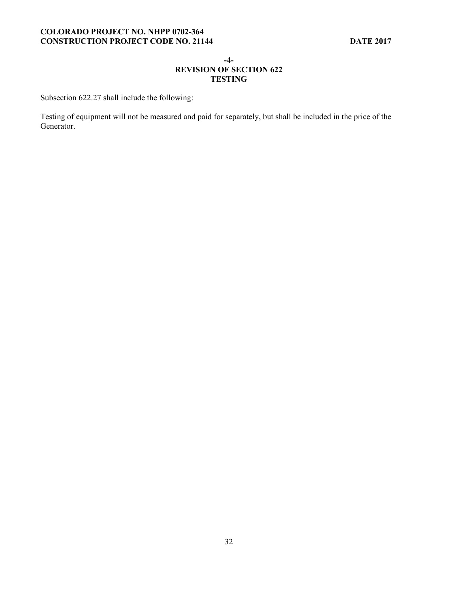#### **-4-**

# **REVISION OF SECTION 622 TESTING**

Subsection 622.27 shall include the following:

Testing of equipment will not be measured and paid for separately, but shall be included in the price of the Generator.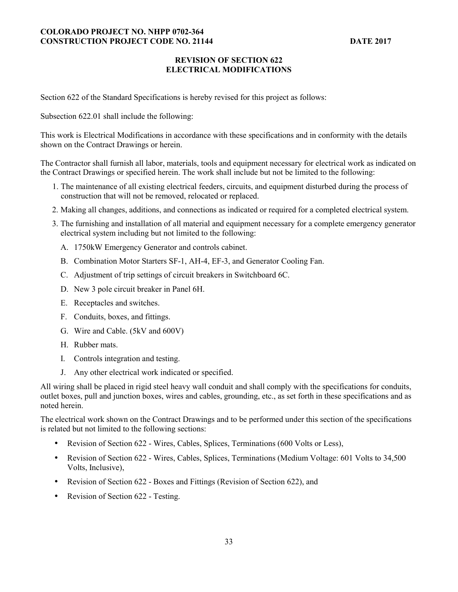# **REVISION OF SECTION 622 ELECTRICAL MODIFICATIONS**

Section 622 of the Standard Specifications is hereby revised for this project as follows:

Subsection 622.01 shall include the following:

This work is Electrical Modifications in accordance with these specifications and in conformity with the details shown on the Contract Drawings or herein.

The Contractor shall furnish all labor, materials, tools and equipment necessary for electrical work as indicated on the Contract Drawings or specified herein. The work shall include but not be limited to the following:

- 1. The maintenance of all existing electrical feeders, circuits, and equipment disturbed during the process of construction that will not be removed, relocated or replaced.
- 2. Making all changes, additions, and connections as indicated or required for a completed electrical system.
- 3. The furnishing and installation of all material and equipment necessary for a complete emergency generator electrical system including but not limited to the following:
	- A. 1750kW Emergency Generator and controls cabinet.
	- B. Combination Motor Starters SF-1, AH-4, EF-3, and Generator Cooling Fan.
	- C. Adjustment of trip settings of circuit breakers in Switchboard 6C.
	- D. New 3 pole circuit breaker in Panel 6H.
	- E. Receptacles and switches.
	- F. Conduits, boxes, and fittings.
	- G. Wire and Cable. (5kV and 600V)
	- H. Rubber mats.
	- I. Controls integration and testing.
	- J. Any other electrical work indicated or specified.

All wiring shall be placed in rigid steel heavy wall conduit and shall comply with the specifications for conduits, outlet boxes, pull and junction boxes, wires and cables, grounding, etc., as set forth in these specifications and as noted herein.

The electrical work shown on the Contract Drawings and to be performed under this section of the specifications is related but not limited to the following sections:

- Revision of Section 622 Wires, Cables, Splices, Terminations (600 Volts or Less),
- Revision of Section 622 Wires, Cables, Splices, Terminations (Medium Voltage: 601 Volts to 34,500 Volts, Inclusive),
- Revision of Section 622 Boxes and Fittings (Revision of Section 622), and
- Revision of Section 622 Testing.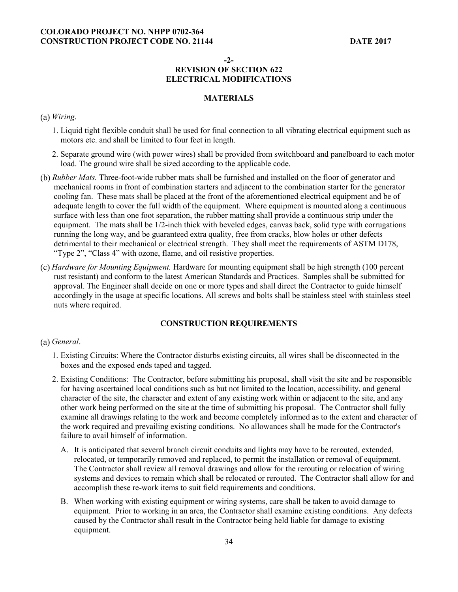**-2-** 

# **REVISION OF SECTION 622 ELECTRICAL MODIFICATIONS**

# **MATERIALS**

#### *Wiring*.

- 1. Liquid tight flexible conduit shall be used for final connection to all vibrating electrical equipment such as motors etc. and shall be limited to four feet in length.
- 2. Separate ground wire (with power wires) shall be provided from switchboard and panelboard to each motor load. The ground wire shall be sized according to the applicable code.
- *Rubber Mats.* Three-foot-wide rubber mats shall be furnished and installed on the floor of generator and mechanical rooms in front of combination starters and adjacent to the combination starter for the generator cooling fan. These mats shall be placed at the front of the aforementioned electrical equipment and be of adequate length to cover the full width of the equipment. Where equipment is mounted along a continuous surface with less than one foot separation, the rubber matting shall provide a continuous strip under the equipment. The mats shall be 1/2-inch thick with beveled edges, canvas back, solid type with corrugations running the long way, and be guaranteed extra quality, free from cracks, blow holes or other defects detrimental to their mechanical or electrical strength. They shall meet the requirements of ASTM D178, "Type 2", "Class 4" with ozone, flame, and oil resistive properties.
- *Hardware for Mounting Equipment.* Hardware for mounting equipment shall be high strength (100 percent rust resistant) and conform to the latest American Standards and Practices. Samples shall be submitted for approval. The Engineer shall decide on one or more types and shall direct the Contractor to guide himself accordingly in the usage at specific locations. All screws and bolts shall be stainless steel with stainless steel nuts where required.

#### **CONSTRUCTION REQUIREMENTS**

#### *General*.

- 1. Existing Circuits: Where the Contractor disturbs existing circuits, all wires shall be disconnected in the boxes and the exposed ends taped and tagged.
- 2. Existing Conditions: The Contractor, before submitting his proposal, shall visit the site and be responsible for having ascertained local conditions such as but not limited to the location, accessibility, and general character of the site, the character and extent of any existing work within or adjacent to the site, and any other work being performed on the site at the time of submitting his proposal. The Contractor shall fully examine all drawings relating to the work and become completely informed as to the extent and character of the work required and prevailing existing conditions. No allowances shall be made for the Contractor's failure to avail himself of information.
	- A. It is anticipated that several branch circuit conduits and lights may have to be rerouted, extended, relocated, or temporarily removed and replaced, to permit the installation or removal of equipment. The Contractor shall review all removal drawings and allow for the rerouting or relocation of wiring systems and devices to remain which shall be relocated or rerouted. The Contractor shall allow for and accomplish these re-work items to suit field requirements and conditions.
	- B. When working with existing equipment or wiring systems, care shall be taken to avoid damage to equipment. Prior to working in an area, the Contractor shall examine existing conditions. Any defects caused by the Contractor shall result in the Contractor being held liable for damage to existing equipment.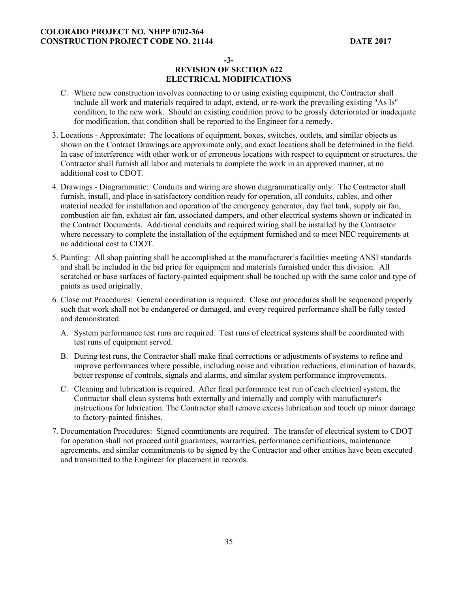**-3-** 

# **REVISION OF SECTION 622 ELECTRICAL MODIFICATIONS**

- C. Where new construction involves connecting to or using existing equipment, the Contractor shall include all work and materials required to adapt, extend, or re-work the prevailing existing "As Is" condition, to the new work. Should an existing condition prove to be grossly deteriorated or inadequate for modification, that condition shall be reported to the Engineer for a remedy.
- 3. Locations Approximate: The locations of equipment, boxes, switches, outlets, and similar objects as shown on the Contract Drawings are approximate only, and exact locations shall be determined in the field. In case of interference with other work or of erroneous locations with respect to equipment or structures, the Contractor shall furnish all labor and materials to complete the work in an approved manner, at no additional cost to CDOT.
- 4. Drawings Diagrammatic: Conduits and wiring are shown diagrammatically only. The Contractor shall furnish, install, and place in satisfactory condition ready for operation, all conduits, cables, and other material needed for installation and operation of the emergency generator, day fuel tank, supply air fan, combustion air fan, exhaust air fan, associated dampers, and other electrical systems shown or indicated in the Contract Documents. Additional conduits and required wiring shall be installed by the Contractor where necessary to complete the installation of the equipment furnished and to meet NEC requirements at no additional cost to CDOT.
- 5. Painting: All shop painting shall be accomplished at the manufacturer's facilities meeting ANSI standards and shall be included in the bid price for equipment and materials furnished under this division. All scratched or base surfaces of factory-painted equipment shall be touched up with the same color and type of paints as used originally.
- 6. Close out Procedures: General coordination is required. Close out procedures shall be sequenced properly such that work shall not be endangered or damaged, and every required performance shall be fully tested and demonstrated.
	- A. System performance test runs are required. Test runs of electrical systems shall be coordinated with test runs of equipment served.
	- B. During test runs, the Contractor shall make final corrections or adjustments of systems to refine and improve performances where possible, including noise and vibration reductions, elimination of hazards, better response of controls, signals and alarms, and similar system performance improvements.
	- C. Cleaning and lubrication is required. After final performance test run of each electrical system, the Contractor shall clean systems both externally and internally and comply with manufacturer's instructions for lubrication. The Contractor shall remove excess lubrication and touch up minor damage to factory-painted finishes.
- 7. Documentation Procedures: Signed commitments are required. The transfer of electrical system to CDOT for operation shall not proceed until guarantees, warranties, performance certifications, maintenance agreements, and similar commitments to be signed by the Contractor and other entities have been executed and transmitted to the Engineer for placement in records.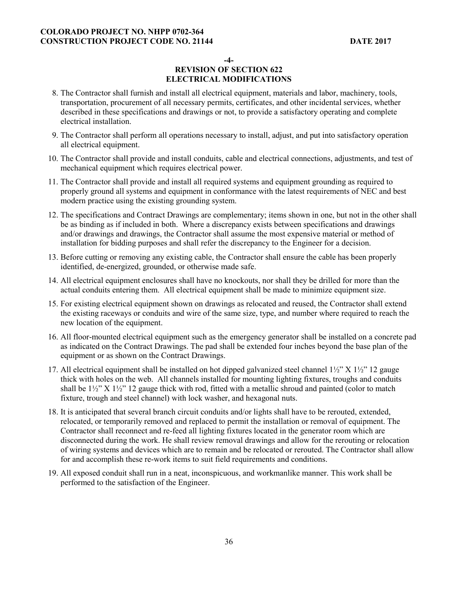**-4-** 

# **REVISION OF SECTION 622 ELECTRICAL MODIFICATIONS**

- 8. The Contractor shall furnish and install all electrical equipment, materials and labor, machinery, tools, transportation, procurement of all necessary permits, certificates, and other incidental services, whether described in these specifications and drawings or not, to provide a satisfactory operating and complete electrical installation.
- 9. The Contractor shall perform all operations necessary to install, adjust, and put into satisfactory operation all electrical equipment.
- 10. The Contractor shall provide and install conduits, cable and electrical connections, adjustments, and test of mechanical equipment which requires electrical power.
- 11. The Contractor shall provide and install all required systems and equipment grounding as required to properly ground all systems and equipment in conformance with the latest requirements of NEC and best modern practice using the existing grounding system.
- 12. The specifications and Contract Drawings are complementary; items shown in one, but not in the other shall be as binding as if included in both. Where a discrepancy exists between specifications and drawings and/or drawings and drawings, the Contractor shall assume the most expensive material or method of installation for bidding purposes and shall refer the discrepancy to the Engineer for a decision.
- 13. Before cutting or removing any existing cable, the Contractor shall ensure the cable has been properly identified, de-energized, grounded, or otherwise made safe.
- 14. All electrical equipment enclosures shall have no knockouts, nor shall they be drilled for more than the actual conduits entering them. All electrical equipment shall be made to minimize equipment size.
- 15. For existing electrical equipment shown on drawings as relocated and reused, the Contractor shall extend the existing raceways or conduits and wire of the same size, type, and number where required to reach the new location of the equipment.
- 16. All floor-mounted electrical equipment such as the emergency generator shall be installed on a concrete pad as indicated on the Contract Drawings. The pad shall be extended four inches beyond the base plan of the equipment or as shown on the Contract Drawings.
- 17. All electrical equipment shall be installed on hot dipped galvanized steel channel 1½" X 1½" 12 gauge thick with holes on the web. All channels installed for mounting lighting fixtures, troughs and conduits shall be 1½" X 1½" 12 gauge thick with rod, fitted with a metallic shroud and painted (color to match fixture, trough and steel channel) with lock washer, and hexagonal nuts.
- 18. It is anticipated that several branch circuit conduits and/or lights shall have to be rerouted, extended, relocated, or temporarily removed and replaced to permit the installation or removal of equipment. The Contractor shall reconnect and re-feed all lighting fixtures located in the generator room which are disconnected during the work. He shall review removal drawings and allow for the rerouting or relocation of wiring systems and devices which are to remain and be relocated or rerouted. The Contractor shall allow for and accomplish these re-work items to suit field requirements and conditions.
- 19. All exposed conduit shall run in a neat, inconspicuous, and workmanlike manner. This work shall be performed to the satisfaction of the Engineer.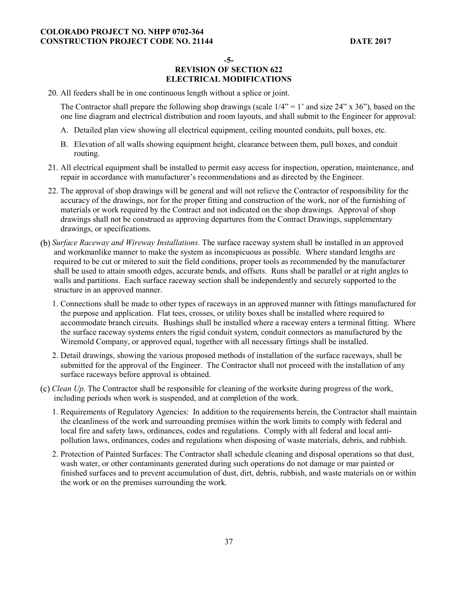**-5-** 

# **REVISION OF SECTION 622 ELECTRICAL MODIFICATIONS**

20. All feeders shall be in one continuous length without a splice or joint.

The Contractor shall prepare the following shop drawings (scale  $1/4$ " = 1' and size 24" x 36"), based on the one line diagram and electrical distribution and room layouts, and shall submit to the Engineer for approval:

- A. Detailed plan view showing all electrical equipment, ceiling mounted conduits, pull boxes, etc.
- B. Elevation of all walls showing equipment height, clearance between them, pull boxes, and conduit routing.
- 21. All electrical equipment shall be installed to permit easy access for inspection, operation, maintenance, and repair in accordance with manufacturer's recommendations and as directed by the Engineer.
- 22. The approval of shop drawings will be general and will not relieve the Contractor of responsibility for the accuracy of the drawings, nor for the proper fitting and construction of the work, nor of the furnishing of materials or work required by the Contract and not indicated on the shop drawings. Approval of shop drawings shall not be construed as approving departures from the Contract Drawings, supplementary drawings, or specifications.
- *Surface Raceway and Wireway Installations.* The surface raceway system shall be installed in an approved and workmanlike manner to make the system as inconspicuous as possible. Where standard lengths are required to be cut or mitered to suit the field conditions, proper tools as recommended by the manufacturer shall be used to attain smooth edges, accurate bends, and offsets. Runs shall be parallel or at right angles to walls and partitions. Each surface raceway section shall be independently and securely supported to the structure in an approved manner.
	- 1. Connections shall be made to other types of raceways in an approved manner with fittings manufactured for the purpose and application. Flat tees, crosses, or utility boxes shall be installed where required to accommodate branch circuits. Bushings shall be installed where a raceway enters a terminal fitting. Where the surface raceway systems enters the rigid conduit system, conduit connectors as manufactured by the Wiremold Company, or approved equal, together with all necessary fittings shall be installed.
	- 2. Detail drawings, showing the various proposed methods of installation of the surface raceways, shall be submitted for the approval of the Engineer. The Contractor shall not proceed with the installation of any surface raceways before approval is obtained.
- *Clean Up.* The Contractor shall be responsible for cleaning of the worksite during progress of the work, including periods when work is suspended, and at completion of the work.
	- 1. Requirements of Regulatory Agencies: In addition to the requirements herein, the Contractor shall maintain the cleanliness of the work and surrounding premises within the work limits to comply with federal and local fire and safety laws, ordinances, codes and regulations. Comply with all federal and local antipollution laws, ordinances, codes and regulations when disposing of waste materials, debris, and rubbish.
	- 2. Protection of Painted Surfaces: The Contractor shall schedule cleaning and disposal operations so that dust, wash water, or other contaminants generated during such operations do not damage or mar painted or finished surfaces and to prevent accumulation of dust, dirt, debris, rubbish, and waste materials on or within the work or on the premises surrounding the work.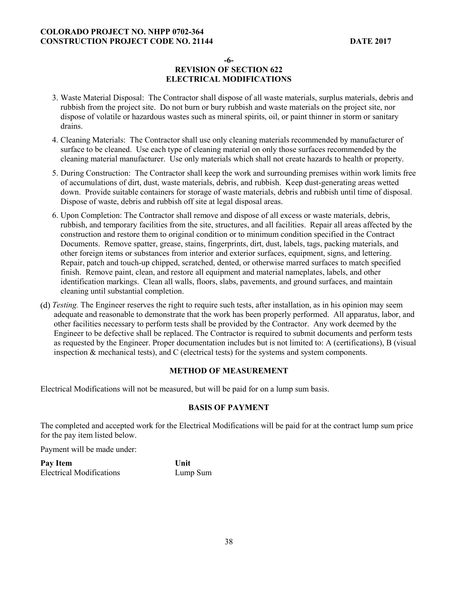**-6-** 

# **REVISION OF SECTION 622 ELECTRICAL MODIFICATIONS**

- 3. Waste Material Disposal: The Contractor shall dispose of all waste materials, surplus materials, debris and rubbish from the project site. Do not burn or bury rubbish and waste materials on the project site, nor dispose of volatile or hazardous wastes such as mineral spirits, oil, or paint thinner in storm or sanitary drains.
- 4. Cleaning Materials: The Contractor shall use only cleaning materials recommended by manufacturer of surface to be cleaned. Use each type of cleaning material on only those surfaces recommended by the cleaning material manufacturer. Use only materials which shall not create hazards to health or property.
- 5. During Construction: The Contractor shall keep the work and surrounding premises within work limits free of accumulations of dirt, dust, waste materials, debris, and rubbish. Keep dust-generating areas wetted down. Provide suitable containers for storage of waste materials, debris and rubbish until time of disposal. Dispose of waste, debris and rubbish off site at legal disposal areas.
- 6. Upon Completion: The Contractor shall remove and dispose of all excess or waste materials, debris, rubbish, and temporary facilities from the site, structures, and all facilities. Repair all areas affected by the construction and restore them to original condition or to minimum condition specified in the Contract Documents. Remove spatter, grease, stains, fingerprints, dirt, dust, labels, tags, packing materials, and other foreign items or substances from interior and exterior surfaces, equipment, signs, and lettering. Repair, patch and touch-up chipped, scratched, dented, or otherwise marred surfaces to match specified finish. Remove paint, clean, and restore all equipment and material nameplates, labels, and other identification markings. Clean all walls, floors, slabs, pavements, and ground surfaces, and maintain cleaning until substantial completion.
- *Testing.* The Engineer reserves the right to require such tests, after installation, as in his opinion may seem adequate and reasonable to demonstrate that the work has been properly performed. All apparatus, labor, and other facilities necessary to perform tests shall be provided by the Contractor. Any work deemed by the Engineer to be defective shall be replaced. The Contractor is required to submit documents and perform tests as requested by the Engineer. Proper documentation includes but is not limited to: A (certifications), B (visual inspection  $\&$  mechanical tests), and C (electrical tests) for the systems and system components.

## **METHOD OF MEASUREMENT**

Electrical Modifications will not be measured, but will be paid for on a lump sum basis.

## **BASIS OF PAYMENT**

The completed and accepted work for the Electrical Modifications will be paid for at the contract lump sum price for the pay item listed below.

Payment will be made under:

Pay Item Unit Electrical Modifications Lump Sum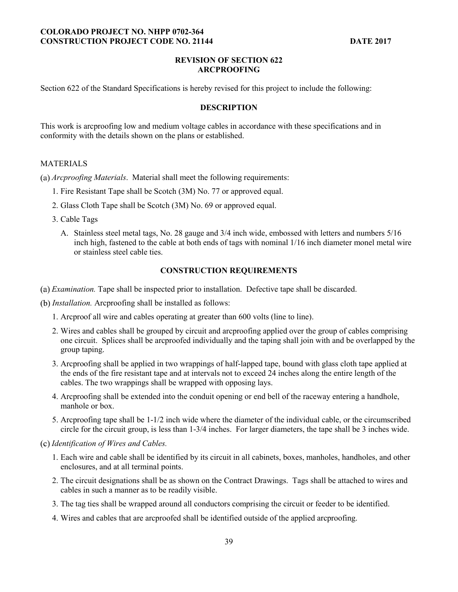### **REVISION OF SECTION 622 ARCPROOFING**

Section 622 of the Standard Specifications is hereby revised for this project to include the following:

### **DESCRIPTION**

This work is arcproofing low and medium voltage cables in accordance with these specifications and in conformity with the details shown on the plans or established.

#### MATERIALS

*Arcproofing Materials*. Material shall meet the following requirements:

- 1. Fire Resistant Tape shall be Scotch (3M) No. 77 or approved equal.
- 2. Glass Cloth Tape shall be Scotch (3M) No. 69 or approved equal.
- 3. Cable Tags
	- A. Stainless steel metal tags, No. 28 gauge and 3/4 inch wide, embossed with letters and numbers 5/16 inch high, fastened to the cable at both ends of tags with nominal 1/16 inch diameter monel metal wire or stainless steel cable ties.

## **CONSTRUCTION REQUIREMENTS**

- *Examination.* Tape shall be inspected prior to installation. Defective tape shall be discarded.
- *Installation.* Arcproofing shall be installed as follows:
	- 1. Arcproof all wire and cables operating at greater than 600 volts (line to line).
	- 2. Wires and cables shall be grouped by circuit and arcproofing applied over the group of cables comprising one circuit. Splices shall be arcproofed individually and the taping shall join with and be overlapped by the group taping.
	- 3. Arcproofing shall be applied in two wrappings of half-lapped tape, bound with glass cloth tape applied at the ends of the fire resistant tape and at intervals not to exceed 24 inches along the entire length of the cables. The two wrappings shall be wrapped with opposing lays.
	- 4. Arcproofing shall be extended into the conduit opening or end bell of the raceway entering a handhole, manhole or box.
	- 5. Arcproofing tape shall be 1-1/2 inch wide where the diameter of the individual cable, or the circumscribed circle for the circuit group, is less than 1-3/4 inches. For larger diameters, the tape shall be 3 inches wide.

### *Identification of Wires and Cables.*

- 1. Each wire and cable shall be identified by its circuit in all cabinets, boxes, manholes, handholes, and other enclosures, and at all terminal points.
- 2. The circuit designations shall be as shown on the Contract Drawings. Tags shall be attached to wires and cables in such a manner as to be readily visible.
- 3. The tag ties shall be wrapped around all conductors comprising the circuit or feeder to be identified.
- 4. Wires and cables that are arcproofed shall be identified outside of the applied arcproofing.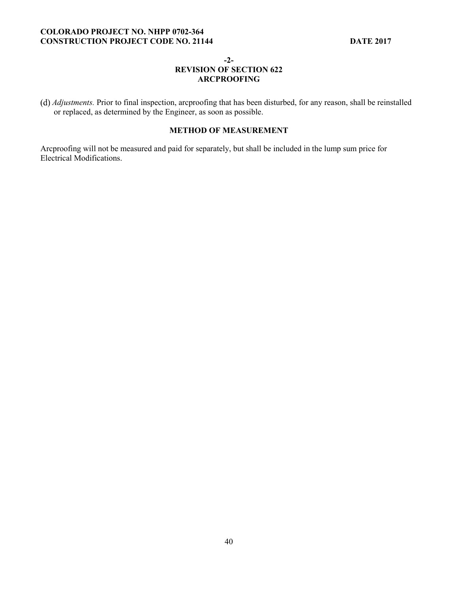#### **-2-**

## **REVISION OF SECTION 622 ARCPROOFING**

*Adjustments.* Prior to final inspection, arcproofing that has been disturbed, for any reason, shall be reinstalled or replaced, as determined by the Engineer, as soon as possible.

## **METHOD OF MEASUREMENT**

Arcproofing will not be measured and paid for separately, but shall be included in the lump sum price for Electrical Modifications.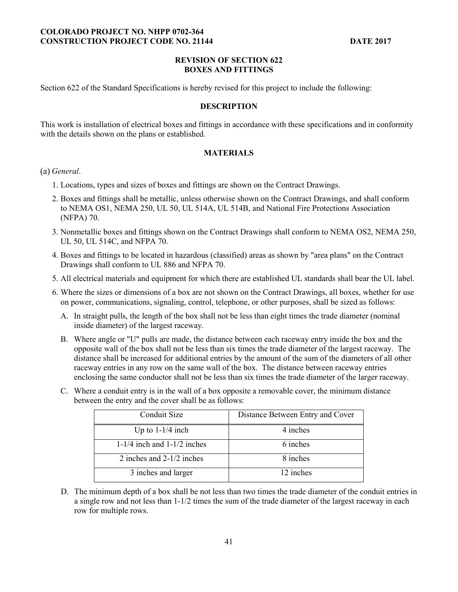#### **REVISION OF SECTION 622 BOXES AND FITTINGS**

Section 622 of the Standard Specifications is hereby revised for this project to include the following:

#### **DESCRIPTION**

This work is installation of electrical boxes and fittings in accordance with these specifications and in conformity with the details shown on the plans or established.

### **MATERIALS**

#### *General*.

- 1. Locations, types and sizes of boxes and fittings are shown on the Contract Drawings.
- 2. Boxes and fittings shall be metallic, unless otherwise shown on the Contract Drawings, and shall conform to NEMA OS1, NEMA 250, UL 50, UL 514A, UL 514B, and National Fire Protections Association (NFPA) 70.
- 3. Nonmetallic boxes and fittings shown on the Contract Drawings shall conform to NEMA OS2, NEMA 250, UL 50, UL 514C, and NFPA 70.
- 4. Boxes and fittings to be located in hazardous (classified) areas as shown by "area plans" on the Contract Drawings shall conform to UL 886 and NFPA 70.
- 5. All electrical materials and equipment for which there are established UL standards shall bear the UL label.
- 6. Where the sizes or dimensions of a box are not shown on the Contract Drawings, all boxes, whether for use on power, communications, signaling, control, telephone, or other purposes, shall be sized as follows:
	- A. In straight pulls, the length of the box shall not be less than eight times the trade diameter (nominal inside diameter) of the largest raceway.
	- B. Where angle or "U" pulls are made, the distance between each raceway entry inside the box and the opposite wall of the box shall not be less than six times the trade diameter of the largest raceway. The distance shall be increased for additional entries by the amount of the sum of the diameters of all other raceway entries in any row on the same wall of the box. The distance between raceway entries enclosing the same conductor shall not be less than six times the trade diameter of the larger raceway.
	- C. Where a conduit entry is in the wall of a box opposite a removable cover, the minimum distance between the entry and the cover shall be as follows:

| Conduit Size                    | Distance Between Entry and Cover |
|---------------------------------|----------------------------------|
| Up to $1-1/4$ inch              | 4 inches                         |
| $1-1/4$ inch and $1-1/2$ inches | 6 inches                         |
| 2 inches and 2-1/2 inches       | 8 inches                         |
| 3 inches and larger             | 12 inches                        |

D. The minimum depth of a box shall be not less than two times the trade diameter of the conduit entries in a single row and not less than 1-1/2 times the sum of the trade diameter of the largest raceway in each row for multiple rows.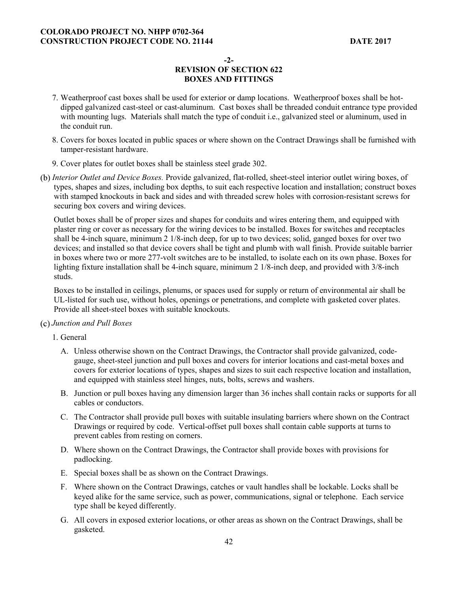**-2-** 

# **REVISION OF SECTION 622 BOXES AND FITTINGS**

- 7. Weatherproof cast boxes shall be used for exterior or damp locations. Weatherproof boxes shall be hotdipped galvanized cast-steel or cast-aluminum. Cast boxes shall be threaded conduit entrance type provided with mounting lugs. Materials shall match the type of conduit i.e., galvanized steel or aluminum, used in the conduit run.
- 8. Covers for boxes located in public spaces or where shown on the Contract Drawings shall be furnished with tamper-resistant hardware.
- 9. Cover plates for outlet boxes shall be stainless steel grade 302.
- *Interior Outlet and Device Boxes.* Provide galvanized, flat-rolled, sheet-steel interior outlet wiring boxes, of types, shapes and sizes, including box depths, to suit each respective location and installation; construct boxes with stamped knockouts in back and sides and with threaded screw holes with corrosion-resistant screws for securing box covers and wiring devices.

Outlet boxes shall be of proper sizes and shapes for conduits and wires entering them, and equipped with plaster ring or cover as necessary for the wiring devices to be installed. Boxes for switches and receptacles shall be 4-inch square, minimum 2 1/8-inch deep, for up to two devices; solid, ganged boxes for over two devices; and installed so that device covers shall be tight and plumb with wall finish. Provide suitable barrier in boxes where two or more 277-volt switches are to be installed, to isolate each on its own phase. Boxes for lighting fixture installation shall be 4-inch square, minimum 2 1/8-inch deep, and provided with 3/8-inch studs.

Boxes to be installed in ceilings, plenums, or spaces used for supply or return of environmental air shall be UL-listed for such use, without holes, openings or penetrations, and complete with gasketed cover plates. Provide all sheet-steel boxes with suitable knockouts.

## *Junction and Pull Boxes*

1. General

- A. Unless otherwise shown on the Contract Drawings, the Contractor shall provide galvanized, codegauge, sheet-steel junction and pull boxes and covers for interior locations and cast-metal boxes and covers for exterior locations of types, shapes and sizes to suit each respective location and installation, and equipped with stainless steel hinges, nuts, bolts, screws and washers.
- B. Junction or pull boxes having any dimension larger than 36 inches shall contain racks or supports for all cables or conductors.
- C. The Contractor shall provide pull boxes with suitable insulating barriers where shown on the Contract Drawings or required by code. Vertical-offset pull boxes shall contain cable supports at turns to prevent cables from resting on corners.
- D. Where shown on the Contract Drawings, the Contractor shall provide boxes with provisions for padlocking.
- E. Special boxes shall be as shown on the Contract Drawings.
- F. Where shown on the Contract Drawings, catches or vault handles shall be lockable. Locks shall be keyed alike for the same service, such as power, communications, signal or telephone. Each service type shall be keyed differently.
- G. All covers in exposed exterior locations, or other areas as shown on the Contract Drawings, shall be gasketed.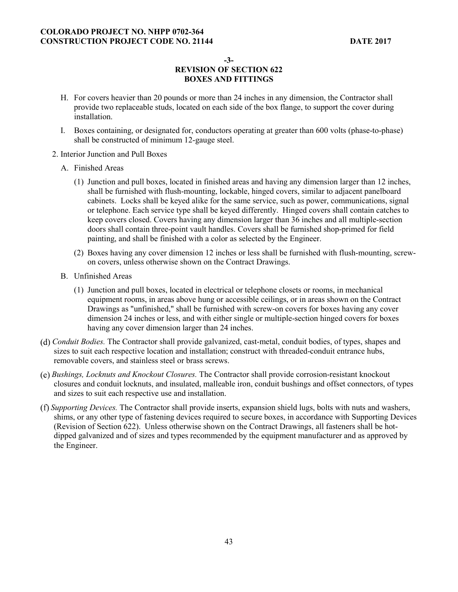**-3-** 

# **REVISION OF SECTION 622 BOXES AND FITTINGS**

- H. For covers heavier than 20 pounds or more than 24 inches in any dimension, the Contractor shall provide two replaceable studs, located on each side of the box flange, to support the cover during installation.
- I. Boxes containing, or designated for, conductors operating at greater than 600 volts (phase-to-phase) shall be constructed of minimum 12-gauge steel.
- 2. Interior Junction and Pull Boxes
	- A. Finished Areas
		- (1) Junction and pull boxes, located in finished areas and having any dimension larger than 12 inches, shall be furnished with flush-mounting, lockable, hinged covers, similar to adjacent panelboard cabinets. Locks shall be keyed alike for the same service, such as power, communications, signal or telephone. Each service type shall be keyed differently. Hinged covers shall contain catches to keep covers closed. Covers having any dimension larger than 36 inches and all multiple-section doors shall contain three-point vault handles. Covers shall be furnished shop-primed for field painting, and shall be finished with a color as selected by the Engineer.
		- (2) Boxes having any cover dimension 12 inches or less shall be furnished with flush-mounting, screwon covers, unless otherwise shown on the Contract Drawings.
	- B. Unfinished Areas
		- (1) Junction and pull boxes, located in electrical or telephone closets or rooms, in mechanical equipment rooms, in areas above hung or accessible ceilings, or in areas shown on the Contract Drawings as "unfinished," shall be furnished with screw-on covers for boxes having any cover dimension 24 inches or less, and with either single or multiple-section hinged covers for boxes having any cover dimension larger than 24 inches.
- *Conduit Bodies.* The Contractor shall provide galvanized, cast-metal, conduit bodies, of types, shapes and sizes to suit each respective location and installation; construct with threaded-conduit entrance hubs, removable covers, and stainless steel or brass screws.
- *Bushings, Locknuts and Knockout Closures.* The Contractor shall provide corrosion-resistant knockout closures and conduit locknuts, and insulated, malleable iron, conduit bushings and offset connectors, of types and sizes to suit each respective use and installation.
- *Supporting Devices.* The Contractor shall provide inserts, expansion shield lugs, bolts with nuts and washers, shims, or any other type of fastening devices required to secure boxes, in accordance with Supporting Devices (Revision of Section 622). Unless otherwise shown on the Contract Drawings, all fasteners shall be hotdipped galvanized and of sizes and types recommended by the equipment manufacturer and as approved by the Engineer.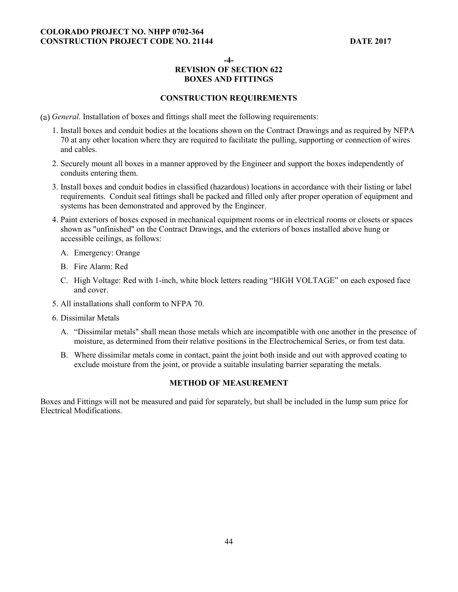**-4-** 

# **REVISION OF SECTION 622 BOXES AND FITTINGS**

## **CONSTRUCTION REQUIREMENTS**

- *General.* Installation of boxes and fittings shall meet the following requirements:
	- 1. Install boxes and conduit bodies at the locations shown on the Contract Drawings and as required by NFPA 70 at any other location where they are required to facilitate the pulling, supporting or connection of wires and cables.
	- 2. Securely mount all boxes in a manner approved by the Engineer and support the boxes independently of conduits entering them.
	- 3. Install boxes and conduit bodies in classified (hazardous) locations in accordance with their listing or label requirements. Conduit seal fittings shall be packed and filled only after proper operation of equipment and systems has been demonstrated and approved by the Engineer.
	- 4. Paint exteriors of boxes exposed in mechanical equipment rooms or in electrical rooms or closets or spaces shown as "unfinished" on the Contract Drawings, and the exteriors of boxes installed above hung or accessible ceilings, as follows:
		- A. Emergency: Orange
		- B. Fire Alarm: Red
		- C. High Voltage: Red with 1-inch, white block letters reading "HIGH VOLTAGE" on each exposed face and cover.
	- 5. All installations shall conform to NFPA 70.
	- 6. Dissimilar Metals
		- A. "Dissimilar metals" shall mean those metals which are incompatible with one another in the presence of moisture, as determined from their relative positions in the Electrochemical Series, or from test data.
		- B. Where dissimilar metals come in contact, paint the joint both inside and out with approved coating to exclude moisture from the joint, or provide a suitable insulating barrier separating the metals.

## **METHOD OF MEASUREMENT**

Boxes and Fittings will not be measured and paid for separately, but shall be included in the lump sum price for Electrical Modifications.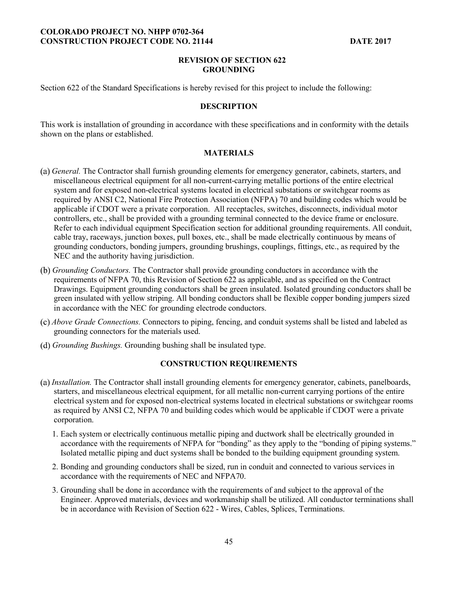#### **REVISION OF SECTION 622 GROUNDING**

Section 622 of the Standard Specifications is hereby revised for this project to include the following:

#### **DESCRIPTION**

This work is installation of grounding in accordance with these specifications and in conformity with the details shown on the plans or established.

## **MATERIALS**

- *General.* The Contractor shall furnish grounding elements for emergency generator, cabinets, starters, and miscellaneous electrical equipment for all non-current-carrying metallic portions of the entire electrical system and for exposed non-electrical systems located in electrical substations or switchgear rooms as required by ANSI C2, National Fire Protection Association (NFPA) 70 and building codes which would be applicable if CDOT were a private corporation. All receptacles, switches, disconnects, individual motor controllers, etc., shall be provided with a grounding terminal connected to the device frame or enclosure. Refer to each individual equipment Specification section for additional grounding requirements. All conduit, cable tray, raceways, junction boxes, pull boxes, etc., shall be made electrically continuous by means of grounding conductors, bonding jumpers, grounding brushings, couplings, fittings, etc., as required by the NEC and the authority having jurisdiction.
- *Grounding Conductors.* The Contractor shall provide grounding conductors in accordance with the requirements of NFPA 70, this Revision of Section 622 as applicable, and as specified on the Contract Drawings. Equipment grounding conductors shall be green insulated. Isolated grounding conductors shall be green insulated with yellow striping. All bonding conductors shall be flexible copper bonding jumpers sized in accordance with the NEC for grounding electrode conductors.
- *Above Grade Connections.* Connectors to piping, fencing, and conduit systems shall be listed and labeled as grounding connectors for the materials used.
- *Grounding Bushings.* Grounding bushing shall be insulated type.

## **CONSTRUCTION REQUIREMENTS**

- *Installation.* The Contractor shall install grounding elements for emergency generator, cabinets, panelboards, starters, and miscellaneous electrical equipment, for all metallic non-current carrying portions of the entire electrical system and for exposed non-electrical systems located in electrical substations or switchgear rooms as required by ANSI C2, NFPA 70 and building codes which would be applicable if CDOT were a private corporation.
	- 1. Each system or electrically continuous metallic piping and ductwork shall be electrically grounded in accordance with the requirements of NFPA for "bonding" as they apply to the "bonding of piping systems." Isolated metallic piping and duct systems shall be bonded to the building equipment grounding system.
	- 2. Bonding and grounding conductors shall be sized, run in conduit and connected to various services in accordance with the requirements of NEC and NFPA70.
	- 3. Grounding shall be done in accordance with the requirements of and subject to the approval of the Engineer. Approved materials, devices and workmanship shall be utilized. All conductor terminations shall be in accordance with Revision of Section 622 - Wires, Cables, Splices, Terminations.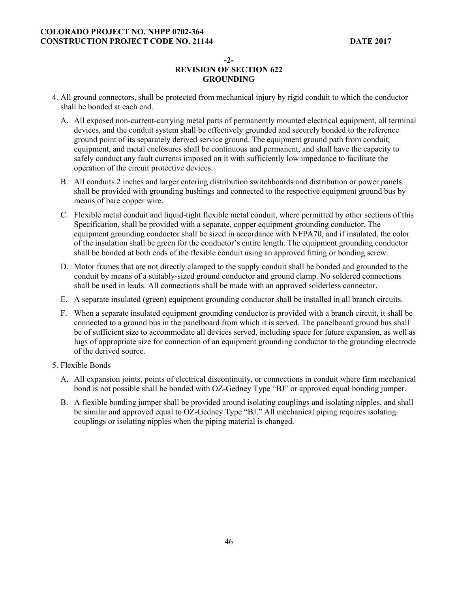#### **-2-**

# **REVISION OF SECTION 622 GROUNDING**

- 4. All ground connectors, shall be protected from mechanical injury by rigid conduit to which the conductor shall be bonded at each end.
	- A. All exposed non-current-carrying metal parts of permanently mounted electrical equipment, all terminal devices, and the conduit system shall be effectively grounded and securely bonded to the reference ground point of its separately derived service ground. The equipment ground path from conduit, equipment, and metal enclosures shall be continuous and permanent, and shall have the capacity to safely conduct any fault currents imposed on it with sufficiently low impedance to facilitate the operation of the circuit protective devices.
	- B. All conduits 2 inches and larger entering distribution switchboards and distribution or power panels shall be provided with grounding bushings and connected to the respective equipment ground bus by means of bare copper wire.
	- C. Flexible metal conduit and liquid-tight flexible metal conduit, where permitted by other sections of this Specification, shall be provided with a separate, copper equipment grounding conductor. The equipment grounding conductor shall be sized in accordance with NFPA70, and if insulated, the color of the insulation shall be green for the conductor's entire length. The equipment grounding conductor shall be bonded at both ends of the flexible conduit using an approved fitting or bonding screw.
	- D. Motor frames that are not directly clamped to the supply conduit shall be bonded and grounded to the conduit by means of a suitably-sized ground conductor and ground clamp. No soldered connections shall be used in leads. All connections shall be made with an approved solderless connector.
	- E. A separate insulated (green) equipment grounding conductor shall be installed in all branch circuits.
	- F. When a separate insulated equipment grounding conductor is provided with a branch circuit, it shall be connected to a ground bus in the panelboard from which it is served. The panelboard ground bus shall be of sufficient size to accommodate all devices served, including space for future expansion, as well as lugs of appropriate size for connection of an equipment grounding conductor to the grounding electrode of the derived source.
- 5. Flexible Bonds
	- A. All expansion joints, points of electrical discontinuity, or connections in conduit where firm mechanical bond is not possible shall be bonded with OZ-Gedney Type "BJ" or approved equal bonding jumper.
	- B. A flexible bonding jumper shall be provided around isolating couplings and isolating nipples, and shall be similar and approved equal to OZ-Gedney Type "BJ." All mechanical piping requires isolating couplings or isolating nipples when the piping material is changed.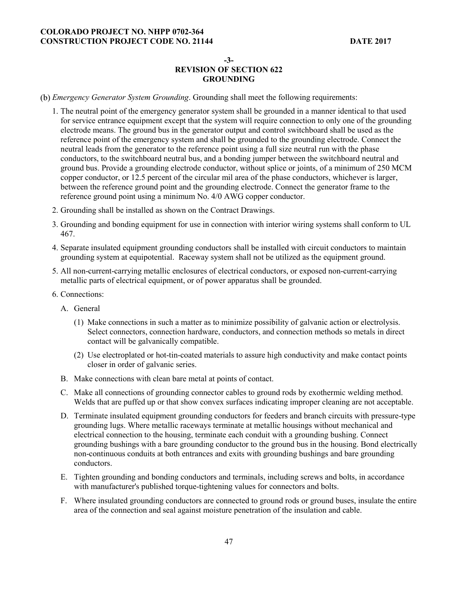#### **-3-**

## **REVISION OF SECTION 622 GROUNDING**

*Emergency Generator System Grounding*. Grounding shall meet the following requirements:

- 1. The neutral point of the emergency generator system shall be grounded in a manner identical to that used for service entrance equipment except that the system will require connection to only one of the grounding electrode means. The ground bus in the generator output and control switchboard shall be used as the reference point of the emergency system and shall be grounded to the grounding electrode. Connect the neutral leads from the generator to the reference point using a full size neutral run with the phase conductors, to the switchboard neutral bus, and a bonding jumper between the switchboard neutral and ground bus. Provide a grounding electrode conductor, without splice or joints, of a minimum of 250 MCM copper conductor, or 12.5 percent of the circular mil area of the phase conductors, whichever is larger, between the reference ground point and the grounding electrode. Connect the generator frame to the reference ground point using a minimum No. 4/0 AWG copper conductor.
- 2. Grounding shall be installed as shown on the Contract Drawings.
- 3. Grounding and bonding equipment for use in connection with interior wiring systems shall conform to UL 467.
- 4. Separate insulated equipment grounding conductors shall be installed with circuit conductors to maintain grounding system at equipotential. Raceway system shall not be utilized as the equipment ground.
- 5. All non-current-carrying metallic enclosures of electrical conductors, or exposed non-current-carrying metallic parts of electrical equipment, or of power apparatus shall be grounded.
- 6. Connections:
	- A. General
		- (1) Make connections in such a matter as to minimize possibility of galvanic action or electrolysis. Select connectors, connection hardware, conductors, and connection methods so metals in direct contact will be galvanically compatible.
		- (2) Use electroplated or hot-tin-coated materials to assure high conductivity and make contact points closer in order of galvanic series.
	- B. Make connections with clean bare metal at points of contact.
	- C. Make all connections of grounding connector cables to ground rods by exothermic welding method. Welds that are puffed up or that show convex surfaces indicating improper cleaning are not acceptable.
	- D. Terminate insulated equipment grounding conductors for feeders and branch circuits with pressure-type grounding lugs. Where metallic raceways terminate at metallic housings without mechanical and electrical connection to the housing, terminate each conduit with a grounding bushing. Connect grounding bushings with a bare grounding conductor to the ground bus in the housing. Bond electrically non-continuous conduits at both entrances and exits with grounding bushings and bare grounding conductors.
	- E. Tighten grounding and bonding conductors and terminals, including screws and bolts, in accordance with manufacturer's published torque-tightening values for connectors and bolts.
	- F. Where insulated grounding conductors are connected to ground rods or ground buses, insulate the entire area of the connection and seal against moisture penetration of the insulation and cable.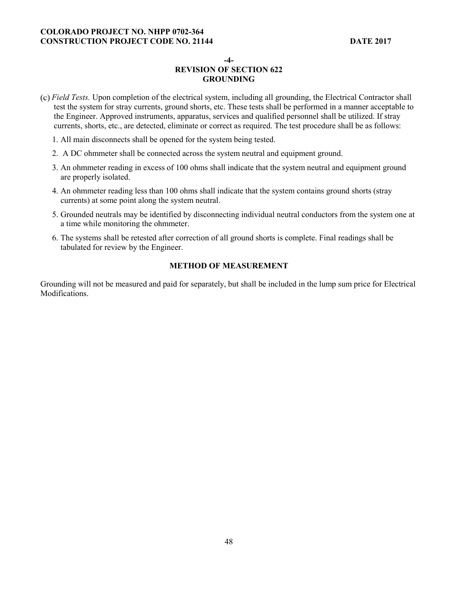**-4-** 

# **REVISION OF SECTION 622 GROUNDING**

- *Field Tests.* Upon completion of the electrical system, including all grounding, the Electrical Contractor shall test the system for stray currents, ground shorts, etc. These tests shall be performed in a manner acceptable to the Engineer. Approved instruments, apparatus, services and qualified personnel shall be utilized. If stray currents, shorts, etc., are detected, eliminate or correct as required. The test procedure shall be as follows:
	- 1. All main disconnects shall be opened for the system being tested.
	- 2. A DC ohmmeter shall be connected across the system neutral and equipment ground.
	- 3. An ohmmeter reading in excess of 100 ohms shall indicate that the system neutral and equipment ground are properly isolated.
	- 4. An ohmmeter reading less than 100 ohms shall indicate that the system contains ground shorts (stray currents) at some point along the system neutral.
	- 5. Grounded neutrals may be identified by disconnecting individual neutral conductors from the system one at a time while monitoring the ohmmeter.
	- 6. The systems shall be retested after correction of all ground shorts is complete. Final readings shall be tabulated for review by the Engineer.

## **METHOD OF MEASUREMENT**

Grounding will not be measured and paid for separately, but shall be included in the lump sum price for Electrical **Modifications**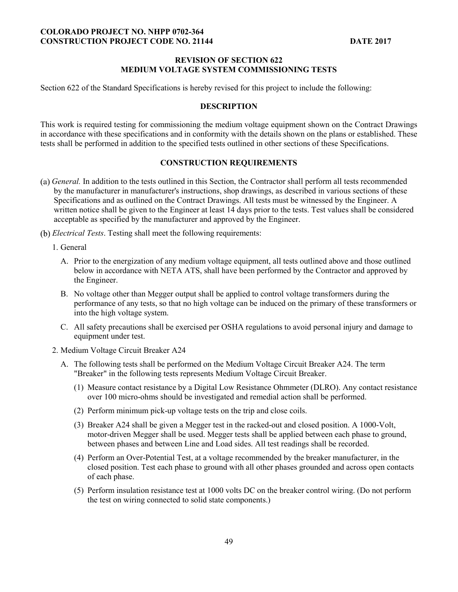#### **REVISION OF SECTION 622 MEDIUM VOLTAGE SYSTEM COMMISSIONING TESTS**

Section 622 of the Standard Specifications is hereby revised for this project to include the following:

### **DESCRIPTION**

This work is required testing for commissioning the medium voltage equipment shown on the Contract Drawings in accordance with these specifications and in conformity with the details shown on the plans or established. These tests shall be performed in addition to the specified tests outlined in other sections of these Specifications.

#### **CONSTRUCTION REQUIREMENTS**

- *General.* In addition to the tests outlined in this Section, the Contractor shall perform all tests recommended by the manufacturer in manufacturer's instructions, shop drawings, as described in various sections of these Specifications and as outlined on the Contract Drawings. All tests must be witnessed by the Engineer. A written notice shall be given to the Engineer at least 14 days prior to the tests. Test values shall be considered acceptable as specified by the manufacturer and approved by the Engineer.
- *Electrical Tests*. Testing shall meet the following requirements:
	- 1. General
		- A. Prior to the energization of any medium voltage equipment, all tests outlined above and those outlined below in accordance with NETA ATS, shall have been performed by the Contractor and approved by the Engineer.
		- B. No voltage other than Megger output shall be applied to control voltage transformers during the performance of any tests, so that no high voltage can be induced on the primary of these transformers or into the high voltage system.
		- C. All safety precautions shall be exercised per OSHA regulations to avoid personal injury and damage to equipment under test.
	- 2. Medium Voltage Circuit Breaker A24
		- A. The following tests shall be performed on the Medium Voltage Circuit Breaker A24. The term "Breaker" in the following tests represents Medium Voltage Circuit Breaker.
			- (1) Measure contact resistance by a Digital Low Resistance Ohmmeter (DLRO). Any contact resistance over 100 micro-ohms should be investigated and remedial action shall be performed.
			- (2) Perform minimum pick-up voltage tests on the trip and close coils.
			- (3) Breaker A24 shall be given a Megger test in the racked-out and closed position. A 1000-Volt, motor-driven Megger shall be used. Megger tests shall be applied between each phase to ground, between phases and between Line and Load sides. All test readings shall be recorded.
			- (4) Perform an Over-Potential Test, at a voltage recommended by the breaker manufacturer, in the closed position. Test each phase to ground with all other phases grounded and across open contacts of each phase.
			- (5) Perform insulation resistance test at 1000 volts DC on the breaker control wiring. (Do not perform the test on wiring connected to solid state components.)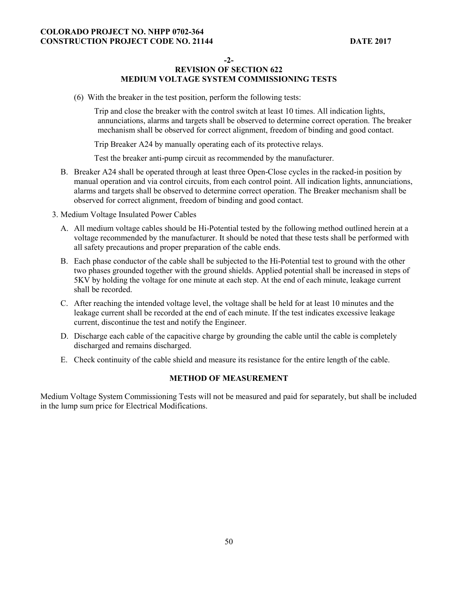**-2-** 

# **REVISION OF SECTION 622 MEDIUM VOLTAGE SYSTEM COMMISSIONING TESTS**

(6) With the breaker in the test position, perform the following tests:

Trip and close the breaker with the control switch at least 10 times. All indication lights, annunciations, alarms and targets shall be observed to determine correct operation. The breaker mechanism shall be observed for correct alignment, freedom of binding and good contact.

Trip Breaker A24 by manually operating each of its protective relays.

Test the breaker anti-pump circuit as recommended by the manufacturer.

- B. Breaker A24 shall be operated through at least three Open-Close cycles in the racked-in position by manual operation and via control circuits, from each control point. All indication lights, annunciations, alarms and targets shall be observed to determine correct operation. The Breaker mechanism shall be observed for correct alignment, freedom of binding and good contact.
- 3. Medium Voltage Insulated Power Cables
	- A. All medium voltage cables should be Hi-Potential tested by the following method outlined herein at a voltage recommended by the manufacturer. It should be noted that these tests shall be performed with all safety precautions and proper preparation of the cable ends.
	- B. Each phase conductor of the cable shall be subjected to the Hi-Potential test to ground with the other two phases grounded together with the ground shields. Applied potential shall be increased in steps of 5KV by holding the voltage for one minute at each step. At the end of each minute, leakage current shall be recorded.
	- C. After reaching the intended voltage level, the voltage shall be held for at least 10 minutes and the leakage current shall be recorded at the end of each minute. If the test indicates excessive leakage current, discontinue the test and notify the Engineer.
	- D. Discharge each cable of the capacitive charge by grounding the cable until the cable is completely discharged and remains discharged.
	- E. Check continuity of the cable shield and measure its resistance for the entire length of the cable.

## **METHOD OF MEASUREMENT**

Medium Voltage System Commissioning Tests will not be measured and paid for separately, but shall be included in the lump sum price for Electrical Modifications.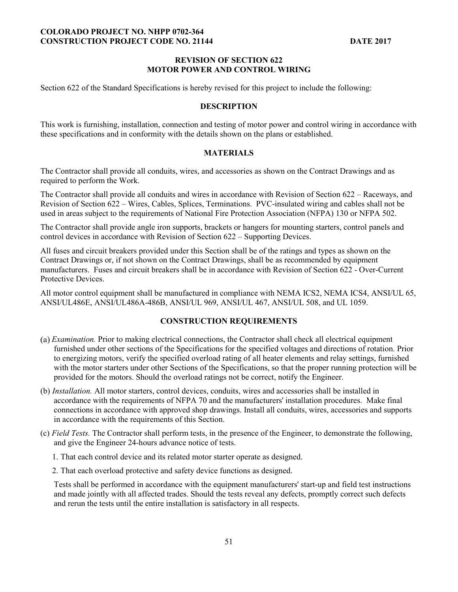#### **REVISION OF SECTION 622 MOTOR POWER AND CONTROL WIRING**

Section 622 of the Standard Specifications is hereby revised for this project to include the following:

#### **DESCRIPTION**

This work is furnishing, installation, connection and testing of motor power and control wiring in accordance with these specifications and in conformity with the details shown on the plans or established.

### **MATERIALS**

The Contractor shall provide all conduits, wires, and accessories as shown on the Contract Drawings and as required to perform the Work.

The Contractor shall provide all conduits and wires in accordance with Revision of Section 622 – Raceways, and Revision of Section 622 – Wires, Cables, Splices, Terminations. PVC-insulated wiring and cables shall not be used in areas subject to the requirements of National Fire Protection Association (NFPA) 130 or NFPA 502.

The Contractor shall provide angle iron supports, brackets or hangers for mounting starters, control panels and control devices in accordance with Revision of Section 622 – Supporting Devices.

All fuses and circuit breakers provided under this Section shall be of the ratings and types as shown on the Contract Drawings or, if not shown on the Contract Drawings, shall be as recommended by equipment manufacturers. Fuses and circuit breakers shall be in accordance with Revision of Section 622 - Over-Current Protective Devices.

All motor control equipment shall be manufactured in compliance with NEMA ICS2, NEMA ICS4, ANSI/UL 65, ANSI/UL486E, ANSI/UL486A-486B, ANSI/UL 969, ANSI/UL 467, ANSI/UL 508, and UL 1059.

## **CONSTRUCTION REQUIREMENTS**

- *Examination.* Prior to making electrical connections, the Contractor shall check all electrical equipment furnished under other sections of the Specifications for the specified voltages and directions of rotation. Prior to energizing motors, verify the specified overload rating of all heater elements and relay settings, furnished with the motor starters under other Sections of the Specifications, so that the proper running protection will be provided for the motors. Should the overload ratings not be correct, notify the Engineer.
- (b) *Installation.* All motor starters, control devices, conduits, wires and accessories shall be installed in accordance with the requirements of NFPA 70 and the manufacturers' installation procedures. Make final connections in accordance with approved shop drawings. Install all conduits, wires, accessories and supports in accordance with the requirements of this Section.
- (c) *Field Tests.* The Contractor shall perform tests, in the presence of the Engineer, to demonstrate the following, and give the Engineer 24-hours advance notice of tests.
	- 1. That each control device and its related motor starter operate as designed.
	- 2. That each overload protective and safety device functions as designed.

Tests shall be performed in accordance with the equipment manufacturers' start-up and field test instructions and made jointly with all affected trades. Should the tests reveal any defects, promptly correct such defects and rerun the tests until the entire installation is satisfactory in all respects.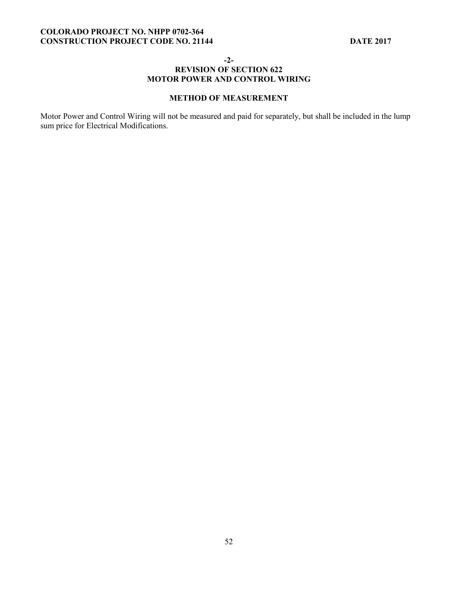**-2-** 

## **REVISION OF SECTION 622 MOTOR POWER AND CONTROL WIRING**

## **METHOD OF MEASUREMENT**

Motor Power and Control Wiring will not be measured and paid for separately, but shall be included in the lump sum price for Electrical Modifications.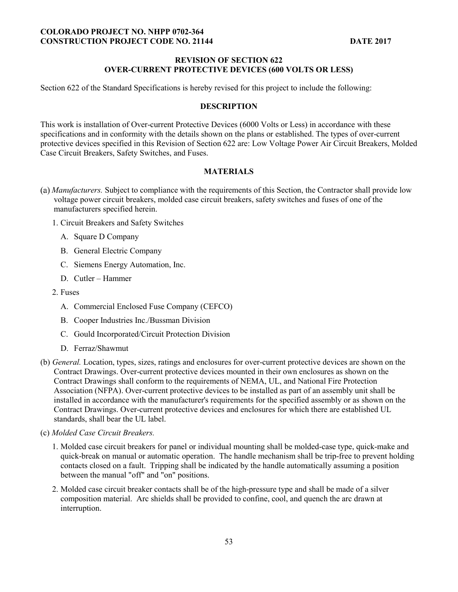### **REVISION OF SECTION 622 OVER-CURRENT PROTECTIVE DEVICES (600 VOLTS OR LESS)**

Section 622 of the Standard Specifications is hereby revised for this project to include the following:

#### **DESCRIPTION**

This work is installation of Over-current Protective Devices (6000 Volts or Less) in accordance with these specifications and in conformity with the details shown on the plans or established. The types of over-current protective devices specified in this Revision of Section 622 are: Low Voltage Power Air Circuit Breakers, Molded Case Circuit Breakers, Safety Switches, and Fuses.

#### **MATERIALS**

- *Manufacturers.* Subject to compliance with the requirements of this Section, the Contractor shall provide low voltage power circuit breakers, molded case circuit breakers, safety switches and fuses of one of the manufacturers specified herein.
	- 1. Circuit Breakers and Safety Switches
		- A. Square D Company
		- B. General Electric Company
		- C. Siemens Energy Automation, Inc.
		- D. Cutler Hammer
	- 2. Fuses
		- A. Commercial Enclosed Fuse Company (CEFCO)
		- B. Cooper Industries Inc./Bussman Division
		- C. Gould Incorporated/Circuit Protection Division
		- D. Ferraz/Shawmut
- (b) *General.* Location, types, sizes, ratings and enclosures for over-current protective devices are shown on the Contract Drawings. Over-current protective devices mounted in their own enclosures as shown on the Contract Drawings shall conform to the requirements of NEMA, UL, and National Fire Protection Association (NFPA). Over-current protective devices to be installed as part of an assembly unit shall be installed in accordance with the manufacturer's requirements for the specified assembly or as shown on the Contract Drawings. Over-current protective devices and enclosures for which there are established UL standards, shall bear the UL label.
- (c) *Molded Case Circuit Breakers.* 
	- 1. Molded case circuit breakers for panel or individual mounting shall be molded-case type, quick-make and quick-break on manual or automatic operation. The handle mechanism shall be trip-free to prevent holding contacts closed on a fault. Tripping shall be indicated by the handle automatically assuming a position between the manual "off" and "on" positions.
	- 2. Molded case circuit breaker contacts shall be of the high-pressure type and shall be made of a silver composition material. Arc shields shall be provided to confine, cool, and quench the arc drawn at interruption.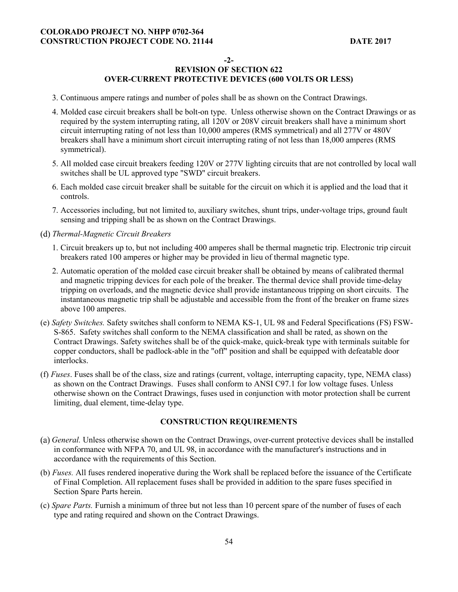### **-2-**

## **REVISION OF SECTION 622 OVER-CURRENT PROTECTIVE DEVICES (600 VOLTS OR LESS)**

- 3. Continuous ampere ratings and number of poles shall be as shown on the Contract Drawings.
- 4. Molded case circuit breakers shall be bolt-on type. Unless otherwise shown on the Contract Drawings or as required by the system interrupting rating, all 120V or 208V circuit breakers shall have a minimum short circuit interrupting rating of not less than 10,000 amperes (RMS symmetrical) and all 277V or 480V breakers shall have a minimum short circuit interrupting rating of not less than 18,000 amperes (RMS symmetrical).
- 5. All molded case circuit breakers feeding 120V or 277V lighting circuits that are not controlled by local wall switches shall be UL approved type "SWD" circuit breakers.
- 6. Each molded case circuit breaker shall be suitable for the circuit on which it is applied and the load that it controls.
- 7. Accessories including, but not limited to, auxiliary switches, shunt trips, under-voltage trips, ground fault sensing and tripping shall be as shown on the Contract Drawings.
- *Thermal-Magnetic Circuit Breakers* 
	- 1. Circuit breakers up to, but not including 400 amperes shall be thermal magnetic trip. Electronic trip circuit breakers rated 100 amperes or higher may be provided in lieu of thermal magnetic type.
	- 2. Automatic operation of the molded case circuit breaker shall be obtained by means of calibrated thermal and magnetic tripping devices for each pole of the breaker. The thermal device shall provide time-delay tripping on overloads, and the magnetic device shall provide instantaneous tripping on short circuits. The instantaneous magnetic trip shall be adjustable and accessible from the front of the breaker on frame sizes above 100 amperes.
- (e) *Safety Switches.* Safety switches shall conform to NEMA KS-1, UL 98 and Federal Specifications (FS) FSW-S-865. Safety switches shall conform to the NEMA classification and shall be rated, as shown on the Contract Drawings. Safety switches shall be of the quick-make, quick-break type with terminals suitable for copper conductors, shall be padlock-able in the "off" position and shall be equipped with defeatable door interlocks.
- (f) *Fuses*. Fuses shall be of the class, size and ratings (current, voltage, interrupting capacity, type, NEMA class) as shown on the Contract Drawings. Fuses shall conform to ANSI C97.1 for low voltage fuses. Unless otherwise shown on the Contract Drawings, fuses used in conjunction with motor protection shall be current limiting, dual element, time-delay type.

## **CONSTRUCTION REQUIREMENTS**

- *General.* Unless otherwise shown on the Contract Drawings, over-current protective devices shall be installed in conformance with NFPA 70, and UL 98, in accordance with the manufacturer's instructions and in accordance with the requirements of this Section.
- (b) *Fuses.* All fuses rendered inoperative during the Work shall be replaced before the issuance of the Certificate of Final Completion. All replacement fuses shall be provided in addition to the spare fuses specified in Section Spare Parts herein.
- (c) *Spare Parts.* Furnish a minimum of three but not less than 10 percent spare of the number of fuses of each type and rating required and shown on the Contract Drawings.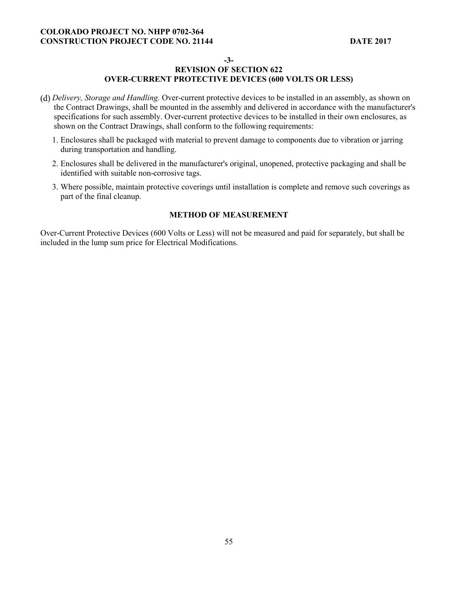**-3-** 

## **REVISION OF SECTION 622 OVER-CURRENT PROTECTIVE DEVICES (600 VOLTS OR LESS)**

- *Delivery, Storage and Handling.* Over-current protective devices to be installed in an assembly, as shown on the Contract Drawings, shall be mounted in the assembly and delivered in accordance with the manufacturer's specifications for such assembly. Over-current protective devices to be installed in their own enclosures, as shown on the Contract Drawings, shall conform to the following requirements:
	- 1. Enclosures shall be packaged with material to prevent damage to components due to vibration or jarring during transportation and handling.
	- 2. Enclosures shall be delivered in the manufacturer's original, unopened, protective packaging and shall be identified with suitable non-corrosive tags.
	- 3. Where possible, maintain protective coverings until installation is complete and remove such coverings as part of the final cleanup.

## **METHOD OF MEASUREMENT**

Over-Current Protective Devices (600 Volts or Less) will not be measured and paid for separately, but shall be included in the lump sum price for Electrical Modifications.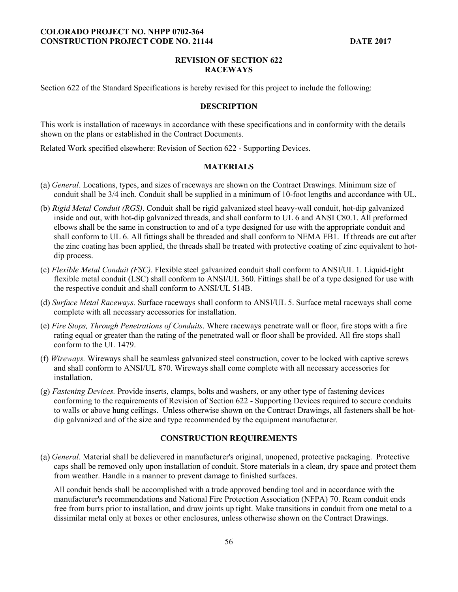### **REVISION OF SECTION 622 RACEWAYS**

Section 622 of the Standard Specifications is hereby revised for this project to include the following:

#### **DESCRIPTION**

This work is installation of raceways in accordance with these specifications and in conformity with the details shown on the plans or established in the Contract Documents.

Related Work specified elsewhere: Revision of Section 622 - Supporting Devices.

#### **MATERIALS**

- *General*. Locations, types, and sizes of raceways are shown on the Contract Drawings. Minimum size of conduit shall be 3/4 inch. Conduit shall be supplied in a minimum of 10-foot lengths and accordance with UL.
- (b) *Rigid Metal Conduit (RGS)*. Conduit shall be rigid galvanized steel heavy-wall conduit, hot-dip galvanized inside and out, with hot-dip galvanized threads, and shall conform to UL 6 and ANSI C80.1. All preformed elbows shall be the same in construction to and of a type designed for use with the appropriate conduit and shall conform to UL 6. All fittings shall be threaded and shall conform to NEMA FB1. If threads are cut after the zinc coating has been applied, the threads shall be treated with protective coating of zinc equivalent to hotdip process.
- (c) *Flexible Metal Conduit (FSC)*. Flexible steel galvanized conduit shall conform to ANSI/UL 1. Liquid-tight flexible metal conduit (LSC) shall conform to ANSI/UL 360. Fittings shall be of a type designed for use with the respective conduit and shall conform to ANSI/UL 514B.
- (d) *Surface Metal Raceways.* Surface raceways shall conform to ANSI/UL 5. Surface metal raceways shall come complete with all necessary accessories for installation.
- (e) *Fire Stops, Through Penetrations of Conduits*. Where raceways penetrate wall or floor, fire stops with a fire rating equal or greater than the rating of the penetrated wall or floor shall be provided. All fire stops shall conform to the UL 1479.
- (f) *Wireways.* Wireways shall be seamless galvanized steel construction, cover to be locked with captive screws and shall conform to ANSI/UL 870. Wireways shall come complete with all necessary accessories for installation.
- (g) *Fastening Devices.* Provide inserts, clamps, bolts and washers, or any other type of fastening devices conforming to the requirements of Revision of Section 622 - Supporting Devices required to secure conduits to walls or above hung ceilings. Unless otherwise shown on the Contract Drawings, all fasteners shall be hotdip galvanized and of the size and type recommended by the equipment manufacturer.

## **CONSTRUCTION REQUIREMENTS**

*General*. Material shall be delievered in manufacturer's original, unopened, protective packaging. Protective caps shall be removed only upon installation of conduit. Store materials in a clean, dry space and protect them from weather. Handle in a manner to prevent damage to finished surfaces.

All conduit bends shall be accomplished with a trade approved bending tool and in accordance with the manufacturer's recommendations and National Fire Protection Association (NFPA) 70. Ream conduit ends free from burrs prior to installation, and draw joints up tight. Make transitions in conduit from one metal to a dissimilar metal only at boxes or other enclosures, unless otherwise shown on the Contract Drawings.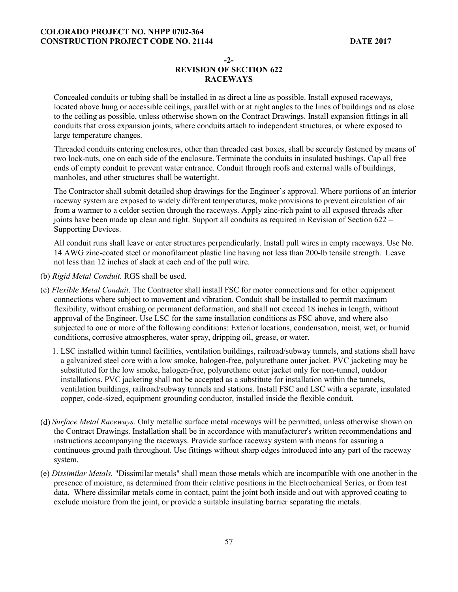## **-2- REVISION OF SECTION 622**

### **RACEWAYS**

Concealed conduits or tubing shall be installed in as direct a line as possible. Install exposed raceways, located above hung or accessible ceilings, parallel with or at right angles to the lines of buildings and as close to the ceiling as possible, unless otherwise shown on the Contract Drawings. Install expansion fittings in all conduits that cross expansion joints, where conduits attach to independent structures, or where exposed to large temperature changes.

Threaded conduits entering enclosures, other than threaded cast boxes, shall be securely fastened by means of two lock-nuts, one on each side of the enclosure. Terminate the conduits in insulated bushings. Cap all free ends of empty conduit to prevent water entrance. Conduit through roofs and external walls of buildings, manholes, and other structures shall be watertight.

The Contractor shall submit detailed shop drawings for the Engineer's approval. Where portions of an interior raceway system are exposed to widely different temperatures, make provisions to prevent circulation of air from a warmer to a colder section through the raceways. Apply zinc-rich paint to all exposed threads after joints have been made up clean and tight. Support all conduits as required in Revision of Section 622 – Supporting Devices.

All conduit runs shall leave or enter structures perpendicularly. Install pull wires in empty raceways. Use No. 14 AWG zinc-coated steel or monofilament plastic line having not less than 200-lb tensile strength. Leave not less than 12 inches of slack at each end of the pull wire.

- (b) *Rigid Metal Conduit.* RGS shall be used.
- (c) *Flexible Metal Conduit*. The Contractor shall install FSC for motor connections and for other equipment connections where subject to movement and vibration. Conduit shall be installed to permit maximum flexibility, without crushing or permanent deformation, and shall not exceed 18 inches in length, without approval of the Engineer. Use LSC for the same installation conditions as FSC above, and where also subjected to one or more of the following conditions: Exterior locations, condensation, moist, wet, or humid conditions, corrosive atmospheres, water spray, dripping oil, grease, or water.
	- 1. LSC installed within tunnel facilities, ventilation buildings, railroad/subway tunnels, and stations shall have a galvanized steel core with a low smoke, halogen-free, polyurethane outer jacket. PVC jacketing may be substituted for the low smoke, halogen-free, polyurethane outer jacket only for non-tunnel, outdoor installations. PVC jacketing shall not be accepted as a substitute for installation within the tunnels, ventilation buildings, railroad/subway tunnels and stations. Install FSC and LSC with a separate, insulated copper, code-sized, equipment grounding conductor, installed inside the flexible conduit.
- *Surface Metal Raceways.* Only metallic surface metal raceways will be permitted, unless otherwise shown on the Contract Drawings. Installation shall be in accordance with manufacturer's written recommendations and instructions accompanying the raceways. Provide surface raceway system with means for assuring a continuous ground path throughout. Use fittings without sharp edges introduced into any part of the raceway system.
- (e) *Dissimilar Metals.* "Dissimilar metals" shall mean those metals which are incompatible with one another in the presence of moisture, as determined from their relative positions in the Electrochemical Series, or from test data. Where dissimilar metals come in contact, paint the joint both inside and out with approved coating to exclude moisture from the joint, or provide a suitable insulating barrier separating the metals.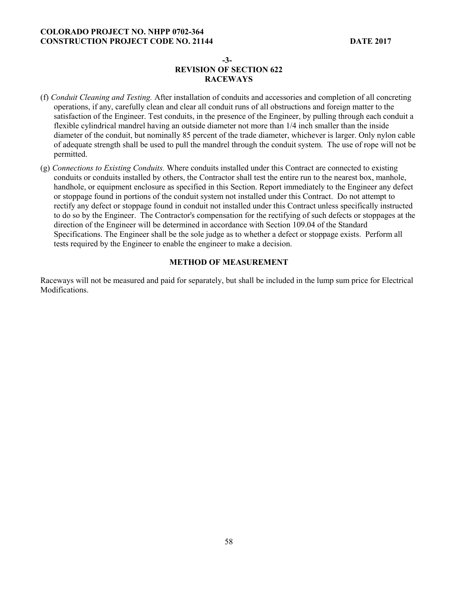## **-3- REVISION OF SECTION 622 RACEWAYS**

- (f) *Conduit Cleaning and Testing.* After installation of conduits and accessories and completion of all concreting operations, if any, carefully clean and clear all conduit runs of all obstructions and foreign matter to the satisfaction of the Engineer. Test conduits, in the presence of the Engineer, by pulling through each conduit a flexible cylindrical mandrel having an outside diameter not more than 1/4 inch smaller than the inside diameter of the conduit, but nominally 85 percent of the trade diameter, whichever is larger. Only nylon cable of adequate strength shall be used to pull the mandrel through the conduit system. The use of rope will not be permitted.
- (g) *Connections to Existing Conduits.* Where conduits installed under this Contract are connected to existing conduits or conduits installed by others, the Contractor shall test the entire run to the nearest box, manhole, handhole, or equipment enclosure as specified in this Section. Report immediately to the Engineer any defect or stoppage found in portions of the conduit system not installed under this Contract. Do not attempt to rectify any defect or stoppage found in conduit not installed under this Contract unless specifically instructed to do so by the Engineer. The Contractor's compensation for the rectifying of such defects or stoppages at the direction of the Engineer will be determined in accordance with Section 109.04 of the Standard Specifications. The Engineer shall be the sole judge as to whether a defect or stoppage exists. Perform all tests required by the Engineer to enable the engineer to make a decision.

#### **METHOD OF MEASUREMENT**

Raceways will not be measured and paid for separately, but shall be included in the lump sum price for Electrical Modifications.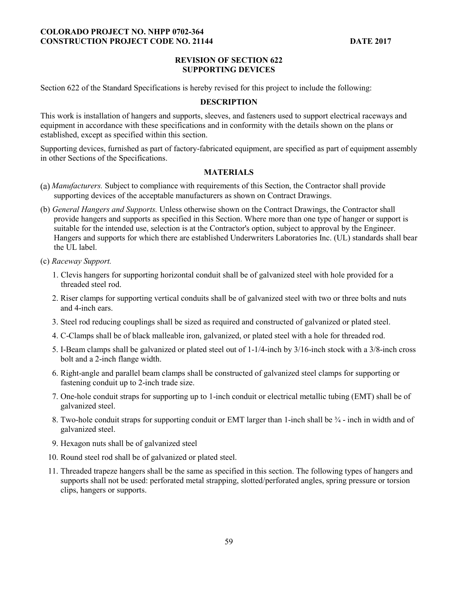### **REVISION OF SECTION 622 SUPPORTING DEVICES**

Section 622 of the Standard Specifications is hereby revised for this project to include the following:

#### **DESCRIPTION**

This work is installation of hangers and supports, sleeves, and fasteners used to support electrical raceways and equipment in accordance with these specifications and in conformity with the details shown on the plans or established, except as specified within this section.

Supporting devices, furnished as part of factory-fabricated equipment, are specified as part of equipment assembly in other Sections of the Specifications.

## **MATERIALS**

- *Manufacturers.* Subject to compliance with requirements of this Section, the Contractor shall provide supporting devices of the acceptable manufacturers as shown on Contract Drawings.
- (b) *General Hangers and Supports.* Unless otherwise shown on the Contract Drawings, the Contractor shall provide hangers and supports as specified in this Section. Where more than one type of hanger or support is suitable for the intended use, selection is at the Contractor's option, subject to approval by the Engineer. Hangers and supports for which there are established Underwriters Laboratories Inc. (UL) standards shall bear the UL label.
- (c) *Raceway Support.* 
	- 1. Clevis hangers for supporting horizontal conduit shall be of galvanized steel with hole provided for a threaded steel rod.
	- 2. Riser clamps for supporting vertical conduits shall be of galvanized steel with two or three bolts and nuts and 4-inch ears.
	- 3. Steel rod reducing couplings shall be sized as required and constructed of galvanized or plated steel.
	- 4. C-Clamps shall be of black malleable iron, galvanized, or plated steel with a hole for threaded rod.
	- 5. I-Beam clamps shall be galvanized or plated steel out of 1-1/4-inch by 3/16-inch stock with a 3/8-inch cross bolt and a 2-inch flange width.
	- 6. Right-angle and parallel beam clamps shall be constructed of galvanized steel clamps for supporting or fastening conduit up to 2-inch trade size.
	- 7. One-hole conduit straps for supporting up to 1-inch conduit or electrical metallic tubing (EMT) shall be of galvanized steel.
	- 8. Two-hole conduit straps for supporting conduit or EMT larger than 1-inch shall be  $\frac{3}{4}$  inch in width and of galvanized steel.
	- 9. Hexagon nuts shall be of galvanized steel
	- 10. Round steel rod shall be of galvanized or plated steel.
	- 11. Threaded trapeze hangers shall be the same as specified in this section. The following types of hangers and supports shall not be used: perforated metal strapping, slotted/perforated angles, spring pressure or torsion clips, hangers or supports.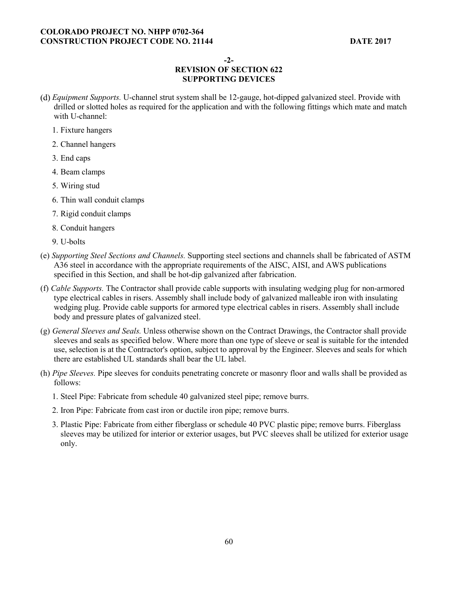**-2-** 

## **REVISION OF SECTION 622 SUPPORTING DEVICES**

- *Equipment Supports.* U-channel strut system shall be 12-gauge, hot-dipped galvanized steel. Provide with drilled or slotted holes as required for the application and with the following fittings which mate and match with U-channel:
	- 1. Fixture hangers
	- 2. Channel hangers
	- 3. End caps
	- 4. Beam clamps
	- 5. Wiring stud
	- 6. Thin wall conduit clamps
	- 7. Rigid conduit clamps
	- 8. Conduit hangers
	- 9. U-bolts
- (e) *Supporting Steel Sections and Channels.* Supporting steel sections and channels shall be fabricated of ASTM A36 steel in accordance with the appropriate requirements of the AISC, AISI, and AWS publications specified in this Section, and shall be hot-dip galvanized after fabrication.
- (f) *Cable Supports.* The Contractor shall provide cable supports with insulating wedging plug for non-armored type electrical cables in risers. Assembly shall include body of galvanized malleable iron with insulating wedging plug. Provide cable supports for armored type electrical cables in risers. Assembly shall include body and pressure plates of galvanized steel.
- (g) *General Sleeves and Seals.* Unless otherwise shown on the Contract Drawings, the Contractor shall provide sleeves and seals as specified below. Where more than one type of sleeve or seal is suitable for the intended use, selection is at the Contractor's option, subject to approval by the Engineer. Sleeves and seals for which there are established UL standards shall bear the UL label.
- (h) *Pipe Sleeves.* Pipe sleeves for conduits penetrating concrete or masonry floor and walls shall be provided as follows:
	- 1. Steel Pipe: Fabricate from schedule 40 galvanized steel pipe; remove burrs.
	- 2. Iron Pipe: Fabricate from cast iron or ductile iron pipe; remove burrs.
	- 3. Plastic Pipe: Fabricate from either fiberglass or schedule 40 PVC plastic pipe; remove burrs. Fiberglass sleeves may be utilized for interior or exterior usages, but PVC sleeves shall be utilized for exterior usage only.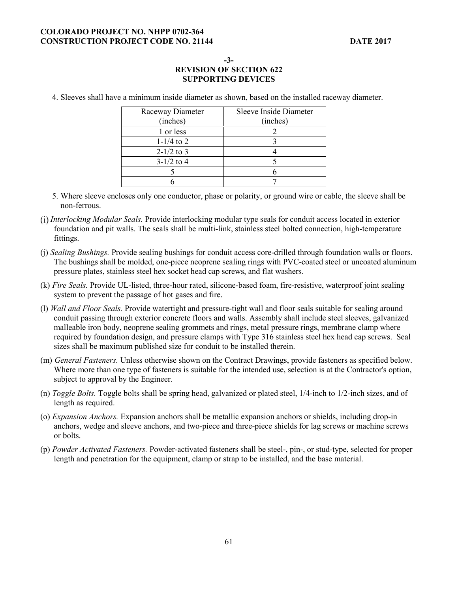**-3-** 

# **REVISION OF SECTION 622 SUPPORTING DEVICES**

4. Sleeves shall have a minimum inside diameter as shown, based on the installed raceway diameter.

| Raceway Diameter | <b>Sleeve Inside Diameter</b> |  |
|------------------|-------------------------------|--|
| (inches)         | (inches)                      |  |
| 1 or less        |                               |  |
| $1 - 1/4$ to 2   |                               |  |
| $2-1/2$ to 3     |                               |  |
| $3-1/2$ to 4     |                               |  |
|                  |                               |  |
|                  |                               |  |

- 5. Where sleeve encloses only one conductor, phase or polarity, or ground wire or cable, the sleeve shall be non-ferrous.
- *Interlocking Modular Seals.* Provide interlocking modular type seals for conduit access located in exterior foundation and pit walls. The seals shall be multi-link, stainless steel bolted connection, high-temperature fittings.
- (j) *Sealing Bushings.* Provide sealing bushings for conduit access core-drilled through foundation walls or floors. The bushings shall be molded, one-piece neoprene sealing rings with PVC-coated steel or uncoated aluminum pressure plates, stainless steel hex socket head cap screws, and flat washers.
- (k) *Fire Seals.* Provide UL-listed, three-hour rated, silicone-based foam, fire-resistive, waterproof joint sealing system to prevent the passage of hot gases and fire.
- (l) *Wall and Floor Seals.* Provide watertight and pressure-tight wall and floor seals suitable for sealing around conduit passing through exterior concrete floors and walls. Assembly shall include steel sleeves, galvanized malleable iron body, neoprene sealing grommets and rings, metal pressure rings, membrane clamp where required by foundation design, and pressure clamps with Type 316 stainless steel hex head cap screws. Seal sizes shall be maximum published size for conduit to be installed therein.
- (m) *General Fasteners.* Unless otherwise shown on the Contract Drawings, provide fasteners as specified below. Where more than one type of fasteners is suitable for the intended use, selection is at the Contractor's option, subject to approval by the Engineer.
- (n) *Toggle Bolts.* Toggle bolts shall be spring head, galvanized or plated steel, 1/4-inch to 1/2-inch sizes, and of length as required.
- (o) *Expansion Anchors.* Expansion anchors shall be metallic expansion anchors or shields, including drop-in anchors, wedge and sleeve anchors, and two-piece and three-piece shields for lag screws or machine screws or bolts.
- (p) *Powder Activated Fasteners.* Powder-activated fasteners shall be steel-, pin-, or stud-type, selected for proper length and penetration for the equipment, clamp or strap to be installed, and the base material.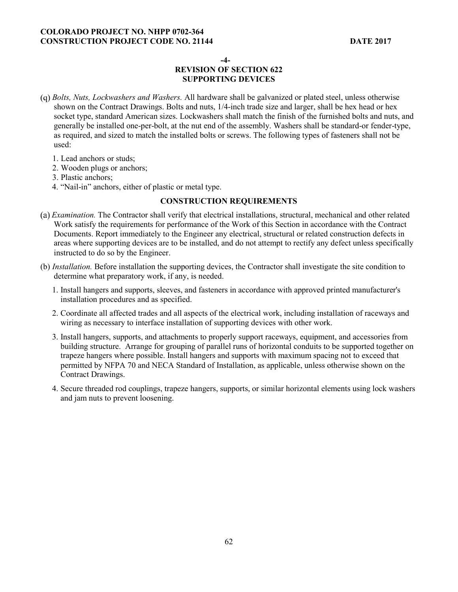**-4-** 

# **REVISION OF SECTION 622 SUPPORTING DEVICES**

- *Bolts, Nuts, Lockwashers and Washers.* All hardware shall be galvanized or plated steel, unless otherwise shown on the Contract Drawings. Bolts and nuts, 1/4-inch trade size and larger, shall be hex head or hex socket type, standard American sizes. Lockwashers shall match the finish of the furnished bolts and nuts, and generally be installed one-per-bolt, at the nut end of the assembly. Washers shall be standard-or fender-type, as required, and sized to match the installed bolts or screws. The following types of fasteners shall not be used:
	- 1. Lead anchors or studs;
	- 2. Wooden plugs or anchors;
	- 3. Plastic anchors;
	- 4. "Nail-in" anchors, either of plastic or metal type.

## **CONSTRUCTION REQUIREMENTS**

- *Examination.* The Contractor shall verify that electrical installations, structural, mechanical and other related Work satisfy the requirements for performance of the Work of this Section in accordance with the Contract Documents. Report immediately to the Engineer any electrical, structural or related construction defects in areas where supporting devices are to be installed, and do not attempt to rectify any defect unless specifically instructed to do so by the Engineer.
- (b) *Installation.* Before installation the supporting devices, the Contractor shall investigate the site condition to determine what preparatory work, if any, is needed.
	- 1. Install hangers and supports, sleeves, and fasteners in accordance with approved printed manufacturer's installation procedures and as specified.
	- 2. Coordinate all affected trades and all aspects of the electrical work, including installation of raceways and wiring as necessary to interface installation of supporting devices with other work.
	- 3. Install hangers, supports, and attachments to properly support raceways, equipment, and accessories from building structure. Arrange for grouping of parallel runs of horizontal conduits to be supported together on trapeze hangers where possible. Install hangers and supports with maximum spacing not to exceed that permitted by NFPA 70 and NECA Standard of Installation, as applicable, unless otherwise shown on the Contract Drawings.
	- 4. Secure threaded rod couplings, trapeze hangers, supports, or similar horizontal elements using lock washers and jam nuts to prevent loosening.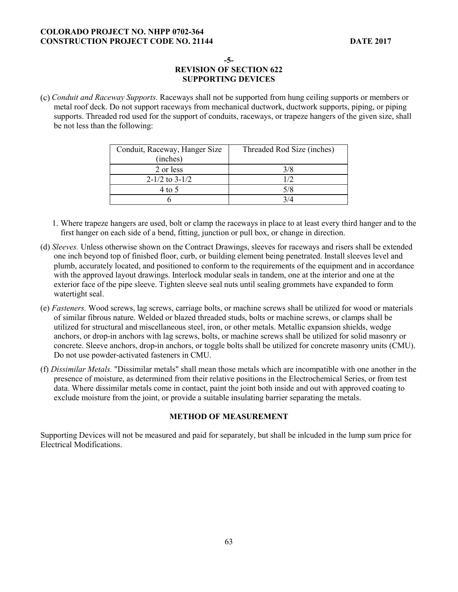**-5-** 

# **REVISION OF SECTION 622 SUPPORTING DEVICES**

*Conduit and Raceway Supports.* Raceways shall not be supported from hung ceiling supports or members or metal roof deck. Do not support raceways from mechanical ductwork, ductwork supports, piping, or piping supports. Threaded rod used for the support of conduits, raceways, or trapeze hangers of the given size, shall be not less than the following:

| Conduit, Raceway, Hanger Size<br>(inches) | Threaded Rod Size (inches) |
|-------------------------------------------|----------------------------|
| 2 or less                                 | 3/8                        |
| $2-1/2$ to $3-1/2$                        | 1/2                        |
| 4 to 5                                    | 5/8                        |
|                                           | 3/4                        |

- 1. Where trapeze hangers are used, bolt or clamp the raceways in place to at least every third hanger and to the first hanger on each side of a bend, fitting, junction or pull box, or change in direction.
- (d) *Sleeves.* Unless otherwise shown on the Contract Drawings, sleeves for raceways and risers shall be extended one inch beyond top of finished floor, curb, or building element being penetrated. Install sleeves level and plumb, accurately located, and positioned to conform to the requirements of the equipment and in accordance with the approved layout drawings. Interlock modular seals in tandem, one at the interior and one at the exterior face of the pipe sleeve. Tighten sleeve seal nuts until sealing grommets have expanded to form watertight seal.
- (e) *Fasteners.* Wood screws, lag screws, carriage bolts, or machine screws shall be utilized for wood or materials of similar fibrous nature. Welded or blazed threaded studs, bolts or machine screws, or clamps shall be utilized for structural and miscellaneous steel, iron, or other metals. Metallic expansion shields, wedge anchors, or drop-in anchors with lag screws, bolts, or machine screws shall be utilized for solid masonry or concrete. Sleeve anchors, drop-in anchors, or toggle bolts shall be utilized for concrete masonry units (CMU). Do not use powder-activated fasteners in CMU.
- (f) *Dissimilar Metals.* "Dissimilar metals" shall mean those metals which are incompatible with one another in the presence of moisture, as determined from their relative positions in the Electrochemical Series, or from test data. Where dissimilar metals come in contact, paint the joint both inside and out with approved coating to exclude moisture from the joint, or provide a suitable insulating barrier separating the metals.

## **METHOD OF MEASUREMENT**

Supporting Devices will not be measured and paid for separately, but shall be inlcuded in the lump sum price for Electrical Modifications.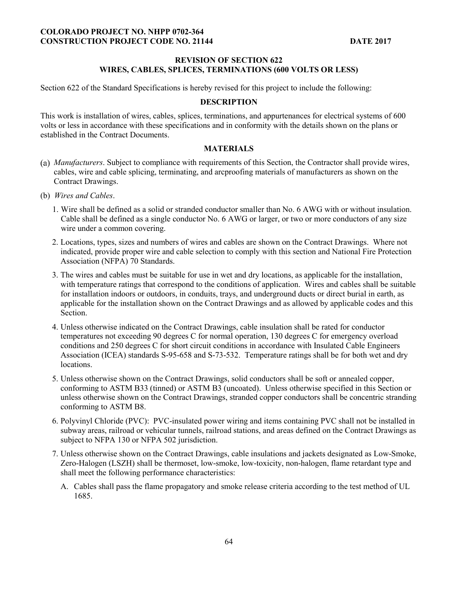### **REVISION OF SECTION 622 WIRES, CABLES, SPLICES, TERMINATIONS (600 VOLTS OR LESS)**

Section 622 of the Standard Specifications is hereby revised for this project to include the following:

#### **DESCRIPTION**

This work is installation of wires, cables, splices, terminations, and appurtenances for electrical systems of 600 volts or less in accordance with these specifications and in conformity with the details shown on the plans or established in the Contract Documents.

## **MATERIALS**

- *Manufacturers*. Subject to compliance with requirements of this Section, the Contractor shall provide wires, cables, wire and cable splicing, terminating, and arcproofing materials of manufacturers as shown on the Contract Drawings.
- (b) *Wires and Cables*.
	- 1. Wire shall be defined as a solid or stranded conductor smaller than No. 6 AWG with or without insulation. Cable shall be defined as a single conductor No. 6 AWG or larger, or two or more conductors of any size wire under a common covering.
	- 2. Locations, types, sizes and numbers of wires and cables are shown on the Contract Drawings. Where not indicated, provide proper wire and cable selection to comply with this section and National Fire Protection Association (NFPA) 70 Standards.
	- 3. The wires and cables must be suitable for use in wet and dry locations, as applicable for the installation, with temperature ratings that correspond to the conditions of application. Wires and cables shall be suitable for installation indoors or outdoors, in conduits, trays, and underground ducts or direct burial in earth, as applicable for the installation shown on the Contract Drawings and as allowed by applicable codes and this Section.
	- 4. Unless otherwise indicated on the Contract Drawings, cable insulation shall be rated for conductor temperatures not exceeding 90 degrees C for normal operation, 130 degrees C for emergency overload conditions and 250 degrees C for short circuit conditions in accordance with Insulated Cable Engineers Association (ICEA) standards S-95-658 and S-73-532. Temperature ratings shall be for both wet and dry locations.
	- 5. Unless otherwise shown on the Contract Drawings, solid conductors shall be soft or annealed copper, conforming to ASTM B33 (tinned) or ASTM B3 (uncoated). Unless otherwise specified in this Section or unless otherwise shown on the Contract Drawings, stranded copper conductors shall be concentric stranding conforming to ASTM B8.
	- 6. Polyvinyl Chloride (PVC): PVC-insulated power wiring and items containing PVC shall not be installed in subway areas, railroad or vehicular tunnels, railroad stations, and areas defined on the Contract Drawings as subject to NFPA 130 or NFPA 502 jurisdiction.
	- 7. Unless otherwise shown on the Contract Drawings, cable insulations and jackets designated as Low-Smoke, Zero-Halogen (LSZH) shall be thermoset, low-smoke, low-toxicity, non-halogen, flame retardant type and shall meet the following performance characteristics:
		- A. Cables shall pass the flame propagatory and smoke release criteria according to the test method of UL 1685.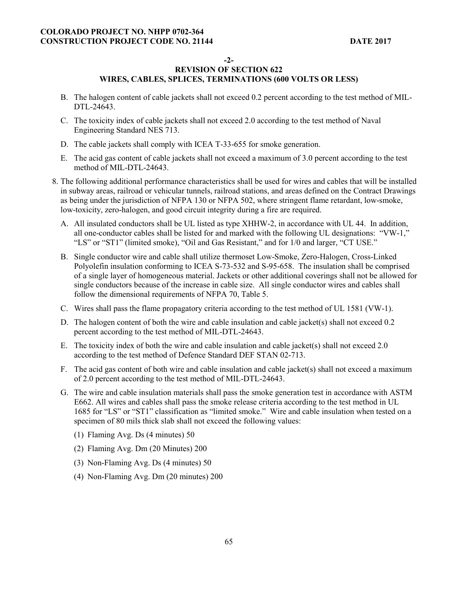## **-2-**

- B. The halogen content of cable jackets shall not exceed 0.2 percent according to the test method of MIL-DTL-24643.
- C. The toxicity index of cable jackets shall not exceed 2.0 according to the test method of Naval Engineering Standard NES 713.
- D. The cable jackets shall comply with ICEA T-33-655 for smoke generation.
- E. The acid gas content of cable jackets shall not exceed a maximum of 3.0 percent according to the test method of MIL-DTL-24643.
- 8. The following additional performance characteristics shall be used for wires and cables that will be installed in subway areas, railroad or vehicular tunnels, railroad stations, and areas defined on the Contract Drawings as being under the jurisdiction of NFPA 130 or NFPA 502, where stringent flame retardant, low-smoke, low-toxicity, zero-halogen, and good circuit integrity during a fire are required.
	- A. All insulated conductors shall be UL listed as type XHHW-2, in accordance with UL 44. In addition, all one-conductor cables shall be listed for and marked with the following UL designations: "VW-1," "LS" or "ST1" (limited smoke), "Oil and Gas Resistant," and for 1/0 and larger, "CT USE."
	- B. Single conductor wire and cable shall utilize thermoset Low-Smoke, Zero-Halogen, Cross-Linked Polyolefin insulation conforming to ICEA S-73-532 and S-95-658. The insulation shall be comprised of a single layer of homogeneous material. Jackets or other additional coverings shall not be allowed for single conductors because of the increase in cable size. All single conductor wires and cables shall follow the dimensional requirements of NFPA 70, Table 5.
	- C. Wires shall pass the flame propagatory criteria according to the test method of UL 1581 (VW-1).
	- D. The halogen content of both the wire and cable insulation and cable jacket(s) shall not exceed 0.2 percent according to the test method of MIL-DTL-24643.
	- E. The toxicity index of both the wire and cable insulation and cable jacket(s) shall not exceed 2.0 according to the test method of Defence Standard DEF STAN 02-713.
	- F. The acid gas content of both wire and cable insulation and cable jacket(s) shall not exceed a maximum of 2.0 percent according to the test method of MIL-DTL-24643.
	- G. The wire and cable insulation materials shall pass the smoke generation test in accordance with ASTM E662. All wires and cables shall pass the smoke release criteria according to the test method in UL 1685 for "LS" or "ST1" classification as "limited smoke." Wire and cable insulation when tested on a specimen of 80 mils thick slab shall not exceed the following values:
		- (1) Flaming Avg. Ds (4 minutes) 50
		- (2) Flaming Avg. Dm (20 Minutes) 200
		- (3) Non-Flaming Avg. Ds (4 minutes) 50
		- (4) Non-Flaming Avg. Dm (20 minutes) 200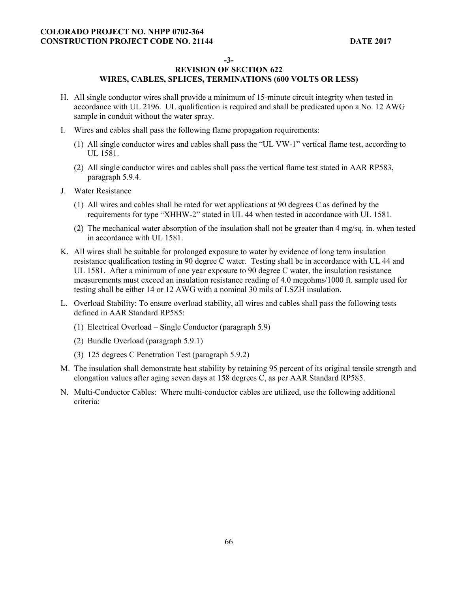**-3-** 

- H. All single conductor wires shall provide a minimum of 15-minute circuit integrity when tested in accordance with UL 2196. UL qualification is required and shall be predicated upon a No. 12 AWG sample in conduit without the water spray.
- I. Wires and cables shall pass the following flame propagation requirements:
	- (1) All single conductor wires and cables shall pass the "UL VW-1" vertical flame test, according to UL 1581.
	- (2) All single conductor wires and cables shall pass the vertical flame test stated in AAR RP583, paragraph 5.9.4.
- J. Water Resistance
	- (1) All wires and cables shall be rated for wet applications at 90 degrees C as defined by the requirements for type "XHHW-2" stated in UL 44 when tested in accordance with UL 1581.
	- (2) The mechanical water absorption of the insulation shall not be greater than 4 mg/sq. in. when tested in accordance with UL 1581.
- K. All wires shall be suitable for prolonged exposure to water by evidence of long term insulation resistance qualification testing in 90 degree C water. Testing shall be in accordance with UL 44 and UL 1581. After a minimum of one year exposure to 90 degree C water, the insulation resistance measurements must exceed an insulation resistance reading of 4.0 megohms/1000 ft. sample used for testing shall be either 14 or 12 AWG with a nominal 30 mils of LSZH insulation.
- L. Overload Stability: To ensure overload stability, all wires and cables shall pass the following tests defined in AAR Standard RP585:
	- (1) Electrical Overload Single Conductor (paragraph 5.9)
	- (2) Bundle Overload (paragraph 5.9.1)
	- (3) 125 degrees C Penetration Test (paragraph 5.9.2)
- M. The insulation shall demonstrate heat stability by retaining 95 percent of its original tensile strength and elongation values after aging seven days at 158 degrees C, as per AAR Standard RP585.
- N. Multi-Conductor Cables: Where multi-conductor cables are utilized, use the following additional criteria: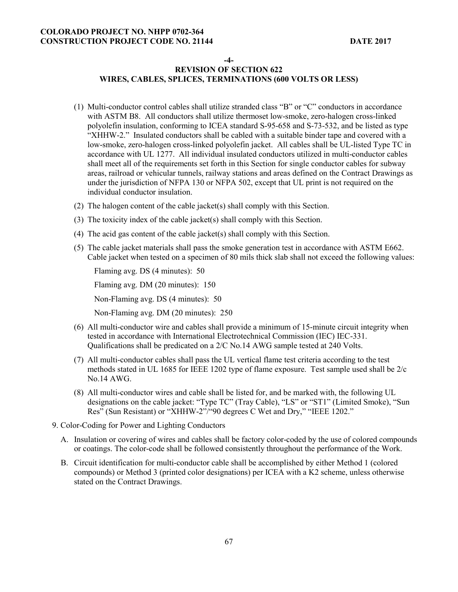**-4-** 

# **REVISION OF SECTION 622 WIRES, CABLES, SPLICES, TERMINATIONS (600 VOLTS OR LESS)**

- (1) Multi-conductor control cables shall utilize stranded class "B" or "C" conductors in accordance with ASTM B8. All conductors shall utilize thermoset low-smoke, zero-halogen cross-linked polyolefin insulation, conforming to ICEA standard S-95-658 and S-73-532, and be listed as type "XHHW-2." Insulated conductors shall be cabled with a suitable binder tape and covered with a low-smoke, zero-halogen cross-linked polyolefin jacket. All cables shall be UL-listed Type TC in accordance with UL 1277. All individual insulated conductors utilized in multi-conductor cables shall meet all of the requirements set forth in this Section for single conductor cables for subway areas, railroad or vehicular tunnels, railway stations and areas defined on the Contract Drawings as under the jurisdiction of NFPA 130 or NFPA 502, except that UL print is not required on the individual conductor insulation.
- (2) The halogen content of the cable jacket(s) shall comply with this Section.
- (3) The toxicity index of the cable jacket(s) shall comply with this Section.
- (4) The acid gas content of the cable jacket(s) shall comply with this Section.
- (5) The cable jacket materials shall pass the smoke generation test in accordance with ASTM E662. Cable jacket when tested on a specimen of 80 mils thick slab shall not exceed the following values:

Flaming avg. DS (4 minutes): 50

Flaming avg. DM (20 minutes): 150

Non-Flaming avg. DS (4 minutes): 50

Non-Flaming avg. DM (20 minutes): 250

- (6) All multi-conductor wire and cables shall provide a minimum of 15-minute circuit integrity when tested in accordance with International Electrotechnical Commission (IEC) IEC-331. Qualifications shall be predicated on a 2/C No.14 AWG sample tested at 240 Volts.
- (7) All multi-conductor cables shall pass the UL vertical flame test criteria according to the test methods stated in UL 1685 for IEEE 1202 type of flame exposure. Test sample used shall be 2/c No.14 AWG.
- (8) All multi-conductor wires and cable shall be listed for, and be marked with, the following UL designations on the cable jacket: "Type TC" (Tray Cable), "LS" or "ST1" (Limited Smoke), "Sun Res" (Sun Resistant) or "XHHW-2"/"90 degrees C Wet and Dry," "IEEE 1202."
- 9. Color-Coding for Power and Lighting Conductors
	- A. Insulation or covering of wires and cables shall be factory color-coded by the use of colored compounds or coatings. The color-code shall be followed consistently throughout the performance of the Work.
	- B. Circuit identification for multi-conductor cable shall be accomplished by either Method 1 (colored compounds) or Method 3 (printed color designations) per ICEA with a K2 scheme, unless otherwise stated on the Contract Drawings.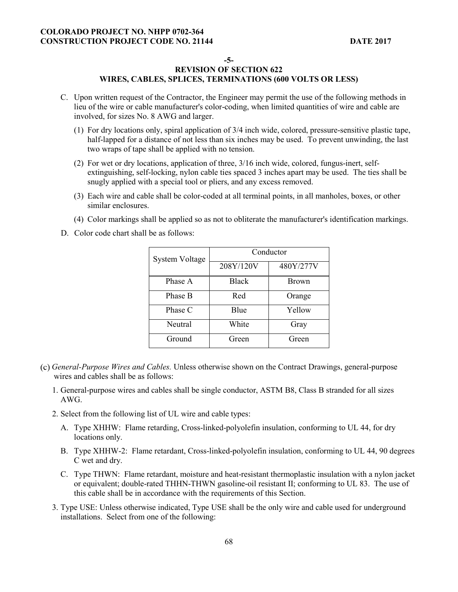#### **-5-**

- C. Upon written request of the Contractor, the Engineer may permit the use of the following methods in lieu of the wire or cable manufacturer's color-coding, when limited quantities of wire and cable are involved, for sizes No. 8 AWG and larger.
	- (1) For dry locations only, spiral application of 3/4 inch wide, colored, pressure-sensitive plastic tape, half-lapped for a distance of not less than six inches may be used. To prevent unwinding, the last two wraps of tape shall be applied with no tension.
	- (2) For wet or dry locations, application of three, 3/16 inch wide, colored, fungus-inert, selfextinguishing, self-locking, nylon cable ties spaced 3 inches apart may be used. The ties shall be snugly applied with a special tool or pliers, and any excess removed.
	- (3) Each wire and cable shall be color-coded at all terminal points, in all manholes, boxes, or other similar enclosures.
	- (4) Color markings shall be applied so as not to obliterate the manufacturer's identification markings.
- D. Color code chart shall be as follows:

| <b>System Voltage</b> | Conductor    |              |
|-----------------------|--------------|--------------|
|                       | 208Y/120V    | 480Y/277V    |
| Phase A               | <b>Black</b> | <b>Brown</b> |
| Phase B               | Red          | Orange       |
| Phase C               | Blue         | Yellow       |
| Neutral               | White        | Gray         |
| Ground                | Green        | Green        |

- *General-Purpose Wires and Cables.* Unless otherwise shown on the Contract Drawings, general-purpose wires and cables shall be as follows:
	- 1. General-purpose wires and cables shall be single conductor, ASTM B8, Class B stranded for all sizes AWG.
	- 2. Select from the following list of UL wire and cable types:
		- A. Type XHHW: Flame retarding, Cross-linked-polyolefin insulation, conforming to UL 44, for dry locations only.
		- B. Type XHHW-2: Flame retardant, Cross-linked-polyolefin insulation, conforming to UL 44, 90 degrees C wet and dry.
		- C. Type THWN: Flame retardant, moisture and heat-resistant thermoplastic insulation with a nylon jacket or equivalent; double-rated THHN-THWN gasoline-oil resistant II; conforming to UL 83. The use of this cable shall be in accordance with the requirements of this Section.
	- 3. Type USE: Unless otherwise indicated, Type USE shall be the only wire and cable used for underground installations. Select from one of the following: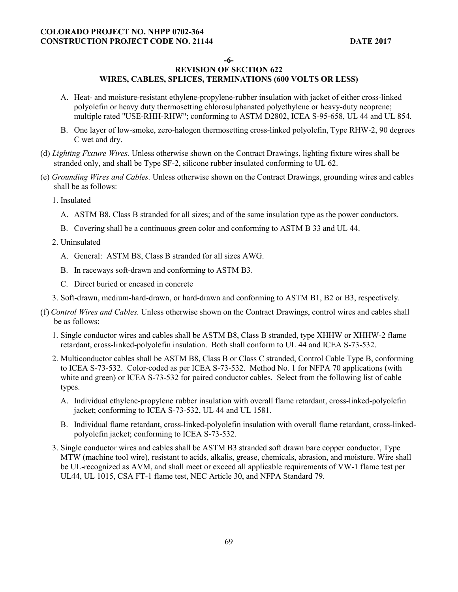**-6-** 

- A. Heat- and moisture-resistant ethylene-propylene-rubber insulation with jacket of either cross-linked polyolefin or heavy duty thermosetting chlorosulphanated polyethylene or heavy-duty neoprene; multiple rated "USE-RHH-RHW"; conforming to ASTM D2802, ICEA S-95-658, UL 44 and UL 854.
- B. One layer of low-smoke, zero-halogen thermosetting cross-linked polyolefin, Type RHW-2, 90 degrees C wet and dry.
- (d) *Lighting Fixture Wires.* Unless otherwise shown on the Contract Drawings, lighting fixture wires shall be stranded only, and shall be Type SF-2, silicone rubber insulated conforming to UL 62.
- (e) *Grounding Wires and Cables.* Unless otherwise shown on the Contract Drawings, grounding wires and cables shall be as follows:
	- 1. Insulated
		- A. ASTM B8, Class B stranded for all sizes; and of the same insulation type as the power conductors.
		- B. Covering shall be a continuous green color and conforming to ASTM B 33 and UL 44.
	- 2. Uninsulated
		- A. General: ASTM B8, Class B stranded for all sizes AWG.
		- B. In raceways soft-drawn and conforming to ASTM B3.
		- C. Direct buried or encased in concrete
	- 3. Soft-drawn, medium-hard-drawn, or hard-drawn and conforming to ASTM B1, B2 or B3, respectively.
- *Control Wires and Cables.* Unless otherwise shown on the Contract Drawings, control wires and cables shall be as follows:
	- 1. Single conductor wires and cables shall be ASTM B8, Class B stranded, type XHHW or XHHW-2 flame retardant, cross-linked-polyolefin insulation. Both shall conform to UL 44 and ICEA S-73-532.
	- 2. Multiconductor cables shall be ASTM B8, Class B or Class C stranded, Control Cable Type B, conforming to ICEA S-73-532. Color-coded as per ICEA S-73-532. Method No. 1 for NFPA 70 applications (with white and green) or ICEA S-73-532 for paired conductor cables. Select from the following list of cable types.
		- A. Individual ethylene-propylene rubber insulation with overall flame retardant, cross-linked-polyolefin jacket; conforming to ICEA S-73-532, UL 44 and UL 1581.
		- B. Individual flame retardant, cross-linked-polyolefin insulation with overall flame retardant, cross-linkedpolyolefin jacket; conforming to ICEA S-73-532.
	- 3. Single conductor wires and cables shall be ASTM B3 stranded soft drawn bare copper conductor, Type MTW (machine tool wire), resistant to acids, alkalis, grease, chemicals, abrasion, and moisture. Wire shall be UL-recognized as AVM, and shall meet or exceed all applicable requirements of VW-1 flame test per UL44, UL 1015, CSA FT-1 flame test, NEC Article 30, and NFPA Standard 79.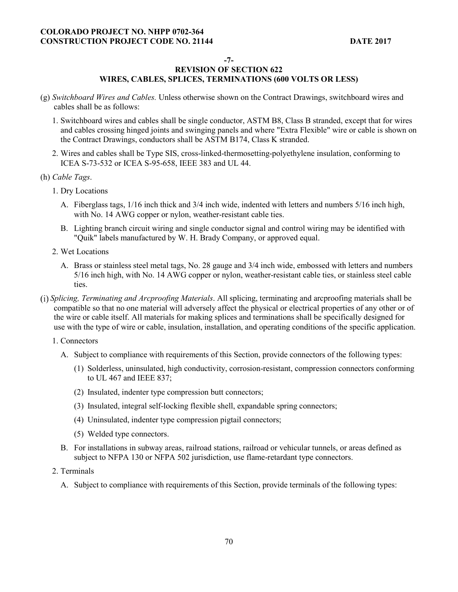#### **-7-**

- (g) *Switchboard Wires and Cables.* Unless otherwise shown on the Contract Drawings, switchboard wires and cables shall be as follows:
	- 1. Switchboard wires and cables shall be single conductor, ASTM B8, Class B stranded, except that for wires and cables crossing hinged joints and swinging panels and where "Extra Flexible" wire or cable is shown on the Contract Drawings, conductors shall be ASTM B174, Class K stranded.
	- 2. Wires and cables shall be Type SIS, cross-linked-thermosetting-polyethylene insulation, conforming to ICEA S-73-532 or ICEA S-95-658, IEEE 383 and UL 44.
- (h) *Cable Tags*.
	- 1. Dry Locations
		- A. Fiberglass tags, 1/16 inch thick and 3/4 inch wide, indented with letters and numbers 5/16 inch high, with No. 14 AWG copper or nylon, weather-resistant cable ties.
		- B. Lighting branch circuit wiring and single conductor signal and control wiring may be identified with "Quik" labels manufactured by W. H. Brady Company, or approved equal.
	- 2. Wet Locations
		- A. Brass or stainless steel metal tags, No. 28 gauge and 3/4 inch wide, embossed with letters and numbers 5/16 inch high, with No. 14 AWG copper or nylon, weather-resistant cable ties, or stainless steel cable ties.
- *Splicing, Terminating and Arcproofing Materials*. All splicing, terminating and arcproofing materials shall be compatible so that no one material will adversely affect the physical or electrical properties of any other or of the wire or cable itself. All materials for making splices and terminations shall be specifically designed for use with the type of wire or cable, insulation, installation, and operating conditions of the specific application.
	- 1. Connectors
		- A. Subject to compliance with requirements of this Section, provide connectors of the following types:
			- (1) Solderless, uninsulated, high conductivity, corrosion-resistant, compression connectors conforming to UL 467 and IEEE 837;
			- (2) Insulated, indenter type compression butt connectors;
			- (3) Insulated, integral self-locking flexible shell, expandable spring connectors;
			- (4) Uninsulated, indenter type compression pigtail connectors;
			- (5) Welded type connectors.
		- B. For installations in subway areas, railroad stations, railroad or vehicular tunnels, or areas defined as subject to NFPA 130 or NFPA 502 jurisdiction, use flame-retardant type connectors.
	- 2. Terminals
		- A. Subject to compliance with requirements of this Section, provide terminals of the following types: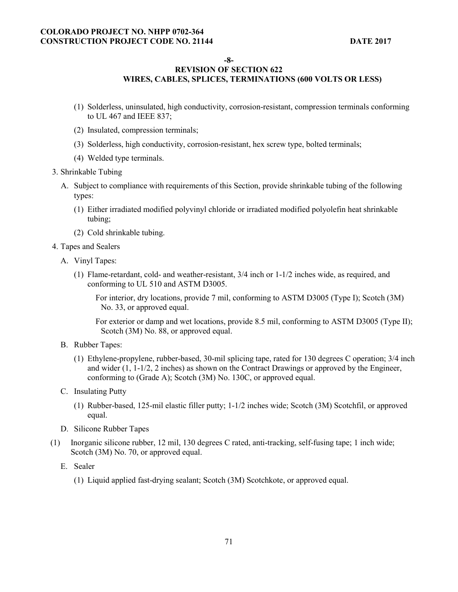**-8-** 

## **REVISION OF SECTION 622 WIRES, CABLES, SPLICES, TERMINATIONS (600 VOLTS OR LESS)**

- 
- (1) Solderless, uninsulated, high conductivity, corrosion-resistant, compression terminals conforming to UL 467 and IEEE 837;
- (2) Insulated, compression terminals;
- (3) Solderless, high conductivity, corrosion-resistant, hex screw type, bolted terminals;
- (4) Welded type terminals.
- 3. Shrinkable Tubing
	- A. Subject to compliance with requirements of this Section, provide shrinkable tubing of the following types:
		- (1) Either irradiated modified polyvinyl chloride or irradiated modified polyolefin heat shrinkable tubing;
		- (2) Cold shrinkable tubing.
- 4. Tapes and Sealers
	- A. Vinyl Tapes:
		- (1) Flame-retardant, cold- and weather-resistant, 3/4 inch or 1-1/2 inches wide, as required, and conforming to UL 510 and ASTM D3005.

For interior, dry locations, provide 7 mil, conforming to ASTM D3005 (Type I); Scotch (3M) No. 33, or approved equal.

For exterior or damp and wet locations, provide 8.5 mil, conforming to ASTM D3005 (Type II); Scotch (3M) No. 88, or approved equal.

- B. Rubber Tapes:
	- (1) Ethylene-propylene, rubber-based, 30-mil splicing tape, rated for 130 degrees C operation; 3/4 inch and wider (1, 1-1/2, 2 inches) as shown on the Contract Drawings or approved by the Engineer, conforming to (Grade A); Scotch (3M) No. 130C, or approved equal.
- C. Insulating Putty
	- (1) Rubber-based, 125-mil elastic filler putty; 1-1/2 inches wide; Scotch (3M) Scotchfil, or approved equal.
- D. Silicone Rubber Tapes
- (1) Inorganic silicone rubber, 12 mil, 130 degrees C rated, anti-tracking, self-fusing tape; 1 inch wide; Scotch (3M) No. 70, or approved equal.
	- E. Sealer
		- (1) Liquid applied fast-drying sealant; Scotch (3M) Scotchkote, or approved equal.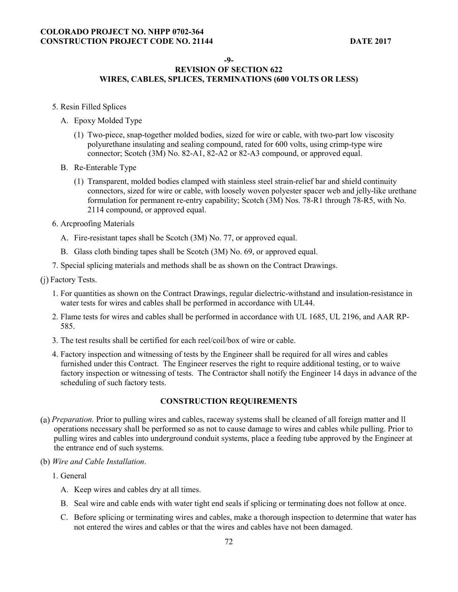#### **-9-**

#### **REVISION OF SECTION 622 WIRES, CABLES, SPLICES, TERMINATIONS (600 VOLTS OR LESS)**

- 5. Resin Filled Splices
	- A. Epoxy Molded Type
		- (1) Two-piece, snap-together molded bodies, sized for wire or cable, with two-part low viscosity polyurethane insulating and sealing compound, rated for 600 volts, using crimp-type wire connector; Scotch (3M) No. 82-A1, 82-A2 or 82-A3 compound, or approved equal.
	- B. Re-Enterable Type
		- (1) Transparent, molded bodies clamped with stainless steel strain-relief bar and shield continuity connectors, sized for wire or cable, with loosely woven polyester spacer web and jelly-like urethane formulation for permanent re-entry capability; Scotch (3M) Nos. 78-R1 through 78-R5, with No. 2114 compound, or approved equal.
- 6. Arcproofing Materials
	- A. Fire-resistant tapes shall be Scotch (3M) No. 77, or approved equal.
	- B. Glass cloth binding tapes shall be Scotch (3M) No. 69, or approved equal.
- 7. Special splicing materials and methods shall be as shown on the Contract Drawings.
- (j) Factory Tests.
	- 1. For quantities as shown on the Contract Drawings, regular dielectric-withstand and insulation-resistance in water tests for wires and cables shall be performed in accordance with UL44.
	- 2. Flame tests for wires and cables shall be performed in accordance with UL 1685, UL 2196, and AAR RP-585.
	- 3. The test results shall be certified for each reel/coil/box of wire or cable.
	- 4. Factory inspection and witnessing of tests by the Engineer shall be required for all wires and cables furnished under this Contract. The Engineer reserves the right to require additional testing, or to waive factory inspection or witnessing of tests. The Contractor shall notify the Engineer 14 days in advance of the scheduling of such factory tests.

## **CONSTRUCTION REQUIREMENTS**

- *Preparation.* Prior to pulling wires and cables, raceway systems shall be cleaned of all foreign matter and ll operations necessary shall be performed so as not to cause damage to wires and cables while pulling. Prior to pulling wires and cables into underground conduit systems, place a feeding tube approved by the Engineer at the entrance end of such systems.
- (b) *Wire and Cable Installation*.
	- 1. General
		- A. Keep wires and cables dry at all times.
		- B. Seal wire and cable ends with water tight end seals if splicing or terminating does not follow at once.
		- C. Before splicing or terminating wires and cables, make a thorough inspection to determine that water has not entered the wires and cables or that the wires and cables have not been damaged.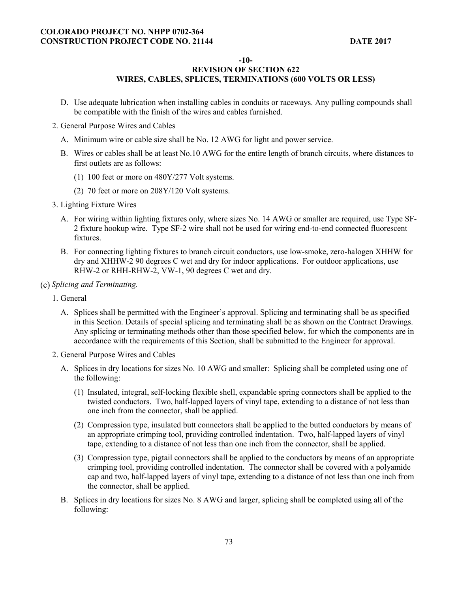**-10-** 

## **REVISION OF SECTION 622 WIRES, CABLES, SPLICES, TERMINATIONS (600 VOLTS OR LESS)**

- D. Use adequate lubrication when installing cables in conduits or raceways. Any pulling compounds shall be compatible with the finish of the wires and cables furnished.
- 2. General Purpose Wires and Cables
	- A. Minimum wire or cable size shall be No. 12 AWG for light and power service.
	- B. Wires or cables shall be at least No.10 AWG for the entire length of branch circuits, where distances to first outlets are as follows:
		- (1) 100 feet or more on 480Y/277 Volt systems.
		- (2) 70 feet or more on 208Y/120 Volt systems.
- 3. Lighting Fixture Wires
	- A. For wiring within lighting fixtures only, where sizes No. 14 AWG or smaller are required, use Type SF-2 fixture hookup wire. Type SF-2 wire shall not be used for wiring end-to-end connected fluorescent fixtures.
	- B. For connecting lighting fixtures to branch circuit conductors, use low-smoke, zero-halogen XHHW for dry and XHHW-2 90 degrees C wet and dry for indoor applications. For outdoor applications, use RHW-2 or RHH-RHW-2, VW-1, 90 degrees C wet and dry.
- *Splicing and Terminating.* 
	- 1. General
		- A. Splices shall be permitted with the Engineer's approval. Splicing and terminating shall be as specified in this Section. Details of special splicing and terminating shall be as shown on the Contract Drawings. Any splicing or terminating methods other than those specified below, for which the components are in accordance with the requirements of this Section, shall be submitted to the Engineer for approval.
	- 2. General Purpose Wires and Cables
		- A. Splices in dry locations for sizes No. 10 AWG and smaller: Splicing shall be completed using one of the following:
			- (1) Insulated, integral, self-locking flexible shell, expandable spring connectors shall be applied to the twisted conductors. Two, half-lapped layers of vinyl tape, extending to a distance of not less than one inch from the connector, shall be applied.
			- (2) Compression type, insulated butt connectors shall be applied to the butted conductors by means of an appropriate crimping tool, providing controlled indentation. Two, half-lapped layers of vinyl tape, extending to a distance of not less than one inch from the connector, shall be applied.
			- (3) Compression type, pigtail connectors shall be applied to the conductors by means of an appropriate crimping tool, providing controlled indentation. The connector shall be covered with a polyamide cap and two, half-lapped layers of vinyl tape, extending to a distance of not less than one inch from the connector, shall be applied.
		- B. Splices in dry locations for sizes No. 8 AWG and larger, splicing shall be completed using all of the following: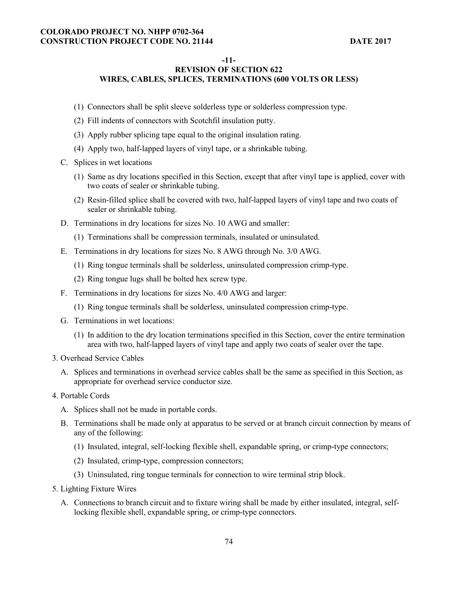#### **-11-**

## **REVISION OF SECTION 622 WIRES, CABLES, SPLICES, TERMINATIONS (600 VOLTS OR LESS)**

- (1) Connectors shall be split sleeve solderless type or solderless compression type.
- (2) Fill indents of connectors with Scotchfil insulation putty.
- (3) Apply rubber splicing tape equal to the original insulation rating.
- (4) Apply two, half-lapped layers of vinyl tape, or a shrinkable tubing.
- C. Splices in wet locations
	- (1) Same as dry locations specified in this Section, except that after vinyl tape is applied, cover with two coats of sealer or shrinkable tubing.
	- (2) Resin-filled splice shall be covered with two, half-lapped layers of vinyl tape and two coats of sealer or shrinkable tubing.
- D. Terminations in dry locations for sizes No. 10 AWG and smaller:
	- (1) Terminations shall be compression terminals, insulated or uninsulated.
- E. Terminations in dry locations for sizes No. 8 AWG through No. 3/0 AWG.
	- (1) Ring tongue terminals shall be solderless, uninsulated compression crimp-type.
	- (2) Ring tongue lugs shall be bolted hex screw type.
- F. Terminations in dry locations for sizes No. 4/0 AWG and larger:
	- (1) Ring tongue terminals shall be solderless, uninsulated compression crimp-type.
- G. Terminations in wet locations:
	- (1) In addition to the dry location terminations specified in this Section, cover the entire termination area with two, half-lapped layers of vinyl tape and apply two coats of sealer over the tape.
- 3. Overhead Service Cables
	- A. Splices and terminations in overhead service cables shall be the same as specified in this Section, as appropriate for overhead service conductor size.
- 4. Portable Cords
	- A. Splices shall not be made in portable cords.
	- B. Terminations shall be made only at apparatus to be served or at branch circuit connection by means of any of the following:
		- (1) Insulated, integral, self-locking flexible shell, expandable spring, or crimp-type connectors;
		- (2) Insulated, crimp-type, compression connectors;
		- (3) Uninsulated, ring tongue terminals for connection to wire terminal strip block.
- 5. Lighting Fixture Wires
	- A. Connections to branch circuit and to fixture wiring shall be made by either insulated, integral, selflocking flexible shell, expandable spring, or crimp-type connectors.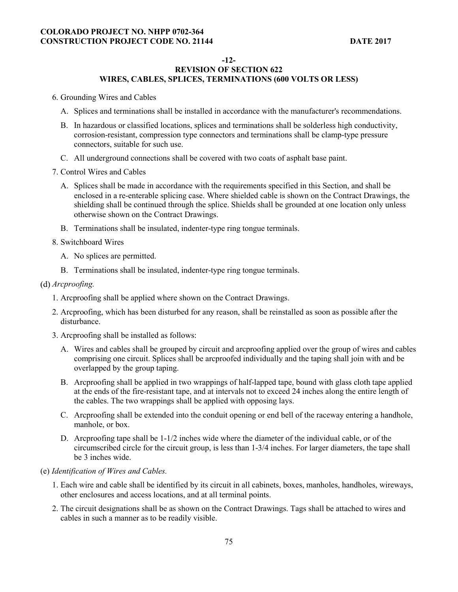#### **-12-**

## **REVISION OF SECTION 622 WIRES, CABLES, SPLICES, TERMINATIONS (600 VOLTS OR LESS)**

- 6. Grounding Wires and Cables
	- A. Splices and terminations shall be installed in accordance with the manufacturer's recommendations.
	- B. In hazardous or classified locations, splices and terminations shall be solderless high conductivity, corrosion-resistant, compression type connectors and terminations shall be clamp-type pressure connectors, suitable for such use.
	- C. All underground connections shall be covered with two coats of asphalt base paint.
- 7. Control Wires and Cables
	- A. Splices shall be made in accordance with the requirements specified in this Section, and shall be enclosed in a re-enterable splicing case. Where shielded cable is shown on the Contract Drawings, the shielding shall be continued through the splice. Shields shall be grounded at one location only unless otherwise shown on the Contract Drawings.
	- B. Terminations shall be insulated, indenter-type ring tongue terminals.
- 8. Switchboard Wires
	- A. No splices are permitted.
	- B. Terminations shall be insulated, indenter-type ring tongue terminals.

#### *Arcproofing.*

- 1. Arcproofing shall be applied where shown on the Contract Drawings.
- 2. Arcproofing, which has been disturbed for any reason, shall be reinstalled as soon as possible after the disturbance.
- 3. Arcproofing shall be installed as follows:
	- A. Wires and cables shall be grouped by circuit and arcproofing applied over the group of wires and cables comprising one circuit. Splices shall be arcproofed individually and the taping shall join with and be overlapped by the group taping.
	- B. Arcproofing shall be applied in two wrappings of half-lapped tape, bound with glass cloth tape applied at the ends of the fire-resistant tape, and at intervals not to exceed 24 inches along the entire length of the cables. The two wrappings shall be applied with opposing lays.
	- C. Arcproofing shall be extended into the conduit opening or end bell of the raceway entering a handhole, manhole, or box.
	- D. Arcproofing tape shall be 1-1/2 inches wide where the diameter of the individual cable, or of the circumscribed circle for the circuit group, is less than 1-3/4 inches. For larger diameters, the tape shall be 3 inches wide.
- (e) *Identification of Wires and Cables.* 
	- 1. Each wire and cable shall be identified by its circuit in all cabinets, boxes, manholes, handholes, wireways, other enclosures and access locations, and at all terminal points.
	- 2. The circuit designations shall be as shown on the Contract Drawings. Tags shall be attached to wires and cables in such a manner as to be readily visible.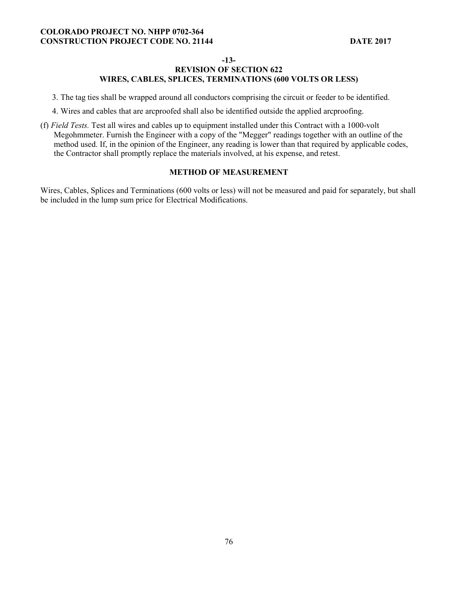#### **-13-**

## **REVISION OF SECTION 622 WIRES, CABLES, SPLICES, TERMINATIONS (600 VOLTS OR LESS)**

3. The tag ties shall be wrapped around all conductors comprising the circuit or feeder to be identified.

4. Wires and cables that are arcproofed shall also be identified outside the applied arcproofing.

(f) *Field Tests.* Test all wires and cables up to equipment installed under this Contract with a 1000-volt Megohmmeter. Furnish the Engineer with a copy of the "Megger" readings together with an outline of the method used. If, in the opinion of the Engineer, any reading is lower than that required by applicable codes, the Contractor shall promptly replace the materials involved, at his expense, and retest.

#### **METHOD OF MEASUREMENT**

Wires, Cables, Splices and Terminations (600 volts or less) will not be measured and paid for separately, but shall be included in the lump sum price for Electrical Modifications.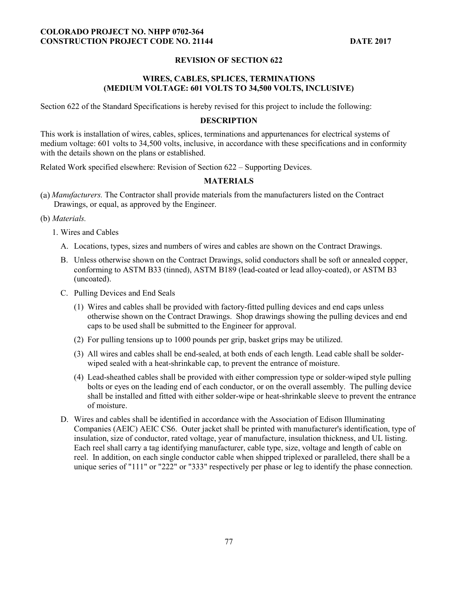### **REVISION OF SECTION 622**

### **WIRES, CABLES, SPLICES, TERMINATIONS (MEDIUM VOLTAGE: 601 VOLTS TO 34,500 VOLTS, INCLUSIVE)**

Section 622 of the Standard Specifications is hereby revised for this project to include the following:

#### **DESCRIPTION**

This work is installation of wires, cables, splices, terminations and appurtenances for electrical systems of medium voltage: 601 volts to 34,500 volts, inclusive, in accordance with these specifications and in conformity with the details shown on the plans or established.

Related Work specified elsewhere: Revision of Section 622 – Supporting Devices.

#### **MATERIALS**

- *Manufacturers.* The Contractor shall provide materials from the manufacturers listed on the Contract Drawings, or equal, as approved by the Engineer.
- (b) *Materials.*
	- 1. Wires and Cables
		- A. Locations, types, sizes and numbers of wires and cables are shown on the Contract Drawings.
		- B. Unless otherwise shown on the Contract Drawings, solid conductors shall be soft or annealed copper, conforming to ASTM B33 (tinned), ASTM B189 (lead-coated or lead alloy-coated), or ASTM B3 (uncoated).
		- C. Pulling Devices and End Seals
			- (1) Wires and cables shall be provided with factory-fitted pulling devices and end caps unless otherwise shown on the Contract Drawings. Shop drawings showing the pulling devices and end caps to be used shall be submitted to the Engineer for approval.
			- (2) For pulling tensions up to 1000 pounds per grip, basket grips may be utilized.
			- (3) All wires and cables shall be end-sealed, at both ends of each length. Lead cable shall be solderwiped sealed with a heat-shrinkable cap, to prevent the entrance of moisture.
			- (4) Lead-sheathed cables shall be provided with either compression type or solder-wiped style pulling bolts or eyes on the leading end of each conductor, or on the overall assembly. The pulling device shall be installed and fitted with either solder-wipe or heat-shrinkable sleeve to prevent the entrance of moisture.
		- D. Wires and cables shall be identified in accordance with the Association of Edison Illuminating Companies (AEIC) AEIC CS6. Outer jacket shall be printed with manufacturer's identification, type of insulation, size of conductor, rated voltage, year of manufacture, insulation thickness, and UL listing. Each reel shall carry a tag identifying manufacturer, cable type, size, voltage and length of cable on reel. In addition, on each single conductor cable when shipped triplexed or paralleled, there shall be a unique series of "111" or "222" or "333" respectively per phase or leg to identify the phase connection.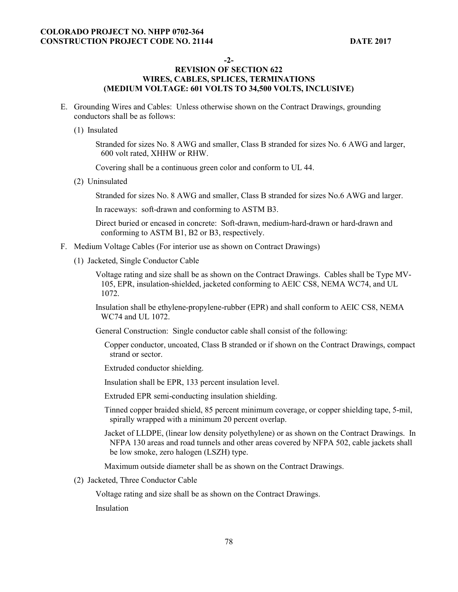**-2-** 

### **REVISION OF SECTION 622 WIRES, CABLES, SPLICES, TERMINATIONS (MEDIUM VOLTAGE: 601 VOLTS TO 34,500 VOLTS, INCLUSIVE)**

- E. Grounding Wires and Cables: Unless otherwise shown on the Contract Drawings, grounding conductors shall be as follows:
	- (1) Insulated

Stranded for sizes No. 8 AWG and smaller, Class B stranded for sizes No. 6 AWG and larger, 600 volt rated, XHHW or RHW.

Covering shall be a continuous green color and conform to UL 44.

(2) Uninsulated

Stranded for sizes No. 8 AWG and smaller, Class B stranded for sizes No.6 AWG and larger.

In raceways: soft-drawn and conforming to ASTM B3.

Direct buried or encased in concrete: Soft-drawn, medium-hard-drawn or hard-drawn and conforming to ASTM B1, B2 or B3, respectively.

- F. Medium Voltage Cables (For interior use as shown on Contract Drawings)
	- (1) Jacketed, Single Conductor Cable

Voltage rating and size shall be as shown on the Contract Drawings. Cables shall be Type MV-105, EPR, insulation-shielded, jacketed conforming to AEIC CS8, NEMA WC74, and UL 1072.

Insulation shall be ethylene-propylene-rubber (EPR) and shall conform to AEIC CS8, NEMA WC74 and UL 1072.

- General Construction: Single conductor cable shall consist of the following:
	- Copper conductor, uncoated, Class B stranded or if shown on the Contract Drawings, compact strand or sector.

Extruded conductor shielding.

Insulation shall be EPR, 133 percent insulation level.

Extruded EPR semi-conducting insulation shielding.

- Tinned copper braided shield, 85 percent minimum coverage, or copper shielding tape, 5-mil, spirally wrapped with a minimum 20 percent overlap.
- Jacket of LLDPE, (linear low density polyethylene) or as shown on the Contract Drawings. In NFPA 130 areas and road tunnels and other areas covered by NFPA 502, cable jackets shall be low smoke, zero halogen (LSZH) type.

Maximum outside diameter shall be as shown on the Contract Drawings.

(2) Jacketed, Three Conductor Cable

Voltage rating and size shall be as shown on the Contract Drawings.

Insulation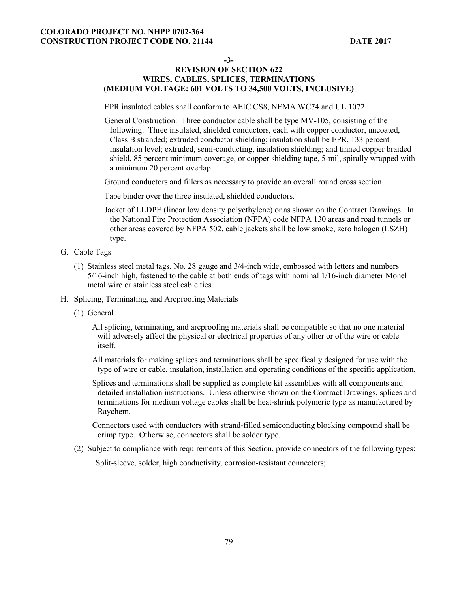**-3-** 

## **REVISION OF SECTION 622 WIRES, CABLES, SPLICES, TERMINATIONS (MEDIUM VOLTAGE: 601 VOLTS TO 34,500 VOLTS, INCLUSIVE)**

EPR insulated cables shall conform to AEIC CS8, NEMA WC74 and UL 1072.

General Construction: Three conductor cable shall be type MV-105, consisting of the following: Three insulated, shielded conductors, each with copper conductor, uncoated, Class B stranded; extruded conductor shielding; insulation shall be EPR, 133 percent insulation level; extruded, semi-conducting, insulation shielding; and tinned copper braided shield, 85 percent minimum coverage, or copper shielding tape, 5-mil, spirally wrapped with a minimum 20 percent overlap.

Ground conductors and fillers as necessary to provide an overall round cross section.

Tape binder over the three insulated, shielded conductors.

- Jacket of LLDPE (linear low density polyethylene) or as shown on the Contract Drawings. In the National Fire Protection Association (NFPA) code NFPA 130 areas and road tunnels or other areas covered by NFPA 502, cable jackets shall be low smoke, zero halogen (LSZH) type.
- G. Cable Tags
	- (1) Stainless steel metal tags, No. 28 gauge and 3/4-inch wide, embossed with letters and numbers 5/16-inch high, fastened to the cable at both ends of tags with nominal 1/16-inch diameter Monel metal wire or stainless steel cable ties.
- H. Splicing, Terminating, and Arcproofing Materials
	- (1) General
		- All splicing, terminating, and arcproofing materials shall be compatible so that no one material will adversely affect the physical or electrical properties of any other or of the wire or cable itself.
		- All materials for making splices and terminations shall be specifically designed for use with the type of wire or cable, insulation, installation and operating conditions of the specific application.
		- Splices and terminations shall be supplied as complete kit assemblies with all components and detailed installation instructions. Unless otherwise shown on the Contract Drawings, splices and terminations for medium voltage cables shall be heat-shrink polymeric type as manufactured by Raychem.

Connectors used with conductors with strand-filled semiconducting blocking compound shall be crimp type. Otherwise, connectors shall be solder type.

(2) Subject to compliance with requirements of this Section, provide connectors of the following types:

Split-sleeve, solder, high conductivity, corrosion-resistant connectors;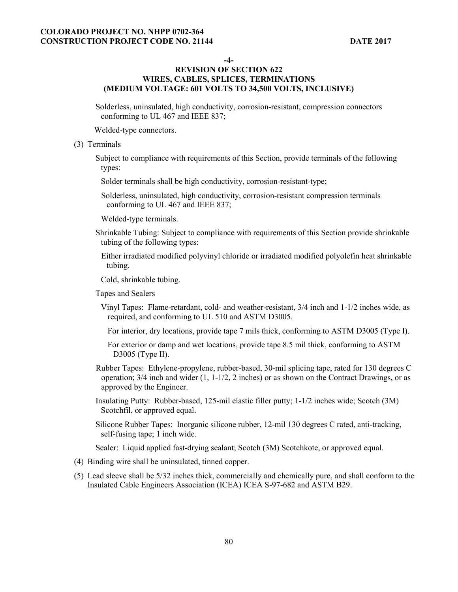**-4-** 

### **REVISION OF SECTION 622 WIRES, CABLES, SPLICES, TERMINATIONS (MEDIUM VOLTAGE: 601 VOLTS TO 34,500 VOLTS, INCLUSIVE)**

Solderless, uninsulated, high conductivity, corrosion-resistant, compression connectors conforming to UL 467 and IEEE 837;

Welded-type connectors.

#### (3) Terminals

Subject to compliance with requirements of this Section, provide terminals of the following types:

Solder terminals shall be high conductivity, corrosion-resistant-type;

Solderless, uninsulated, high conductivity, corrosion-resistant compression terminals conforming to UL 467 and IEEE 837;

Welded-type terminals.

Shrinkable Tubing: Subject to compliance with requirements of this Section provide shrinkable tubing of the following types:

Either irradiated modified polyvinyl chloride or irradiated modified polyolefin heat shrinkable tubing.

Cold, shrinkable tubing.

Tapes and Sealers

Vinyl Tapes: Flame-retardant, cold- and weather-resistant, 3/4 inch and 1-1/2 inches wide, as required, and conforming to UL 510 and ASTM D3005.

For interior, dry locations, provide tape 7 mils thick, conforming to ASTM D3005 (Type I).

For exterior or damp and wet locations, provide tape 8.5 mil thick, conforming to ASTM D3005 (Type II).

- Rubber Tapes: Ethylene-propylene, rubber-based, 30-mil splicing tape, rated for 130 degrees C operation;  $3/4$  inch and wider  $(1, 1-1/2, 2$  inches) or as shown on the Contract Drawings, or as approved by the Engineer.
- Insulating Putty: Rubber-based, 125-mil elastic filler putty; 1-1/2 inches wide; Scotch (3M) Scotchfil, or approved equal.

Silicone Rubber Tapes: Inorganic silicone rubber, 12-mil 130 degrees C rated, anti-tracking, self-fusing tape; 1 inch wide.

Sealer: Liquid applied fast-drying sealant; Scotch (3M) Scotchkote, or approved equal.

- (4) Binding wire shall be uninsulated, tinned copper.
- (5) Lead sleeve shall be 5/32 inches thick, commercially and chemically pure, and shall conform to the Insulated Cable Engineers Association (ICEA) ICEA S-97-682 and ASTM B29.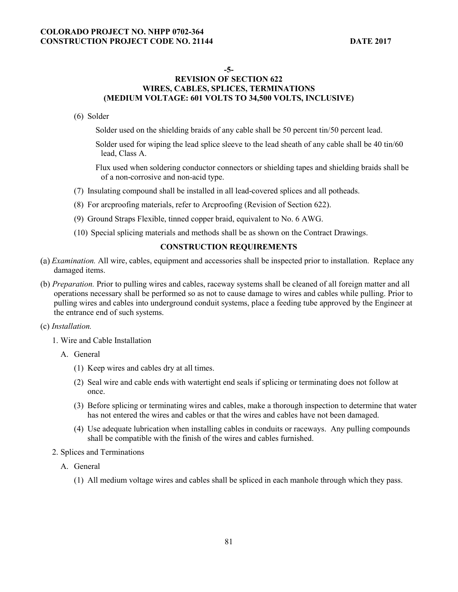#### **-5-**

## **REVISION OF SECTION 622 WIRES, CABLES, SPLICES, TERMINATIONS (MEDIUM VOLTAGE: 601 VOLTS TO 34,500 VOLTS, INCLUSIVE)**

#### (6) Solder

Solder used on the shielding braids of any cable shall be 50 percent tin/50 percent lead.

Solder used for wiping the lead splice sleeve to the lead sheath of any cable shall be 40 tin/60 lead, Class A.

Flux used when soldering conductor connectors or shielding tapes and shielding braids shall be of a non-corrosive and non-acid type.

- (7) Insulating compound shall be installed in all lead-covered splices and all potheads.
- (8) For arcproofing materials, refer to Arcproofing (Revision of Section 622).
- (9) Ground Straps Flexible, tinned copper braid, equivalent to No. 6 AWG.
- (10) Special splicing materials and methods shall be as shown on the Contract Drawings.

## **CONSTRUCTION REQUIREMENTS**

- *Examination.* All wire, cables, equipment and accessories shall be inspected prior to installation. Replace any damaged items.
- (b) *Preparation.* Prior to pulling wires and cables, raceway systems shall be cleaned of all foreign matter and all operations necessary shall be performed so as not to cause damage to wires and cables while pulling. Prior to pulling wires and cables into underground conduit systems, place a feeding tube approved by the Engineer at the entrance end of such systems.

#### (c) *Installation.*

- 1. Wire and Cable Installation
	- A. General
		- (1) Keep wires and cables dry at all times.
		- (2) Seal wire and cable ends with watertight end seals if splicing or terminating does not follow at once.
		- (3) Before splicing or terminating wires and cables, make a thorough inspection to determine that water has not entered the wires and cables or that the wires and cables have not been damaged.
		- (4) Use adequate lubrication when installing cables in conduits or raceways. Any pulling compounds shall be compatible with the finish of the wires and cables furnished.
- 2. Splices and Terminations
	- A. General
		- (1) All medium voltage wires and cables shall be spliced in each manhole through which they pass.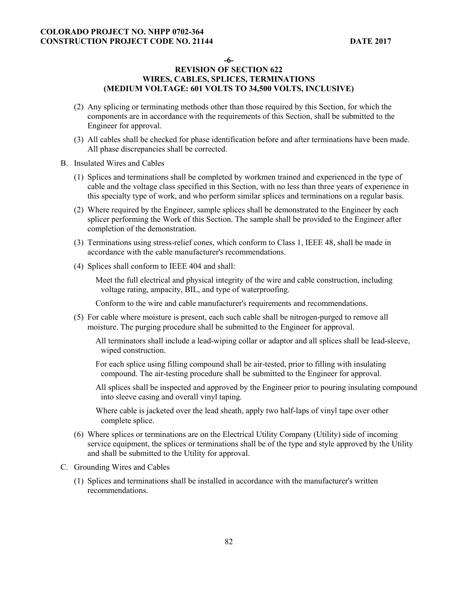**-6-** 

## **REVISION OF SECTION 622 WIRES, CABLES, SPLICES, TERMINATIONS (MEDIUM VOLTAGE: 601 VOLTS TO 34,500 VOLTS, INCLUSIVE)**

- (2) Any splicing or terminating methods other than those required by this Section, for which the components are in accordance with the requirements of this Section, shall be submitted to the Engineer for approval.
- (3) All cables shall be checked for phase identification before and after terminations have been made. All phase discrepancies shall be corrected.
- B. Insulated Wires and Cables
	- (1) Splices and terminations shall be completed by workmen trained and experienced in the type of cable and the voltage class specified in this Section, with no less than three years of experience in this specialty type of work, and who perform similar splices and terminations on a regular basis.
	- (2) Where required by the Engineer, sample splices shall be demonstrated to the Engineer by each splicer performing the Work of this Section. The sample shall be provided to the Engineer after completion of the demonstration.
	- (3) Terminations using stress-relief cones, which conform to Class 1, IEEE 48, shall be made in accordance with the cable manufacturer's recommendations.
	- (4) Splices shall conform to IEEE 404 and shall:

Meet the full electrical and physical integrity of the wire and cable construction, including voltage rating, ampacity, BIL, and type of waterproofing.

Conform to the wire and cable manufacturer's requirements and recommendations.

(5) For cable where moisture is present, each such cable shall be nitrogen-purged to remove all moisture. The purging procedure shall be submitted to the Engineer for approval.

All terminators shall include a lead-wiping collar or adaptor and all splices shall be lead-sleeve, wiped construction.

For each splice using filling compound shall be air-tested, prior to filling with insulating compound. The air-testing procedure shall be submitted to the Engineer for approval.

All splices shall be inspected and approved by the Engineer prior to pouring insulating compound into sleeve casing and overall vinyl taping.

Where cable is jacketed over the lead sheath, apply two half-laps of vinyl tape over other complete splice.

- (6) Where splices or terminations are on the Electrical Utility Company (Utility) side of incoming service equipment, the splices or terminations shall be of the type and style approved by the Utility and shall be submitted to the Utility for approval.
- C. Grounding Wires and Cables
	- (1) Splices and terminations shall be installed in accordance with the manufacturer's written recommendations.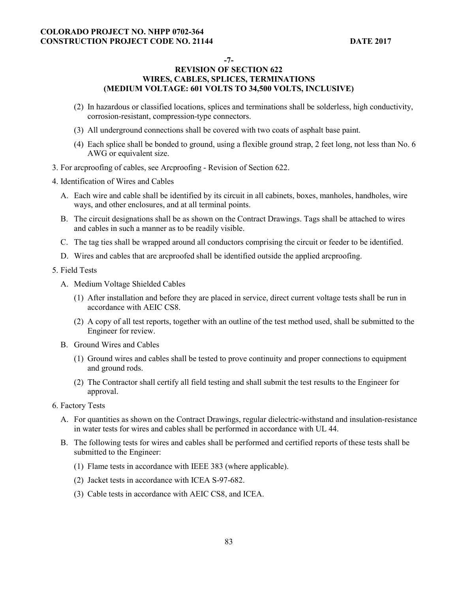**-7-** 

## **REVISION OF SECTION 622 WIRES, CABLES, SPLICES, TERMINATIONS (MEDIUM VOLTAGE: 601 VOLTS TO 34,500 VOLTS, INCLUSIVE)**

- (2) In hazardous or classified locations, splices and terminations shall be solderless, high conductivity, corrosion-resistant, compression-type connectors.
- (3) All underground connections shall be covered with two coats of asphalt base paint.
- (4) Each splice shall be bonded to ground, using a flexible ground strap, 2 feet long, not less than No. 6 AWG or equivalent size.
- 3. For arcproofing of cables, see Arcproofing Revision of Section 622.

4. Identification of Wires and Cables

- A. Each wire and cable shall be identified by its circuit in all cabinets, boxes, manholes, handholes, wire ways, and other enclosures, and at all terminal points.
- B. The circuit designations shall be as shown on the Contract Drawings. Tags shall be attached to wires and cables in such a manner as to be readily visible.
- C. The tag ties shall be wrapped around all conductors comprising the circuit or feeder to be identified.
- D. Wires and cables that are arcproofed shall be identified outside the applied arcproofing.
- 5. Field Tests
	- A. Medium Voltage Shielded Cables
		- (1) After installation and before they are placed in service, direct current voltage tests shall be run in accordance with AEIC CS8.
		- (2) A copy of all test reports, together with an outline of the test method used, shall be submitted to the Engineer for review.
	- B. Ground Wires and Cables
		- (1) Ground wires and cables shall be tested to prove continuity and proper connections to equipment and ground rods.
		- (2) The Contractor shall certify all field testing and shall submit the test results to the Engineer for approval.
- 6. Factory Tests
	- A. For quantities as shown on the Contract Drawings, regular dielectric-withstand and insulation-resistance in water tests for wires and cables shall be performed in accordance with UL 44.
	- B. The following tests for wires and cables shall be performed and certified reports of these tests shall be submitted to the Engineer:
		- (1) Flame tests in accordance with IEEE 383 (where applicable).
		- (2) Jacket tests in accordance with ICEA S-97-682.
		- (3) Cable tests in accordance with AEIC CS8, and ICEA.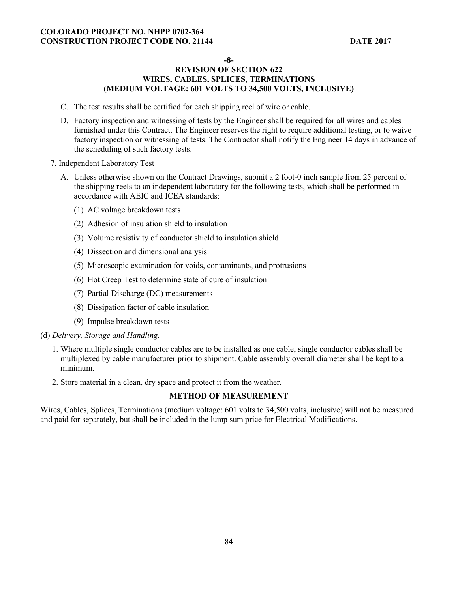#### **-8-**

### **REVISION OF SECTION 622 WIRES, CABLES, SPLICES, TERMINATIONS (MEDIUM VOLTAGE: 601 VOLTS TO 34,500 VOLTS, INCLUSIVE)**

- C. The test results shall be certified for each shipping reel of wire or cable.
- D. Factory inspection and witnessing of tests by the Engineer shall be required for all wires and cables furnished under this Contract. The Engineer reserves the right to require additional testing, or to waive factory inspection or witnessing of tests. The Contractor shall notify the Engineer 14 days in advance of the scheduling of such factory tests.
- 7. Independent Laboratory Test
	- A. Unless otherwise shown on the Contract Drawings, submit a 2 foot-0 inch sample from 25 percent of the shipping reels to an independent laboratory for the following tests, which shall be performed in accordance with AEIC and ICEA standards:
		- (1) AC voltage breakdown tests
		- (2) Adhesion of insulation shield to insulation
		- (3) Volume resistivity of conductor shield to insulation shield
		- (4) Dissection and dimensional analysis
		- (5) Microscopic examination for voids, contaminants, and protrusions
		- (6) Hot Creep Test to determine state of cure of insulation
		- (7) Partial Discharge (DC) measurements
		- (8) Dissipation factor of cable insulation
		- (9) Impulse breakdown tests
- (d) *Delivery, Storage and Handling.* 
	- 1. Where multiple single conductor cables are to be installed as one cable, single conductor cables shall be multiplexed by cable manufacturer prior to shipment. Cable assembly overall diameter shall be kept to a minimum.
	- 2. Store material in a clean, dry space and protect it from the weather.

### **METHOD OF MEASUREMENT**

Wires, Cables, Splices, Terminations (medium voltage: 601 volts to 34,500 volts, inclusive) will not be measured and paid for separately, but shall be included in the lump sum price for Electrical Modifications.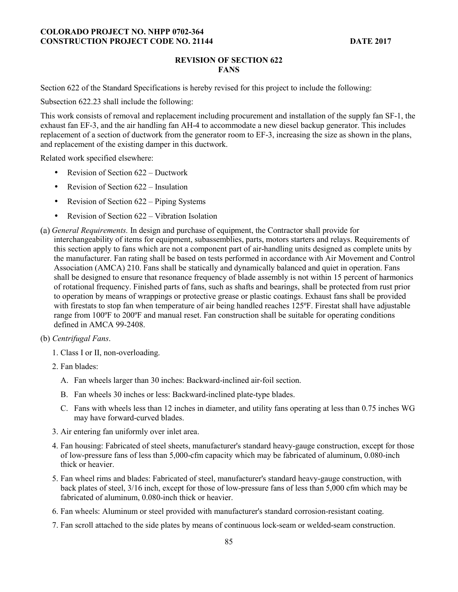#### **REVISION OF SECTION 622 FANS**

Section 622 of the Standard Specifications is hereby revised for this project to include the following:

Subsection 622.23 shall include the following:

This work consists of removal and replacement including procurement and installation of the supply fan SF-1, the exhaust fan EF-3, and the air handling fan AH-4 to accommodate a new diesel backup generator. This includes replacement of a section of ductwork from the generator room to EF-3, increasing the size as shown in the plans, and replacement of the existing damper in this ductwork.

Related work specified elsewhere:

- Revision of Section 622 Ductwork
- Revision of Section 622 Insulation
- Revision of Section 622 Piping Systems
- Revision of Section 622 Vibration Isolation
- *General Requirements.* In design and purchase of equipment, the Contractor shall provide for interchangeability of items for equipment, subassemblies, parts, motors starters and relays. Requirements of this section apply to fans which are not a component part of air-handling units designed as complete units by the manufacturer. Fan rating shall be based on tests performed in accordance with Air Movement and Control Association (AMCA) 210. Fans shall be statically and dynamically balanced and quiet in operation. Fans shall be designed to ensure that resonance frequency of blade assembly is not within 15 percent of harmonics of rotational frequency. Finished parts of fans, such as shafts and bearings, shall be protected from rust prior to operation by means of wrappings or protective grease or plastic coatings. Exhaust fans shall be provided with firestats to stop fan when temperature of air being handled reaches 125°F. Firestat shall have adjustable range from 100ºF to 200ºF and manual reset. Fan construction shall be suitable for operating conditions defined in AMCA 99-2408.
- (b) *Centrifugal Fans*.
	- 1. Class I or II, non-overloading.
	- 2. Fan blades:
		- A. Fan wheels larger than 30 inches: Backward-inclined air-foil section.
		- B. Fan wheels 30 inches or less: Backward-inclined plate-type blades.
		- C. Fans with wheels less than 12 inches in diameter, and utility fans operating at less than 0.75 inches WG may have forward-curved blades.
	- 3. Air entering fan uniformly over inlet area.
	- 4. Fan housing: Fabricated of steel sheets, manufacturer's standard heavy-gauge construction, except for those of low-pressure fans of less than 5,000-cfm capacity which may be fabricated of aluminum, 0.080-inch thick or heavier.
	- 5. Fan wheel rims and blades: Fabricated of steel, manufacturer's standard heavy-gauge construction, with back plates of steel, 3/16 inch, except for those of low-pressure fans of less than 5,000 cfm which may be fabricated of aluminum, 0.080-inch thick or heavier.
	- 6. Fan wheels: Aluminum or steel provided with manufacturer's standard corrosion-resistant coating.
	- 7. Fan scroll attached to the side plates by means of continuous lock-seam or welded-seam construction.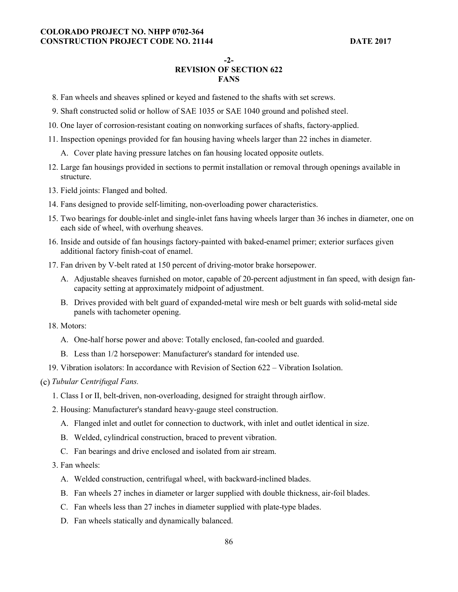#### **-2-**

#### **REVISION OF SECTION 622 FANS**

#### 8. Fan wheels and sheaves splined or keyed and fastened to the shafts with set screws.

- 9. Shaft constructed solid or hollow of SAE 1035 or SAE 1040 ground and polished steel.
- 10. One layer of corrosion-resistant coating on nonworking surfaces of shafts, factory-applied.
- 11. Inspection openings provided for fan housing having wheels larger than 22 inches in diameter.
	- A. Cover plate having pressure latches on fan housing located opposite outlets.
- 12. Large fan housings provided in sections to permit installation or removal through openings available in structure.
- 13. Field joints: Flanged and bolted.
- 14. Fans designed to provide self-limiting, non-overloading power characteristics.
- 15. Two bearings for double-inlet and single-inlet fans having wheels larger than 36 inches in diameter, one on each side of wheel, with overhung sheaves.
- 16. Inside and outside of fan housings factory-painted with baked-enamel primer; exterior surfaces given additional factory finish-coat of enamel.
- 17. Fan driven by V-belt rated at 150 percent of driving-motor brake horsepower.
	- A. Adjustable sheaves furnished on motor, capable of 20-percent adjustment in fan speed, with design fancapacity setting at approximately midpoint of adjustment.
	- B. Drives provided with belt guard of expanded-metal wire mesh or belt guards with solid-metal side panels with tachometer opening.
- 18. Motors:
	- A. One-half horse power and above: Totally enclosed, fan-cooled and guarded.
	- B. Less than 1/2 horsepower: Manufacturer's standard for intended use.
- 19. Vibration isolators: In accordance with Revision of Section 622 Vibration Isolation.

#### *Tubular Centrifugal Fans.*

- 1. Class I or II, belt-driven, non-overloading, designed for straight through airflow.
- 2. Housing: Manufacturer's standard heavy-gauge steel construction.
	- A. Flanged inlet and outlet for connection to ductwork, with inlet and outlet identical in size.
	- B. Welded, cylindrical construction, braced to prevent vibration.
	- C. Fan bearings and drive enclosed and isolated from air stream.
- 3. Fan wheels:
	- A. Welded construction, centrifugal wheel, with backward-inclined blades.
	- B. Fan wheels 27 inches in diameter or larger supplied with double thickness, air-foil blades.
	- C. Fan wheels less than 27 inches in diameter supplied with plate-type blades.
	- D. Fan wheels statically and dynamically balanced.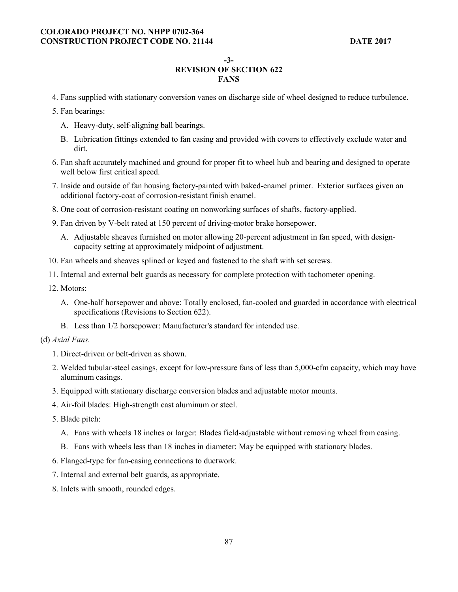**-3-** 

# **REVISION OF SECTION 622 FANS**

- 4. Fans supplied with stationary conversion vanes on discharge side of wheel designed to reduce turbulence.
- 5. Fan bearings:
	- A. Heavy-duty, self-aligning ball bearings.
	- B. Lubrication fittings extended to fan casing and provided with covers to effectively exclude water and dirt.
- 6. Fan shaft accurately machined and ground for proper fit to wheel hub and bearing and designed to operate well below first critical speed.
- 7. Inside and outside of fan housing factory-painted with baked-enamel primer. Exterior surfaces given an additional factory-coat of corrosion-resistant finish enamel.
- 8. One coat of corrosion-resistant coating on nonworking surfaces of shafts, factory-applied.
- 9. Fan driven by V-belt rated at 150 percent of driving-motor brake horsepower.
	- A. Adjustable sheaves furnished on motor allowing 20-percent adjustment in fan speed, with designcapacity setting at approximately midpoint of adjustment.
- 10. Fan wheels and sheaves splined or keyed and fastened to the shaft with set screws.
- 11. Internal and external belt guards as necessary for complete protection with tachometer opening.
- 12. Motors:
	- A. One-half horsepower and above: Totally enclosed, fan-cooled and guarded in accordance with electrical specifications (Revisions to Section 622).
	- B. Less than 1/2 horsepower: Manufacturer's standard for intended use.
- (d) *Axial Fans.* 
	- 1. Direct-driven or belt-driven as shown.
	- 2. Welded tubular-steel casings, except for low-pressure fans of less than 5,000-cfm capacity, which may have aluminum casings.
	- 3. Equipped with stationary discharge conversion blades and adjustable motor mounts.
	- 4. Air-foil blades: High-strength cast aluminum or steel.
	- 5. Blade pitch:
		- A. Fans with wheels 18 inches or larger: Blades field-adjustable without removing wheel from casing.
		- B. Fans with wheels less than 18 inches in diameter: May be equipped with stationary blades.
	- 6. Flanged-type for fan-casing connections to ductwork.
	- 7. Internal and external belt guards, as appropriate.
	- 8. Inlets with smooth, rounded edges.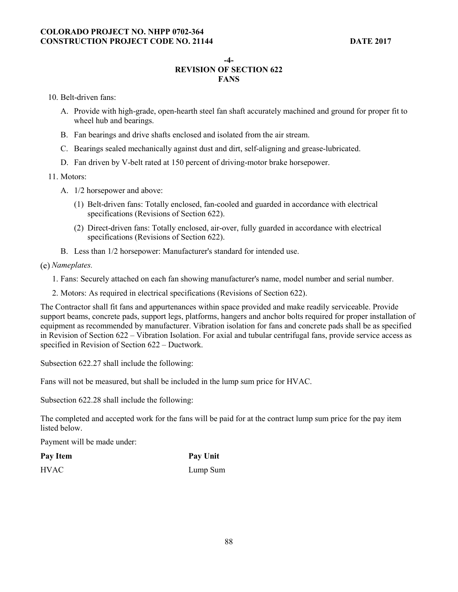**-4-** 

# **REVISION OF SECTION 622 FANS**

10. Belt-driven fans:

- A. Provide with high-grade, open-hearth steel fan shaft accurately machined and ground for proper fit to wheel hub and bearings.
- B. Fan bearings and drive shafts enclosed and isolated from the air stream.
- C. Bearings sealed mechanically against dust and dirt, self-aligning and grease-lubricated.
- D. Fan driven by V-belt rated at 150 percent of driving-motor brake horsepower.

11. Motors:

- A. 1/2 horsepower and above:
	- (1) Belt-driven fans: Totally enclosed, fan-cooled and guarded in accordance with electrical specifications (Revisions of Section 622).
	- (2) Direct-driven fans: Totally enclosed, air-over, fully guarded in accordance with electrical specifications (Revisions of Section 622).
- B. Less than 1/2 horsepower: Manufacturer's standard for intended use.

*Nameplates.* 

1. Fans: Securely attached on each fan showing manufacturer's name, model number and serial number.

2. Motors: As required in electrical specifications (Revisions of Section 622).

The Contractor shall fit fans and appurtenances within space provided and make readily serviceable. Provide support beams, concrete pads, support legs, platforms, hangers and anchor bolts required for proper installation of equipment as recommended by manufacturer. Vibration isolation for fans and concrete pads shall be as specified in Revision of Section 622 – Vibration Isolation. For axial and tubular centrifugal fans, provide service access as specified in Revision of Section 622 – Ductwork.

Subsection 622.27 shall include the following:

Fans will not be measured, but shall be included in the lump sum price for HVAC.

Subsection 622.28 shall include the following:

The completed and accepted work for the fans will be paid for at the contract lump sum price for the pay item listed below.

Payment will be made under:

| Pay Item    | <b>Pay Unit</b> |
|-------------|-----------------|
| <b>HVAC</b> | Lump Sum        |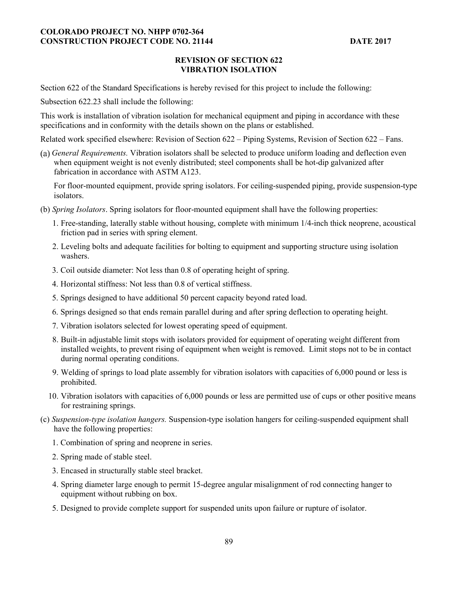### **REVISION OF SECTION 622 VIBRATION ISOLATION**

Section 622 of the Standard Specifications is hereby revised for this project to include the following:

Subsection 622.23 shall include the following:

This work is installation of vibration isolation for mechanical equipment and piping in accordance with these specifications and in conformity with the details shown on the plans or established.

Related work specified elsewhere: Revision of Section 622 – Piping Systems, Revision of Section 622 – Fans.

*General Requirements.* Vibration isolators shall be selected to produce uniform loading and deflection even when equipment weight is not evenly distributed; steel components shall be hot-dip galvanized after fabrication in accordance with ASTM A123.

For floor-mounted equipment, provide spring isolators. For ceiling-suspended piping, provide suspension-type isolators.

- (b) *Spring Isolators*. Spring isolators for floor-mounted equipment shall have the following properties:
	- 1. Free-standing, laterally stable without housing, complete with minimum 1/4-inch thick neoprene, acoustical friction pad in series with spring element.
	- 2. Leveling bolts and adequate facilities for bolting to equipment and supporting structure using isolation washers.
	- 3. Coil outside diameter: Not less than 0.8 of operating height of spring.
	- 4. Horizontal stiffness: Not less than 0.8 of vertical stiffness.
	- 5. Springs designed to have additional 50 percent capacity beyond rated load.
	- 6. Springs designed so that ends remain parallel during and after spring deflection to operating height.
	- 7. Vibration isolators selected for lowest operating speed of equipment.
	- 8. Built-in adjustable limit stops with isolators provided for equipment of operating weight different from installed weights, to prevent rising of equipment when weight is removed. Limit stops not to be in contact during normal operating conditions.
	- 9. Welding of springs to load plate assembly for vibration isolators with capacities of 6,000 pound or less is prohibited.
	- 10. Vibration isolators with capacities of 6,000 pounds or less are permitted use of cups or other positive means for restraining springs.
- (c) *Suspension-type isolation hangers.* Suspension-type isolation hangers for ceiling-suspended equipment shall have the following properties:
	- 1. Combination of spring and neoprene in series.
	- 2. Spring made of stable steel.
	- 3. Encased in structurally stable steel bracket.
	- 4. Spring diameter large enough to permit 15-degree angular misalignment of rod connecting hanger to equipment without rubbing on box.
	- 5. Designed to provide complete support for suspended units upon failure or rupture of isolator.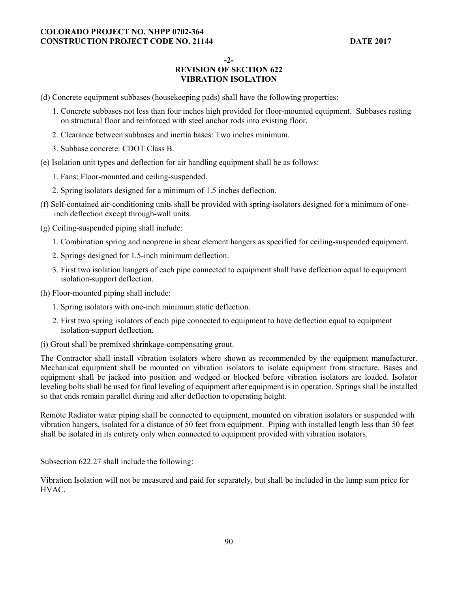**-2-** 

# **REVISION OF SECTION 622 VIBRATION ISOLATION**

- (d) Concrete equipment subbases (housekeeping pads) shall have the following properties:
	- 1. Concrete subbases not less than four inches high provided for floor-mounted equipment. Subbases resting on structural floor and reinforced with steel anchor rods into existing floor.
	- 2. Clearance between subbases and inertia bases: Two inches minimum.
	- 3. Subbase concrete: CDOT Class B.
- (e) Isolation unit types and deflection for air handling equipment shall be as follows:
	- 1. Fans: Floor-mounted and ceiling-suspended.
	- 2. Spring isolators designed for a minimum of 1.5 inches deflection.
- (f) Self-contained air-conditioning units shall be provided with spring-isolators designed for a minimum of oneinch deflection except through-wall units.
- (g) Ceiling-suspended piping shall include:
	- 1. Combination spring and neoprene in shear element hangers as specified for ceiling-suspended equipment.
	- 2. Springs designed for 1.5-inch minimum deflection.
	- 3. First two isolation hangers of each pipe connected to equipment shall have deflection equal to equipment isolation-support deflection.
- (h) Floor-mounted piping shall include:
	- 1. Spring isolators with one-inch minimum static deflection.
	- 2. First two spring isolators of each pipe connected to equipment to have deflection equal to equipment isolation-support deflection.
- (i) Grout shall be premixed shrinkage-compensating grout.

The Contractor shall install vibration isolators where shown as recommended by the equipment manufacturer. Mechanical equipment shall be mounted on vibration isolators to isolate equipment from structure. Bases and equipment shall be jacked into position and wedged or blocked before vibration isolators are loaded. Isolator leveling bolts shall be used for final leveling of equipment after equipment is in operation. Springs shall be installed so that ends remain parallel during and after deflection to operating height.

Remote Radiator water piping shall be connected to equipment, mounted on vibration isolators or suspended with vibration hangers, isolated for a distance of 50 feet from equipment. Piping with installed length less than 50 feet shall be isolated in its entirety only when connected to equipment provided with vibration isolators.

Subsection 622.27 shall include the following:

Vibration Isolation will not be measured and paid for separately, but shall be included in the lump sum price for HVAC.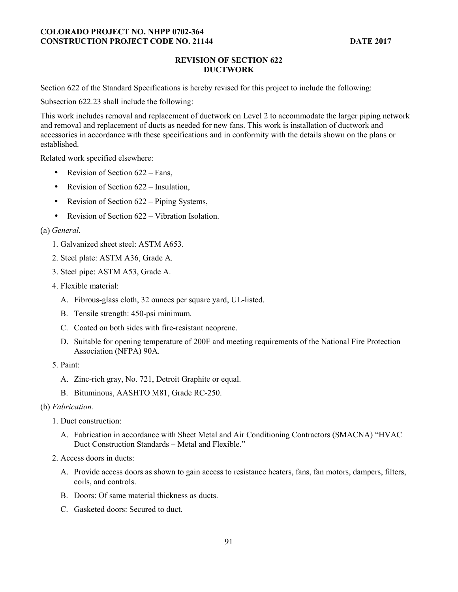### **REVISION OF SECTION 622 DUCTWORK**

Section 622 of the Standard Specifications is hereby revised for this project to include the following:

Subsection 622.23 shall include the following:

This work includes removal and replacement of ductwork on Level 2 to accommodate the larger piping network and removal and replacement of ducts as needed for new fans. This work is installation of ductwork and accessories in accordance with these specifications and in conformity with the details shown on the plans or established.

Related work specified elsewhere:

- Revision of Section 622 Fans,
- Revision of Section 622 Insulation,
- Revision of Section 622 Piping Systems,
- Revision of Section 622 Vibration Isolation.

## *General.*

- 1. Galvanized sheet steel: ASTM A653.
- 2. Steel plate: ASTM A36, Grade A.
- 3. Steel pipe: ASTM A53, Grade A.
- 4. Flexible material:
	- A. Fibrous-glass cloth, 32 ounces per square yard, UL-listed.
	- B. Tensile strength: 450-psi minimum.
	- C. Coated on both sides with fire-resistant neoprene.
	- D. Suitable for opening temperature of 200F and meeting requirements of the National Fire Protection Association (NFPA) 90A.
- 5. Paint:
	- A. Zinc-rich gray, No. 721, Detroit Graphite or equal.
	- B. Bituminous, AASHTO M81, Grade RC-250.

#### (b) *Fabrication.*

- 1. Duct construction:
	- A. Fabrication in accordance with Sheet Metal and Air Conditioning Contractors (SMACNA) "HVAC Duct Construction Standards – Metal and Flexible."
- 2. Access doors in ducts:
	- A. Provide access doors as shown to gain access to resistance heaters, fans, fan motors, dampers, filters, coils, and controls.
	- B. Doors: Of same material thickness as ducts.
	- C. Gasketed doors: Secured to duct.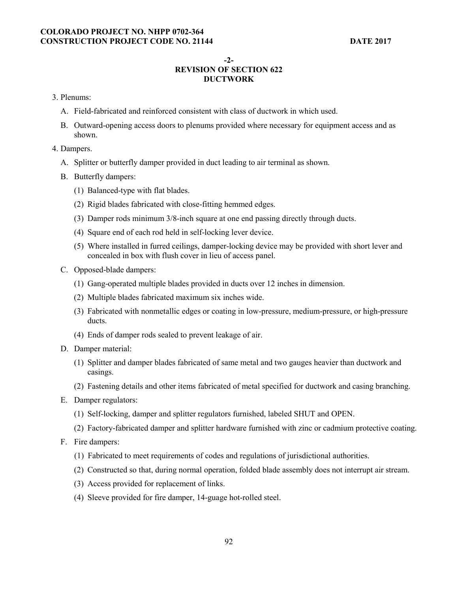#### **-2-**

## **REVISION OF SECTION 622 DUCTWORK**

- 3. Plenums:
	- A. Field-fabricated and reinforced consistent with class of ductwork in which used.
	- B. Outward-opening access doors to plenums provided where necessary for equipment access and as shown.
- 4. Dampers.
	- A. Splitter or butterfly damper provided in duct leading to air terminal as shown.
	- B. Butterfly dampers:
		- (1) Balanced-type with flat blades.
		- (2) Rigid blades fabricated with close-fitting hemmed edges.
		- (3) Damper rods minimum 3/8-inch square at one end passing directly through ducts.
		- (4) Square end of each rod held in self-locking lever device.
		- (5) Where installed in furred ceilings, damper-locking device may be provided with short lever and concealed in box with flush cover in lieu of access panel.
	- C. Opposed-blade dampers:
		- (1) Gang-operated multiple blades provided in ducts over 12 inches in dimension.
		- (2) Multiple blades fabricated maximum six inches wide.
		- (3) Fabricated with nonmetallic edges or coating in low-pressure, medium-pressure, or high-pressure ducts.
		- (4) Ends of damper rods sealed to prevent leakage of air.
	- D. Damper material:
		- (1) Splitter and damper blades fabricated of same metal and two gauges heavier than ductwork and casings.
		- (2) Fastening details and other items fabricated of metal specified for ductwork and casing branching.
	- E. Damper regulators:
		- (1) Self-locking, damper and splitter regulators furnished, labeled SHUT and OPEN.
		- (2) Factory-fabricated damper and splitter hardware furnished with zinc or cadmium protective coating.
	- F. Fire dampers:
		- (1) Fabricated to meet requirements of codes and regulations of jurisdictional authorities.
		- (2) Constructed so that, during normal operation, folded blade assembly does not interrupt air stream.
		- (3) Access provided for replacement of links.
		- (4) Sleeve provided for fire damper, 14-guage hot-rolled steel.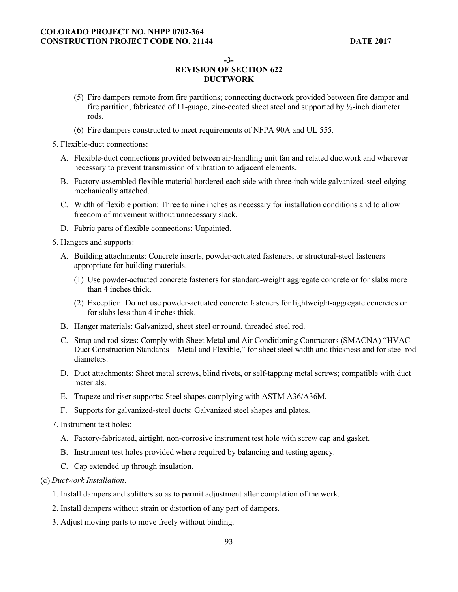**-3-** 

## **REVISION OF SECTION 622 DUCTWORK**

- (5) Fire dampers remote from fire partitions; connecting ductwork provided between fire damper and fire partition, fabricated of 11-guage, zinc-coated sheet steel and supported by ½-inch diameter rods.
- (6) Fire dampers constructed to meet requirements of NFPA 90A and UL 555.
- 5. Flexible-duct connections:
	- A. Flexible-duct connections provided between air-handling unit fan and related ductwork and wherever necessary to prevent transmission of vibration to adjacent elements.
	- B. Factory-assembled flexible material bordered each side with three-inch wide galvanized-steel edging mechanically attached.
	- C. Width of flexible portion: Three to nine inches as necessary for installation conditions and to allow freedom of movement without unnecessary slack.
	- D. Fabric parts of flexible connections: Unpainted.
- 6. Hangers and supports:
	- A. Building attachments: Concrete inserts, powder-actuated fasteners, or structural-steel fasteners appropriate for building materials.
		- (1) Use powder-actuated concrete fasteners for standard-weight aggregate concrete or for slabs more than 4 inches thick.
		- (2) Exception: Do not use powder-actuated concrete fasteners for lightweight-aggregate concretes or for slabs less than 4 inches thick.
	- B. Hanger materials: Galvanized, sheet steel or round, threaded steel rod.
	- C. Strap and rod sizes: Comply with Sheet Metal and Air Conditioning Contractors (SMACNA) "HVAC Duct Construction Standards – Metal and Flexible," for sheet steel width and thickness and for steel rod diameters.
	- D. Duct attachments: Sheet metal screws, blind rivets, or self-tapping metal screws; compatible with duct materials.
	- E. Trapeze and riser supports: Steel shapes complying with ASTM A36/A36M.
	- F. Supports for galvanized-steel ducts: Galvanized steel shapes and plates.
- 7. Instrument test holes:
	- A. Factory-fabricated, airtight, non-corrosive instrument test hole with screw cap and gasket.
	- B. Instrument test holes provided where required by balancing and testing agency.
	- C. Cap extended up through insulation.
- *Ductwork Installation*.
	- 1. Install dampers and splitters so as to permit adjustment after completion of the work.
	- 2. Install dampers without strain or distortion of any part of dampers.
	- 3. Adjust moving parts to move freely without binding.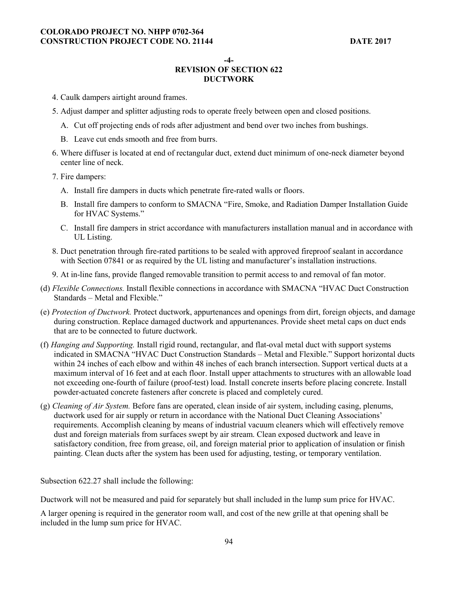**-4-** 

# **REVISION OF SECTION 622 DUCTWORK**

- 4. Caulk dampers airtight around frames.
- 5. Adjust damper and splitter adjusting rods to operate freely between open and closed positions.
	- A. Cut off projecting ends of rods after adjustment and bend over two inches from bushings.
	- B. Leave cut ends smooth and free from burrs.
- 6. Where diffuser is located at end of rectangular duct, extend duct minimum of one-neck diameter beyond center line of neck.
- 7. Fire dampers:
	- A. Install fire dampers in ducts which penetrate fire-rated walls or floors.
	- B. Install fire dampers to conform to SMACNA "Fire, Smoke, and Radiation Damper Installation Guide for HVAC Systems."
	- C. Install fire dampers in strict accordance with manufacturers installation manual and in accordance with UL Listing.
- 8. Duct penetration through fire-rated partitions to be sealed with approved fireproof sealant in accordance with Section 07841 or as required by the UL listing and manufacturer's installation instructions.
- 9. At in-line fans, provide flanged removable transition to permit access to and removal of fan motor.
- (d) *Flexible Connections.* Install flexible connections in accordance with SMACNA "HVAC Duct Construction Standards – Metal and Flexible."
- (e) *Protection of Ductwork.* Protect ductwork, appurtenances and openings from dirt, foreign objects, and damage during construction. Replace damaged ductwork and appurtenances. Provide sheet metal caps on duct ends that are to be connected to future ductwork.
- (f) *Hanging and Supporting.* Install rigid round, rectangular, and flat-oval metal duct with support systems indicated in SMACNA "HVAC Duct Construction Standards – Metal and Flexible." Support horizontal ducts within 24 inches of each elbow and within 48 inches of each branch intersection. Support vertical ducts at a maximum interval of 16 feet and at each floor. Install upper attachments to structures with an allowable load not exceeding one-fourth of failure (proof-test) load. Install concrete inserts before placing concrete. Install powder-actuated concrete fasteners after concrete is placed and completely cured.
- (g) *Cleaning of Air System.* Before fans are operated, clean inside of air system, including casing, plenums, ductwork used for air supply or return in accordance with the National Duct Cleaning Associations' requirements. Accomplish cleaning by means of industrial vacuum cleaners which will effectively remove dust and foreign materials from surfaces swept by air stream. Clean exposed ductwork and leave in satisfactory condition, free from grease, oil, and foreign material prior to application of insulation or finish painting. Clean ducts after the system has been used for adjusting, testing, or temporary ventilation.

Subsection 622.27 shall include the following:

Ductwork will not be measured and paid for separately but shall included in the lump sum price for HVAC.

A larger opening is required in the generator room wall, and cost of the new grille at that opening shall be included in the lump sum price for HVAC.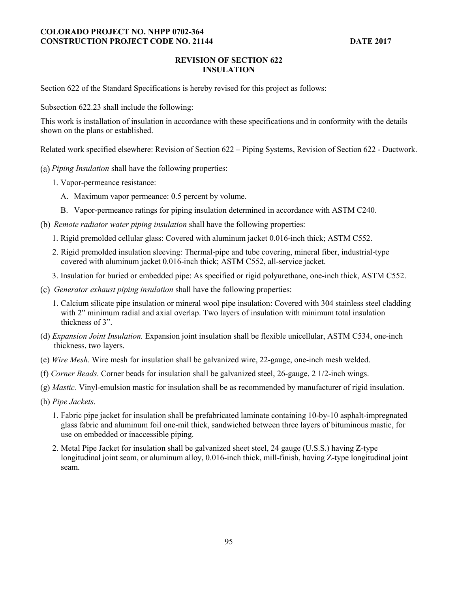### **REVISION OF SECTION 622 INSULATION**

Section 622 of the Standard Specifications is hereby revised for this project as follows:

Subsection 622.23 shall include the following:

This work is installation of insulation in accordance with these specifications and in conformity with the details shown on the plans or established.

Related work specified elsewhere: Revision of Section 622 – Piping Systems, Revision of Section 622 - Ductwork.

- *Piping Insulation* shall have the following properties:
	- 1. Vapor-permeance resistance:
		- A. Maximum vapor permeance: 0.5 percent by volume.
		- B. Vapor-permeance ratings for piping insulation determined in accordance with ASTM C240.
- *Remote radiator water piping insulation* shall have the following properties:
	- 1. Rigid premolded cellular glass: Covered with aluminum jacket 0.016-inch thick; ASTM C552.
	- 2. Rigid premolded insulation sleeving: Thermal-pipe and tube covering, mineral fiber, industrial-type covered with aluminum jacket 0.016-inch thick; ASTM C552, all-service jacket.
	- 3. Insulation for buried or embedded pipe: As specified or rigid polyurethane, one-inch thick, ASTM C552.
- *Generator exhaust piping insulation* shall have the following properties:
	- 1. Calcium silicate pipe insulation or mineral wool pipe insulation: Covered with 304 stainless steel cladding with 2" minimum radial and axial overlap. Two layers of insulation with minimum total insulation thickness of 3".
- (d) *Expansion Joint Insulation.* Expansion joint insulation shall be flexible unicellular, ASTM C534, one-inch thickness, two layers.
- (e) *Wire Mesh*. Wire mesh for insulation shall be galvanized wire, 22-gauge, one-inch mesh welded.
- (f) *Corner Beads*. Corner beads for insulation shall be galvanized steel, 26-gauge, 2 1/2-inch wings.
- (g) *Mastic.* Vinyl-emulsion mastic for insulation shall be as recommended by manufacturer of rigid insulation.
- (h) *Pipe Jackets*.
	- 1. Fabric pipe jacket for insulation shall be prefabricated laminate containing 10-by-10 asphalt-impregnated glass fabric and aluminum foil one-mil thick, sandwiched between three layers of bituminous mastic, for use on embedded or inaccessible piping.
	- 2. Metal Pipe Jacket for insulation shall be galvanized sheet steel, 24 gauge (U.S.S.) having Z-type longitudinal joint seam, or aluminum alloy, 0.016-inch thick, mill-finish, having Z-type longitudinal joint seam.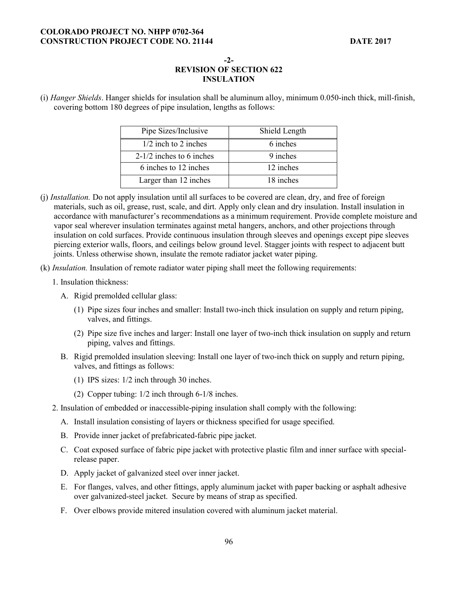**-2-** 

# **REVISION OF SECTION 622 INSULATION**

(i) *Hanger Shields*. Hanger shields for insulation shall be aluminum alloy, minimum 0.050-inch thick, mill-finish, covering bottom 180 degrees of pipe insulation, lengths as follows:

| Pipe Sizes/Inclusive       | Shield Length |
|----------------------------|---------------|
| $1/2$ inch to 2 inches     | 6 inches      |
| $2-1/2$ inches to 6 inches | 9 inches      |
| 6 inches to 12 inches      | 12 inches     |
| Larger than 12 inches      | 18 inches     |

- (j) *Installation.* Do not apply insulation until all surfaces to be covered are clean, dry, and free of foreign materials, such as oil, grease, rust, scale, and dirt. Apply only clean and dry insulation. Install insulation in accordance with manufacturer's recommendations as a minimum requirement. Provide complete moisture and vapor seal wherever insulation terminates against metal hangers, anchors, and other projections through insulation on cold surfaces. Provide continuous insulation through sleeves and openings except pipe sleeves piercing exterior walls, floors, and ceilings below ground level. Stagger joints with respect to adjacent butt joints. Unless otherwise shown, insulate the remote radiator jacket water piping.
- (k) *Insulation.* Insulation of remote radiator water piping shall meet the following requirements:
	- 1. Insulation thickness:
		- A. Rigid premolded cellular glass:
			- (1) Pipe sizes four inches and smaller: Install two-inch thick insulation on supply and return piping, valves, and fittings.
			- (2) Pipe size five inches and larger: Install one layer of two-inch thick insulation on supply and return piping, valves and fittings.
		- B. Rigid premolded insulation sleeving: Install one layer of two-inch thick on supply and return piping, valves, and fittings as follows:
			- (1) IPS sizes: 1/2 inch through 30 inches.
			- (2) Copper tubing: 1/2 inch through 6-1/8 inches.
	- 2. Insulation of embedded or inaccessible-piping insulation shall comply with the following:
		- A. Install insulation consisting of layers or thickness specified for usage specified.
		- B. Provide inner jacket of prefabricated-fabric pipe jacket.
		- C. Coat exposed surface of fabric pipe jacket with protective plastic film and inner surface with specialrelease paper.
		- D. Apply jacket of galvanized steel over inner jacket.
		- E. For flanges, valves, and other fittings, apply aluminum jacket with paper backing or asphalt adhesive over galvanized-steel jacket. Secure by means of strap as specified.
		- F. Over elbows provide mitered insulation covered with aluminum jacket material.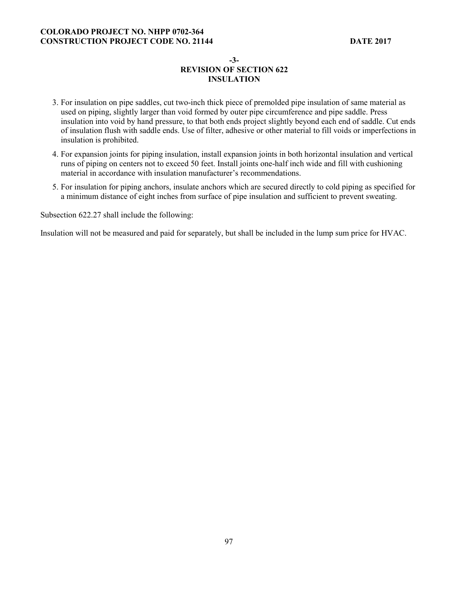#### **-3-**

## **REVISION OF SECTION 622 INSULATION**

- 3. For insulation on pipe saddles, cut two-inch thick piece of premolded pipe insulation of same material as used on piping, slightly larger than void formed by outer pipe circumference and pipe saddle. Press insulation into void by hand pressure, to that both ends project slightly beyond each end of saddle. Cut ends of insulation flush with saddle ends. Use of filter, adhesive or other material to fill voids or imperfections in insulation is prohibited.
- 4. For expansion joints for piping insulation, install expansion joints in both horizontal insulation and vertical runs of piping on centers not to exceed 50 feet. Install joints one-half inch wide and fill with cushioning material in accordance with insulation manufacturer's recommendations.
- 5. For insulation for piping anchors, insulate anchors which are secured directly to cold piping as specified for a minimum distance of eight inches from surface of pipe insulation and sufficient to prevent sweating.

Subsection 622.27 shall include the following:

Insulation will not be measured and paid for separately, but shall be included in the lump sum price for HVAC.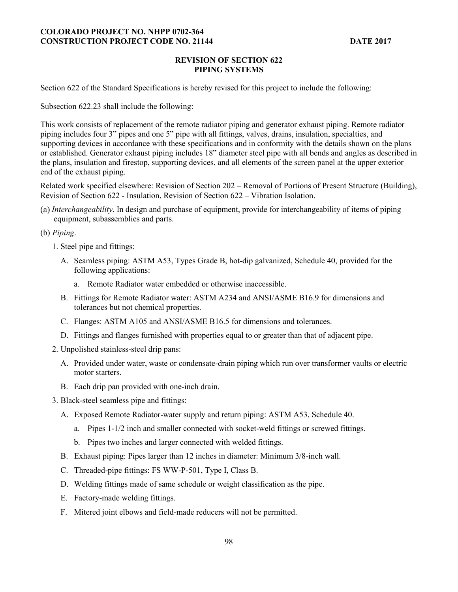#### **REVISION OF SECTION 622 PIPING SYSTEMS**

Section 622 of the Standard Specifications is hereby revised for this project to include the following:

Subsection 622.23 shall include the following:

This work consists of replacement of the remote radiator piping and generator exhaust piping. Remote radiator piping includes four 3" pipes and one 5" pipe with all fittings, valves, drains, insulation, specialties, and supporting devices in accordance with these specifications and in conformity with the details shown on the plans or established. Generator exhaust piping includes 18" diameter steel pipe with all bends and angles as described in the plans, insulation and firestop, supporting devices, and all elements of the screen panel at the upper exterior end of the exhaust piping.

Related work specified elsewhere: Revision of Section 202 – Removal of Portions of Present Structure (Building), Revision of Section 622 - Insulation, Revision of Section 622 – Vibration Isolation.

*Interchangeability*. In design and purchase of equipment, provide for interchangeability of items of piping equipment, subassemblies and parts.

#### (b) *Piping*.

- 1. Steel pipe and fittings:
	- A. Seamless piping: ASTM A53, Types Grade B, hot-dip galvanized, Schedule 40, provided for the following applications:
		- a. Remote Radiator water embedded or otherwise inaccessible.
	- B. Fittings for Remote Radiator water: ASTM A234 and ANSI/ASME B16.9 for dimensions and tolerances but not chemical properties.
	- C. Flanges: ASTM A105 and ANSI/ASME B16.5 for dimensions and tolerances.
	- D. Fittings and flanges furnished with properties equal to or greater than that of adjacent pipe.
- 2. Unpolished stainless-steel drip pans:
	- A. Provided under water, waste or condensate-drain piping which run over transformer vaults or electric motor starters.
	- B. Each drip pan provided with one-inch drain.
- 3. Black-steel seamless pipe and fittings:
	- A. Exposed Remote Radiator-water supply and return piping: ASTM A53, Schedule 40.
		- a. Pipes 1-1/2 inch and smaller connected with socket-weld fittings or screwed fittings.
		- b. Pipes two inches and larger connected with welded fittings.
	- B. Exhaust piping: Pipes larger than 12 inches in diameter: Minimum 3/8-inch wall.
	- C. Threaded-pipe fittings: FS WW-P-501, Type I, Class B.
	- D. Welding fittings made of same schedule or weight classification as the pipe.
	- E. Factory-made welding fittings.
	- F. Mitered joint elbows and field-made reducers will not be permitted.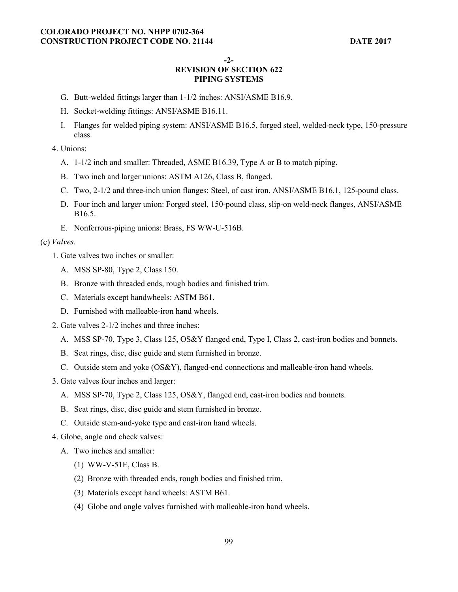**-2-** 

# **REVISION OF SECTION 622 PIPING SYSTEMS**

- G. Butt-welded fittings larger than 1-1/2 inches: ANSI/ASME B16.9.
- H. Socket-welding fittings: ANSI/ASME B16.11.
- I. Flanges for welded piping system: ANSI/ASME B16.5, forged steel, welded-neck type, 150-pressure class.
- 4. Unions:
	- A. 1-1/2 inch and smaller: Threaded, ASME B16.39, Type A or B to match piping.
	- B. Two inch and larger unions: ASTM A126, Class B, flanged.
	- C. Two, 2-1/2 and three-inch union flanges: Steel, of cast iron, ANSI/ASME B16.1, 125-pound class.
	- D. Four inch and larger union: Forged steel, 150-pound class, slip-on weld-neck flanges, ANSI/ASME B16.5.
	- E. Nonferrous-piping unions: Brass, FS WW-U-516B.

#### *Valves.*

- 1. Gate valves two inches or smaller:
	- A. MSS SP-80, Type 2, Class 150.
	- B. Bronze with threaded ends, rough bodies and finished trim.
	- C. Materials except handwheels: ASTM B61.
	- D. Furnished with malleable-iron hand wheels.
- 2. Gate valves 2-1/2 inches and three inches:
	- A. MSS SP-70, Type 3, Class 125, OS&Y flanged end, Type I, Class 2, cast-iron bodies and bonnets.
	- B. Seat rings, disc, disc guide and stem furnished in bronze.
	- C. Outside stem and yoke (OS&Y), flanged-end connections and malleable-iron hand wheels.
- 3. Gate valves four inches and larger:
	- A. MSS SP-70, Type 2, Class 125, OS&Y, flanged end, cast-iron bodies and bonnets.
	- B. Seat rings, disc, disc guide and stem furnished in bronze.
	- C. Outside stem-and-yoke type and cast-iron hand wheels.
- 4. Globe, angle and check valves:
	- A. Two inches and smaller:
		- (1) WW-V-51E, Class B.
		- (2) Bronze with threaded ends, rough bodies and finished trim.
		- (3) Materials except hand wheels: ASTM B61.
		- (4) Globe and angle valves furnished with malleable-iron hand wheels.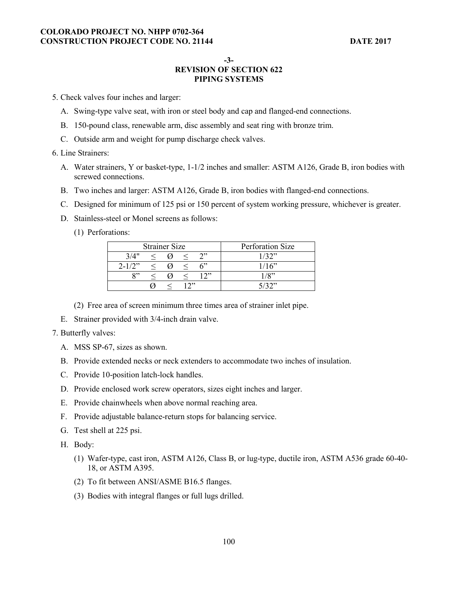**-3-** 

# **REVISION OF SECTION 622 PIPING SYSTEMS**

5. Check valves four inches and larger:

- A. Swing-type valve seat, with iron or steel body and cap and flanged-end connections.
- B. 150-pound class, renewable arm, disc assembly and seat ring with bronze trim.
- C. Outside arm and weight for pump discharge check valves.

#### 6. Line Strainers:

- A. Water strainers, Y or basket-type, 1-1/2 inches and smaller: ASTM A126, Grade B, iron bodies with screwed connections.
- B. Two inches and larger: ASTM A126, Grade B, iron bodies with flanged-end connections.
- C. Designed for minimum of 125 psi or 150 percent of system working pressure, whichever is greater.
- D. Stainless-steel or Monel screens as follows:
	- (1) Perforations:

| <b>Strainer Size</b> |  |  |  | Perforation Size |         |
|----------------------|--|--|--|------------------|---------|
| 3/4"                 |  |  |  | ጎን               | 1/32"   |
| $2 - 1/2$ "          |  |  |  | 6                | 1/16"   |
| $^{O22}$             |  |  |  | ייר ו            | $1/8$ " |
|                      |  |  |  |                  | こ/つつ??  |

- (2) Free area of screen minimum three times area of strainer inlet pipe.
- E. Strainer provided with 3/4-inch drain valve.
- 7. Butterfly valves:
	- A. MSS SP-67, sizes as shown.
	- B. Provide extended necks or neck extenders to accommodate two inches of insulation.
	- C. Provide 10-position latch-lock handles.
	- D. Provide enclosed work screw operators, sizes eight inches and larger.
	- E. Provide chainwheels when above normal reaching area.
	- F. Provide adjustable balance-return stops for balancing service.
	- G. Test shell at 225 psi.
	- H. Body:
		- (1) Wafer-type, cast iron, ASTM A126, Class B, or lug-type, ductile iron, ASTM A536 grade 60-40- 18, or ASTM A395.
		- (2) To fit between ANSI/ASME B16.5 flanges.
		- (3) Bodies with integral flanges or full lugs drilled.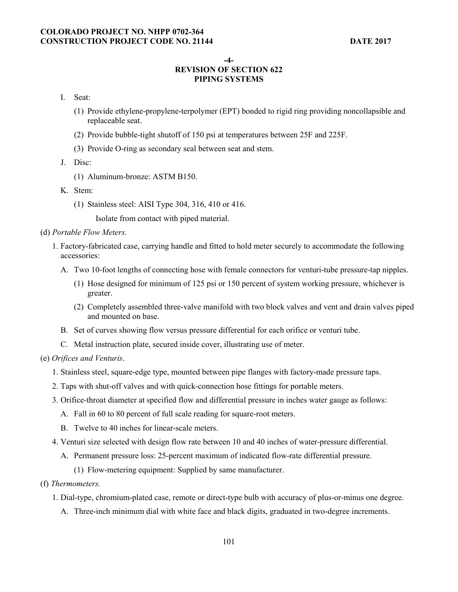#### **-4-**

## **REVISION OF SECTION 622 PIPING SYSTEMS**

- I. Seat:
	- (1) Provide ethylene-propylene-terpolymer (EPT) bonded to rigid ring providing noncollapsible and replaceable seat.
	- (2) Provide bubble-tight shutoff of 150 psi at temperatures between 25F and 225F.
	- (3) Provide O-ring as secondary seal between seat and stem.
- J. Disc:
	- (1) Aluminum-bronze: ASTM B150.
- K. Stem:
	- (1) Stainless steel: AISI Type 304, 316, 410 or 416.
		- Isolate from contact with piped material.
- (d) *Portable Flow Meters.* 
	- 1. Factory-fabricated case, carrying handle and fitted to hold meter securely to accommodate the following accessories:
		- A. Two 10-foot lengths of connecting hose with female connectors for venturi-tube pressure-tap nipples.
			- (1) Hose designed for minimum of 125 psi or 150 percent of system working pressure, whichever is greater.
			- (2) Completely assembled three-valve manifold with two block valves and vent and drain valves piped and mounted on base.
		- B. Set of curves showing flow versus pressure differential for each orifice or venturi tube.
		- C. Metal instruction plate, secured inside cover, illustrating use of meter.
- (e) *Orifices and Venturis*.
	- 1. Stainless steel, square-edge type, mounted between pipe flanges with factory-made pressure taps.
	- 2. Taps with shut-off valves and with quick-connection hose fittings for portable meters.
	- 3. Orifice-throat diameter at specified flow and differential pressure in inches water gauge as follows:
		- A. Fall in 60 to 80 percent of full scale reading for square-root meters.
		- B. Twelve to 40 inches for linear-scale meters.
	- 4. Venturi size selected with design flow rate between 10 and 40 inches of water-pressure differential.
		- A. Permanent pressure loss: 25-percent maximum of indicated flow-rate differential pressure.
			- (1) Flow-metering equipment: Supplied by same manufacturer.
- (f) *Thermometers.* 
	- 1. Dial-type, chromium-plated case, remote or direct-type bulb with accuracy of plus-or-minus one degree.
		- A. Three-inch minimum dial with white face and black digits, graduated in two-degree increments.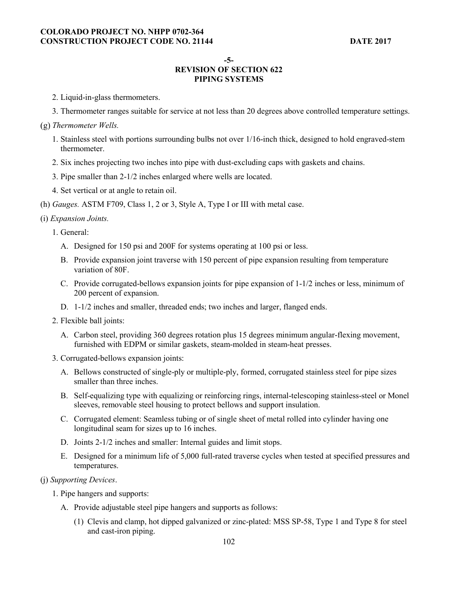**-5-** 

# **REVISION OF SECTION 622 PIPING SYSTEMS**

- 2. Liquid-in-glass thermometers.
- 3. Thermometer ranges suitable for service at not less than 20 degrees above controlled temperature settings.
- *Thermometer Wells.* 
	- 1. Stainless steel with portions surrounding bulbs not over 1/16-inch thick, designed to hold engraved-stem thermometer.
	- 2. Six inches projecting two inches into pipe with dust-excluding caps with gaskets and chains.
	- 3. Pipe smaller than 2-1/2 inches enlarged where wells are located.
	- 4. Set vertical or at angle to retain oil.
- (h) *Gauges.* ASTM F709, Class 1, 2 or 3, Style A, Type I or III with metal case.

## (i) *Expansion Joints.*

1. General:

- A. Designed for 150 psi and 200F for systems operating at 100 psi or less.
- B. Provide expansion joint traverse with 150 percent of pipe expansion resulting from temperature variation of 80F.
- C. Provide corrugated-bellows expansion joints for pipe expansion of 1-1/2 inches or less, minimum of 200 percent of expansion.
- D. 1-1/2 inches and smaller, threaded ends; two inches and larger, flanged ends.
- 2. Flexible ball joints:
	- A. Carbon steel, providing 360 degrees rotation plus 15 degrees minimum angular-flexing movement, furnished with EDPM or similar gaskets, steam-molded in steam-heat presses.
- 3. Corrugated-bellows expansion joints:
	- A. Bellows constructed of single-ply or multiple-ply, formed, corrugated stainless steel for pipe sizes smaller than three inches.
	- B. Self-equalizing type with equalizing or reinforcing rings, internal-telescoping stainless-steel or Monel sleeves, removable steel housing to protect bellows and support insulation.
	- C. Corrugated element: Seamless tubing or of single sheet of metal rolled into cylinder having one longitudinal seam for sizes up to 16 inches.
	- D. Joints 2-1/2 inches and smaller: Internal guides and limit stops.
	- E. Designed for a minimum life of 5,000 full-rated traverse cycles when tested at specified pressures and temperatures.

### (j) *Supporting Devices*.

- 1. Pipe hangers and supports:
	- A. Provide adjustable steel pipe hangers and supports as follows:
		- (1) Clevis and clamp, hot dipped galvanized or zinc-plated: MSS SP-58, Type 1 and Type 8 for steel and cast-iron piping.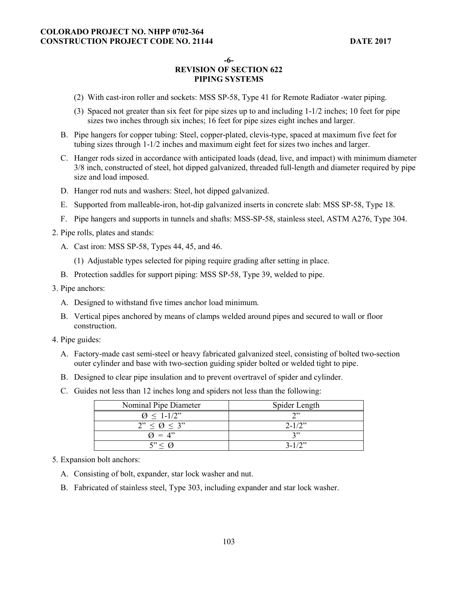**-6-** 

# **REVISION OF SECTION 622 PIPING SYSTEMS**

- (2) With cast-iron roller and sockets: MSS SP-58, Type 41 for Remote Radiator -water piping.
- (3) Spaced not greater than six feet for pipe sizes up to and including 1-1/2 inches; 10 feet for pipe sizes two inches through six inches; 16 feet for pipe sizes eight inches and larger.
- B. Pipe hangers for copper tubing: Steel, copper-plated, clevis-type, spaced at maximum five feet for tubing sizes through 1-1/2 inches and maximum eight feet for sizes two inches and larger.
- C. Hanger rods sized in accordance with anticipated loads (dead, live, and impact) with minimum diameter 3/8 inch, constructed of steel, hot dipped galvanized, threaded full-length and diameter required by pipe size and load imposed.
- D. Hanger rod nuts and washers: Steel, hot dipped galvanized.
- E. Supported from malleable-iron, hot-dip galvanized inserts in concrete slab: MSS SP-58, Type 18.
- F. Pipe hangers and supports in tunnels and shafts: MSS-SP-58, stainless steel, ASTM A276, Type 304.
- 2. Pipe rolls, plates and stands:
	- A. Cast iron: MSS SP-58, Types 44, 45, and 46.
		- (1) Adjustable types selected for piping require grading after setting in place.
	- B. Protection saddles for support piping: MSS SP-58, Type 39, welded to pipe.
- 3. Pipe anchors:
	- A. Designed to withstand five times anchor load minimum.
	- B. Vertical pipes anchored by means of clamps welded around pipes and secured to wall or floor construction.
- 4. Pipe guides:
	- A. Factory-made cast semi-steel or heavy fabricated galvanized steel, consisting of bolted two-section outer cylinder and base with two-section guiding spider bolted or welded tight to pipe.
	- B. Designed to clear pipe insulation and to prevent overtravel of spider and cylinder.
	- C. Guides not less than 12 inches long and spiders not less than the following:

| Nominal Pipe Diameter     | Spider Length |
|---------------------------|---------------|
| $\varnothing \leq 1-1/2"$ | ኅ››           |
| $2" < \emptyset < 3"$     | $2 - 1/2$ "   |
| $Q = 4$ "                 | າ"            |
| $5" < \Omega$             | $3 - 1/2$     |

#### 5. Expansion bolt anchors:

- A. Consisting of bolt, expander, star lock washer and nut.
- B. Fabricated of stainless steel, Type 303, including expander and star lock washer.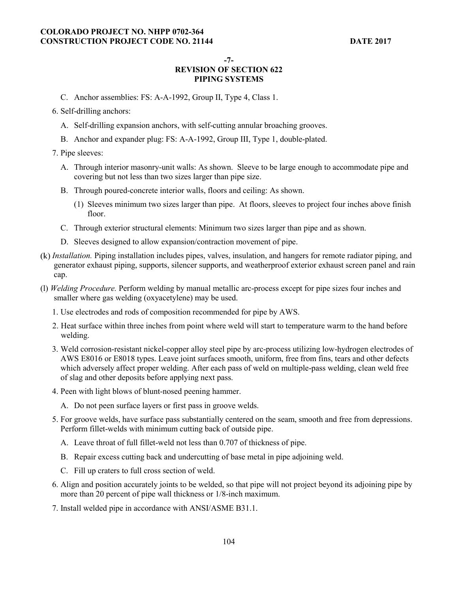**-7-** 

# **REVISION OF SECTION 622 PIPING SYSTEMS**

- C. Anchor assemblies: FS: A-A-1992, Group II, Type 4, Class 1.
- 6. Self-drilling anchors:
	- A. Self-drilling expansion anchors, with self-cutting annular broaching grooves.
	- B. Anchor and expander plug: FS: A-A-1992, Group III, Type 1, double-plated.
- 7. Pipe sleeves:
	- A. Through interior masonry-unit walls: As shown. Sleeve to be large enough to accommodate pipe and covering but not less than two sizes larger than pipe size.
	- B. Through poured-concrete interior walls, floors and ceiling: As shown.
		- (1) Sleeves minimum two sizes larger than pipe. At floors, sleeves to project four inches above finish floor.
	- C. Through exterior structural elements: Minimum two sizes larger than pipe and as shown.
	- D. Sleeves designed to allow expansion/contraction movement of pipe.
- *Installation.* Piping installation includes pipes, valves, insulation, and hangers for remote radiator piping, and generator exhaust piping, supports, silencer supports, and weatherproof exterior exhaust screen panel and rain cap.
- (l) *Welding Procedure.* Perform welding by manual metallic arc-process except for pipe sizes four inches and smaller where gas welding (oxyacetylene) may be used.
	- 1. Use electrodes and rods of composition recommended for pipe by AWS.
	- 2. Heat surface within three inches from point where weld will start to temperature warm to the hand before welding.
	- 3. Weld corrosion-resistant nickel-copper alloy steel pipe by arc-process utilizing low-hydrogen electrodes of AWS E8016 or E8018 types. Leave joint surfaces smooth, uniform, free from fins, tears and other defects which adversely affect proper welding. After each pass of weld on multiple-pass welding, clean weld free of slag and other deposits before applying next pass.
	- 4. Peen with light blows of blunt-nosed peening hammer.
		- A. Do not peen surface layers or first pass in groove welds.
	- 5. For groove welds, have surface pass substantially centered on the seam, smooth and free from depressions. Perform fillet-welds with minimum cutting back of outside pipe.
		- A. Leave throat of full fillet-weld not less than 0.707 of thickness of pipe.
		- B. Repair excess cutting back and undercutting of base metal in pipe adjoining weld.
		- C. Fill up craters to full cross section of weld.
	- 6. Align and position accurately joints to be welded, so that pipe will not project beyond its adjoining pipe by more than 20 percent of pipe wall thickness or 1/8-inch maximum.
	- 7. Install welded pipe in accordance with ANSI/ASME B31.1.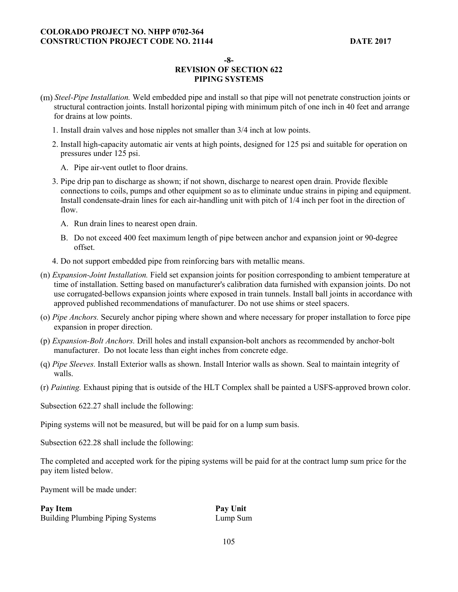**-8-** 

# **REVISION OF SECTION 622 PIPING SYSTEMS**

- *Steel-Pipe Installation.* Weld embedded pipe and install so that pipe will not penetrate construction joints or structural contraction joints. Install horizontal piping with minimum pitch of one inch in 40 feet and arrange for drains at low points.
	- 1. Install drain valves and hose nipples not smaller than 3/4 inch at low points.
	- 2. Install high-capacity automatic air vents at high points, designed for 125 psi and suitable for operation on pressures under 125 psi.
		- A. Pipe air-vent outlet to floor drains.
	- 3. Pipe drip pan to discharge as shown; if not shown, discharge to nearest open drain. Provide flexible connections to coils, pumps and other equipment so as to eliminate undue strains in piping and equipment. Install condensate-drain lines for each air-handling unit with pitch of 1/4 inch per foot in the direction of flow.
		- A. Run drain lines to nearest open drain.
		- B. Do not exceed 400 feet maximum length of pipe between anchor and expansion joint or 90-degree offset.
	- 4. Do not support embedded pipe from reinforcing bars with metallic means.
- (n) *Expansion-Joint Installation.* Field set expansion joints for position corresponding to ambient temperature at time of installation. Setting based on manufacturer's calibration data furnished with expansion joints. Do not use corrugated-bellows expansion joints where exposed in train tunnels. Install ball joints in accordance with approved published recommendations of manufacturer. Do not use shims or steel spacers.
- (o) *Pipe Anchors.* Securely anchor piping where shown and where necessary for proper installation to force pipe expansion in proper direction.
- (p) *Expansion-Bolt Anchors.* Drill holes and install expansion-bolt anchors as recommended by anchor-bolt manufacturer. Do not locate less than eight inches from concrete edge.
- (q) *Pipe Sleeves.* Install Exterior walls as shown. Install Interior walls as shown. Seal to maintain integrity of walls.
- (r) *Painting.* Exhaust piping that is outside of the HLT Complex shall be painted a USFS-approved brown color.

Subsection 622.27 shall include the following:

Piping systems will not be measured, but will be paid for on a lump sum basis.

Subsection 622.28 shall include the following:

The completed and accepted work for the piping systems will be paid for at the contract lump sum price for the pay item listed below.

Payment will be made under:

| Pay Item                                | Pay Unit |
|-----------------------------------------|----------|
| <b>Building Plumbing Piping Systems</b> | Lump Sum |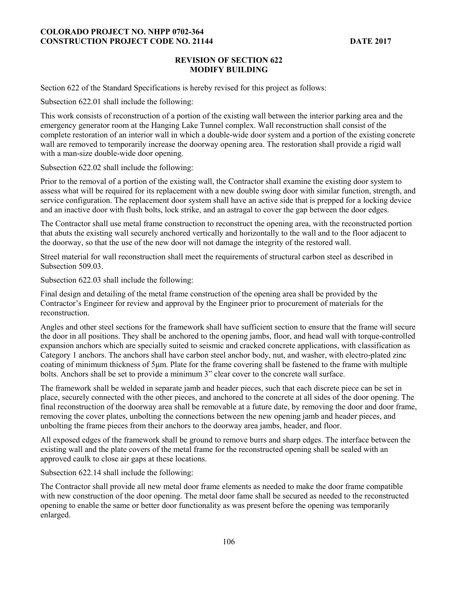#### **REVISION OF SECTION 622 MODIFY BUILDING**

Section 622 of the Standard Specifications is hereby revised for this project as follows:

Subsection 622.01 shall include the following:

This work consists of reconstruction of a portion of the existing wall between the interior parking area and the emergency generator room at the Hanging Lake Tunnel complex. Wall reconstruction shall consist of the complete restoration of an interior wall in which a double-wide door system and a portion of the existing concrete wall are removed to temporarily increase the doorway opening area. The restoration shall provide a rigid wall with a man-size double-wide door opening.

Subsection 622.02 shall include the following:

Prior to the removal of a portion of the existing wall, the Contractor shall examine the existing door system to assess what will be required for its replacement with a new double swing door with similar function, strength, and service configuration. The replacement door system shall have an active side that is prepped for a locking device and an inactive door with flush bolts, lock strike, and an astragal to cover the gap between the door edges.

The Contractor shall use metal frame construction to reconstruct the opening area, with the reconstructed portion that abuts the existing wall securely anchored vertically and horizontally to the wall and to the floor adjacent to the doorway, so that the use of the new door will not damage the integrity of the restored wall.

Streel material for wall reconstruction shall meet the requirements of structural carbon steel as described in Subsection 509.03.

Subsection 622.03 shall include the following:

Final design and detailing of the metal frame construction of the opening area shall be provided by the Contractor's Engineer for review and approval by the Engineer prior to procurement of materials for the reconstruction.

Angles and other steel sections for the framework shall have sufficient section to ensure that the frame will secure the door in all positions. They shall be anchored to the opening jambs, floor, and head wall with torque-controlled expansion anchors which are specially suited to seismic and cracked concrete applications, with classification as Category 1 anchors. The anchors shall have carbon steel anchor body, nut, and washer, with electro-plated zinc coating of minimum thickness of 5µm. Plate for the frame covering shall be fastened to the frame with multiple bolts. Anchors shall be set to provide a minimum 3" clear cover to the concrete wall surface.

The framework shall be welded in separate jamb and header pieces, such that each discrete piece can be set in place, securely connected with the other pieces, and anchored to the concrete at all sides of the door opening. The final reconstruction of the doorway area shall be removable at a future date, by removing the door and door frame, removing the cover plates, unbolting the connections between the new opening jamb and header pieces, and unbolting the frame pieces from their anchors to the doorway area jambs, header, and floor.

All exposed edges of the framework shall be ground to remove burrs and sharp edges. The interface between the existing wall and the plate covers of the metal frame for the reconstructed opening shall be sealed with an approved caulk to close air gaps at these locations.

Subsection 622.14 shall include the following:

The Contractor shall provide all new metal door frame elements as needed to make the door frame compatible with new construction of the door opening. The metal door fame shall be secured as needed to the reconstructed opening to enable the same or better door functionality as was present before the opening was temporarily enlarged.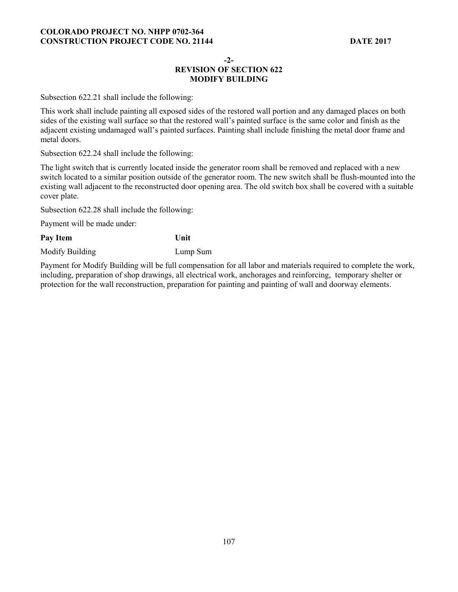#### **-2-**

## **REVISION OF SECTION 622 MODIFY BUILDING**

Subsection 622.21 shall include the following:

This work shall include painting all exposed sides of the restored wall portion and any damaged places on both sides of the existing wall surface so that the restored wall's painted surface is the same color and finish as the adjacent existing undamaged wall's painted surfaces. Painting shall include finishing the metal door frame and metal doors.

Subsection 622.24 shall include the following:

The light switch that is currently located inside the generator room shall be removed and replaced with a new switch located to a similar position outside of the generator room. The new switch shall be flush-mounted into the existing wall adjacent to the reconstructed door opening area. The old switch box shall be covered with a suitable cover plate.

Subsection 622.28 shall include the following:

Payment will be made under:

Pay Item Unit

Modify Building Lump Sum

Payment for Modify Building will be full compensation for all labor and materials required to complete the work, including, preparation of shop drawings, all electrical work, anchorages and reinforcing, temporary shelter or protection for the wall reconstruction, preparation for painting and painting of wall and doorway elements.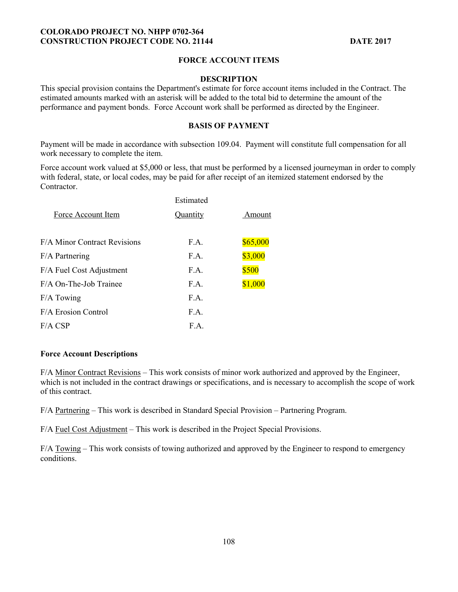## **FORCE ACCOUNT ITEMS**

#### **DESCRIPTION**

This special provision contains the Department's estimate for force account items included in the Contract. The estimated amounts marked with an asterisk will be added to the total bid to determine the amount of the performance and payment bonds. Force Account work shall be performed as directed by the Engineer.

### **BASIS OF PAYMENT**

Payment will be made in accordance with subsection 109.04. Payment will constitute full compensation for all work necessary to complete the item.

Force account work valued at \$5,000 or less, that must be performed by a licensed journeyman in order to comply with federal, state, or local codes, may be paid for after receipt of an itemized statement endorsed by the Contractor.

| Estimated |          |
|-----------|----------|
| Quantity  | Amount   |
|           |          |
|           | \$65,000 |
| F.A.      | \$3,000  |
| F.A.      | \$500    |
| F.A.      | \$1,000  |
| F.A.      |          |
| F.A.      |          |
| F.A.      |          |
|           | F.A.     |

### **Force Account Descriptions**

F/A Minor Contract Revisions – This work consists of minor work authorized and approved by the Engineer, which is not included in the contract drawings or specifications, and is necessary to accomplish the scope of work of this contract.

F/A Partnering – This work is described in Standard Special Provision – Partnering Program.

F/A Fuel Cost Adjustment – This work is described in the Project Special Provisions.

F/A Towing – This work consists of towing authorized and approved by the Engineer to respond to emergency conditions.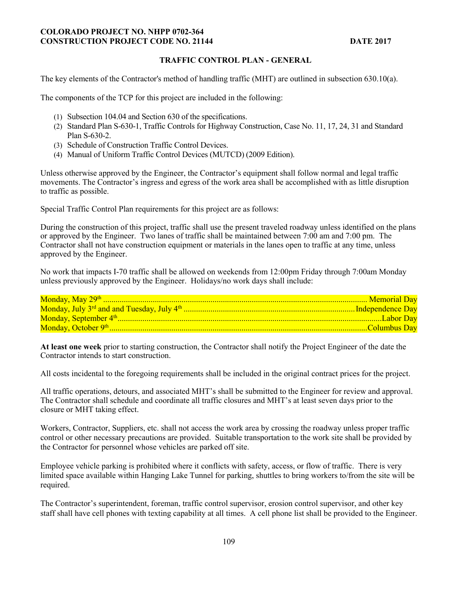### **COLORADO PROJECT NO. NHPP 0702-364 CONSTRUCTION PROJECT CODE NO. 21144** DATE 2017

## **TRAFFIC CONTROL PLAN - GENERAL**

The key elements of the Contractor's method of handling traffic (MHT) are outlined in subsection 630.10(a).

The components of the TCP for this project are included in the following:

- (1) Subsection 104.04 and Section 630 of the specifications.
- (2) Standard Plan S-630-1, Traffic Controls for Highway Construction, Case No. 11, 17, 24, 31 and Standard Plan S-630-2.
- (3) Schedule of Construction Traffic Control Devices.
- (4) Manual of Uniform Traffic Control Devices (MUTCD) (2009 Edition).

Unless otherwise approved by the Engineer, the Contractor's equipment shall follow normal and legal traffic movements. The Contractor's ingress and egress of the work area shall be accomplished with as little disruption to traffic as possible.

Special Traffic Control Plan requirements for this project are as follows:

During the construction of this project, traffic shall use the present traveled roadway unless identified on the plans or approved by the Engineer. Two lanes of traffic shall be maintained between 7:00 am and 7:00 pm. The Contractor shall not have construction equipment or materials in the lanes open to traffic at any time, unless approved by the Engineer.

No work that impacts I-70 traffic shall be allowed on weekends from 12:00pm Friday through 7:00am Monday unless previously approved by the Engineer. Holidays/no work days shall include:

**At least one week** prior to starting construction, the Contractor shall notify the Project Engineer of the date the Contractor intends to start construction.

All costs incidental to the foregoing requirements shall be included in the original contract prices for the project.

All traffic operations, detours, and associated MHT's shall be submitted to the Engineer for review and approval. The Contractor shall schedule and coordinate all traffic closures and MHT's at least seven days prior to the closure or MHT taking effect.

Workers, Contractor, Suppliers, etc. shall not access the work area by crossing the roadway unless proper traffic control or other necessary precautions are provided. Suitable transportation to the work site shall be provided by the Contractor for personnel whose vehicles are parked off site.

Employee vehicle parking is prohibited where it conflicts with safety, access, or flow of traffic. There is very limited space available within Hanging Lake Tunnel for parking, shuttles to bring workers to/from the site will be required.

The Contractor's superintendent, foreman, traffic control supervisor, erosion control supervisor, and other key staff shall have cell phones with texting capability at all times. A cell phone list shall be provided to the Engineer.